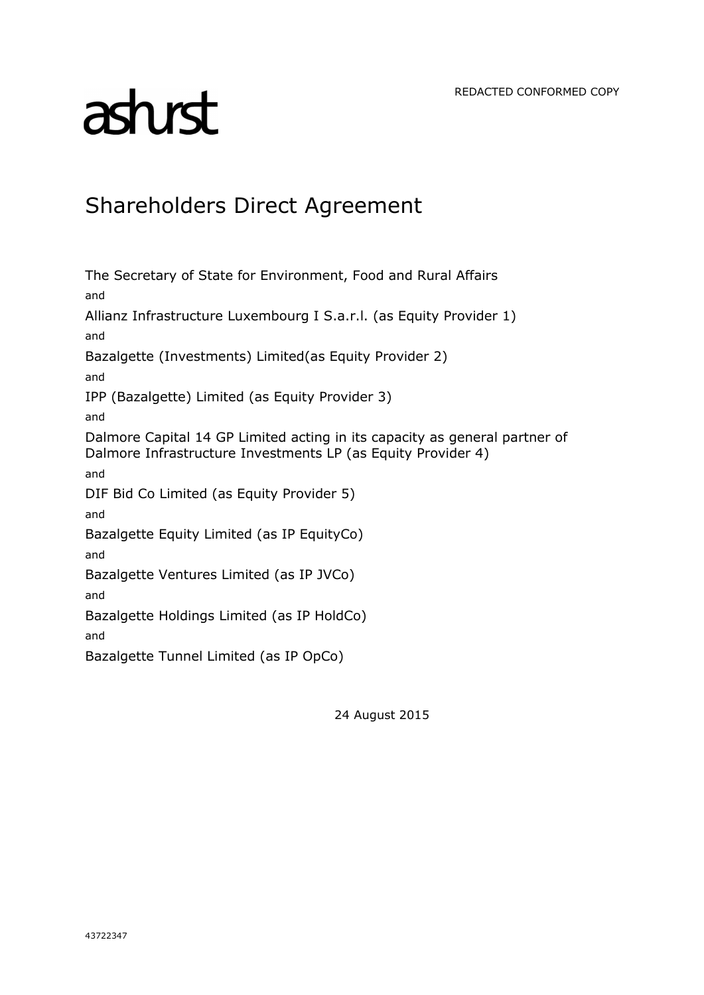# asturst

# Shareholders Direct Agreement

The Secretary of State for Environment, Food and Rural Affairs and Allianz Infrastructure Luxembourg I S.a.r.l. (as Equity Provider 1) and Bazalgette (Investments) Limited(as Equity Provider 2) and IPP (Bazalgette) Limited (as Equity Provider 3) and Dalmore Capital 14 GP Limited acting in its capacity as general partner of Dalmore Infrastructure Investments LP (as Equity Provider 4) and DIF Bid Co Limited (as Equity Provider 5) and Bazalgette Equity Limited (as IP EquityCo) and Bazalgette Ventures Limited (as IP JVCo) and Bazalgette Holdings Limited (as IP HoldCo) and

Bazalgette Tunnel Limited (as IP OpCo)

24 August 2015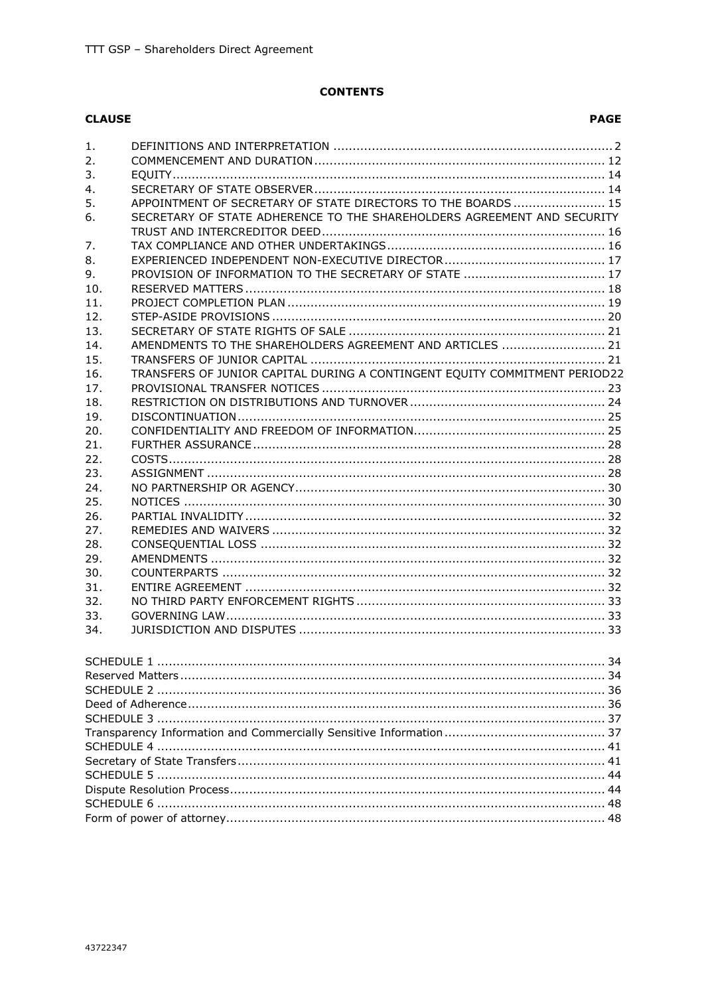# **CONTENTS**

### **CLAUSE**

| 1.  |                                                                            |  |
|-----|----------------------------------------------------------------------------|--|
| 2.  |                                                                            |  |
| 3.  |                                                                            |  |
| 4.  |                                                                            |  |
| 5.  | APPOINTMENT OF SECRETARY OF STATE DIRECTORS TO THE BOARDS  15              |  |
| 6.  | SECRETARY OF STATE ADHERENCE TO THE SHAREHOLDERS AGREEMENT AND SECURITY    |  |
|     |                                                                            |  |
| 7.  |                                                                            |  |
| 8.  |                                                                            |  |
| 9.  |                                                                            |  |
| 10. |                                                                            |  |
| 11. |                                                                            |  |
| 12. |                                                                            |  |
| 13. |                                                                            |  |
| 14. | AMENDMENTS TO THE SHAREHOLDERS AGREEMENT AND ARTICLES  21                  |  |
| 15. |                                                                            |  |
| 16. | TRANSFERS OF JUNIOR CAPITAL DURING A CONTINGENT EOUITY COMMITMENT PERIOD22 |  |
| 17. |                                                                            |  |
| 18. |                                                                            |  |
| 19. |                                                                            |  |
| 20. |                                                                            |  |
| 21. |                                                                            |  |
| 22. |                                                                            |  |
| 23. |                                                                            |  |
| 24. |                                                                            |  |
| 25. |                                                                            |  |
| 26. |                                                                            |  |
| 27. |                                                                            |  |
| 28. |                                                                            |  |
| 29. |                                                                            |  |
| 30. |                                                                            |  |
| 31. |                                                                            |  |
| 32. |                                                                            |  |
| 33. |                                                                            |  |
| 34. |                                                                            |  |
|     |                                                                            |  |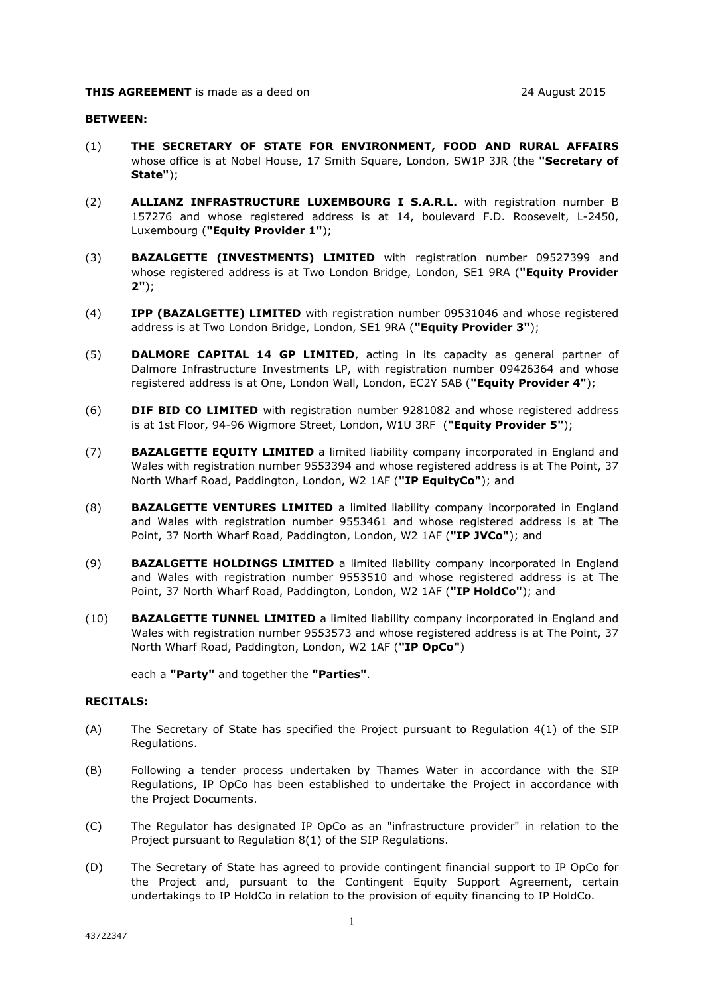#### **BETWEEN:**

- (1) **THE SECRETARY OF STATE FOR ENVIRONMENT, FOOD AND RURAL AFFAIRS** whose office is at Nobel House, 17 Smith Square, London, SW1P 3JR (the **"Secretary of State"**);
- (2) **ALLIANZ INFRASTRUCTURE LUXEMBOURG I S.A.R.L.** with registration number B 157276 and whose registered address is at 14, boulevard F.D. Roosevelt, L-2450, Luxembourg (**"Equity Provider 1"**);
- (3) **BAZALGETTE (INVESTMENTS) LIMITED** with registration number 09527399 and whose registered address is at Two London Bridge, London, SE1 9RA (**"Equity Provider 2"**);
- (4) **IPP (BAZALGETTE) LIMITED** with registration number 09531046 and whose registered address is at Two London Bridge, London, SE1 9RA (**"Equity Provider 3"**);
- (5) **DALMORE CAPITAL 14 GP LIMITED**, acting in its capacity as general partner of Dalmore Infrastructure Investments LP, with registration number 09426364 and whose registered address is at One, London Wall, London, EC2Y 5AB (**"Equity Provider 4"**);
- (6) **DIF BID CO LIMITED** with registration number 9281082 and whose registered address is at 1st Floor, 94-96 Wigmore Street, London, W1U 3RF (**"Equity Provider 5"**);
- (7) **BAZALGETTE EQUITY LIMITED** a limited liability company incorporated in England and Wales with registration number 9553394 and whose registered address is at The Point, 37 North Wharf Road, Paddington, London, W2 1AF (**"IP EquityCo"**); and
- (8) **BAZALGETTE VENTURES LIMITED** a limited liability company incorporated in England and Wales with registration number 9553461 and whose registered address is at The Point, 37 North Wharf Road, Paddington, London, W2 1AF (**"IP JVCo"**); and
- (9) **BAZALGETTE HOLDINGS LIMITED** a limited liability company incorporated in England and Wales with registration number 9553510 and whose registered address is at The Point, 37 North Wharf Road, Paddington, London, W2 1AF (**"IP HoldCo"**); and
- (10) **BAZALGETTE TUNNEL LIMITED** a limited liability company incorporated in England and Wales with registration number 9553573 and whose registered address is at The Point, 37 North Wharf Road, Paddington, London, W2 1AF (**"IP OpCo"**)

each a **"Party"** and together the **"Parties"**.

#### **RECITALS:**

- (A) The Secretary of State has specified the Project pursuant to Regulation 4(1) of the SIP Regulations.
- (B) Following a tender process undertaken by Thames Water in accordance with the SIP Regulations, IP OpCo has been established to undertake the Project in accordance with the Project Documents.
- (C) The Regulator has designated IP OpCo as an "infrastructure provider" in relation to the Project pursuant to Regulation 8(1) of the SIP Regulations.
- (D) The Secretary of State has agreed to provide contingent financial support to IP OpCo for the Project and, pursuant to the Contingent Equity Support Agreement, certain undertakings to IP HoldCo in relation to the provision of equity financing to IP HoldCo.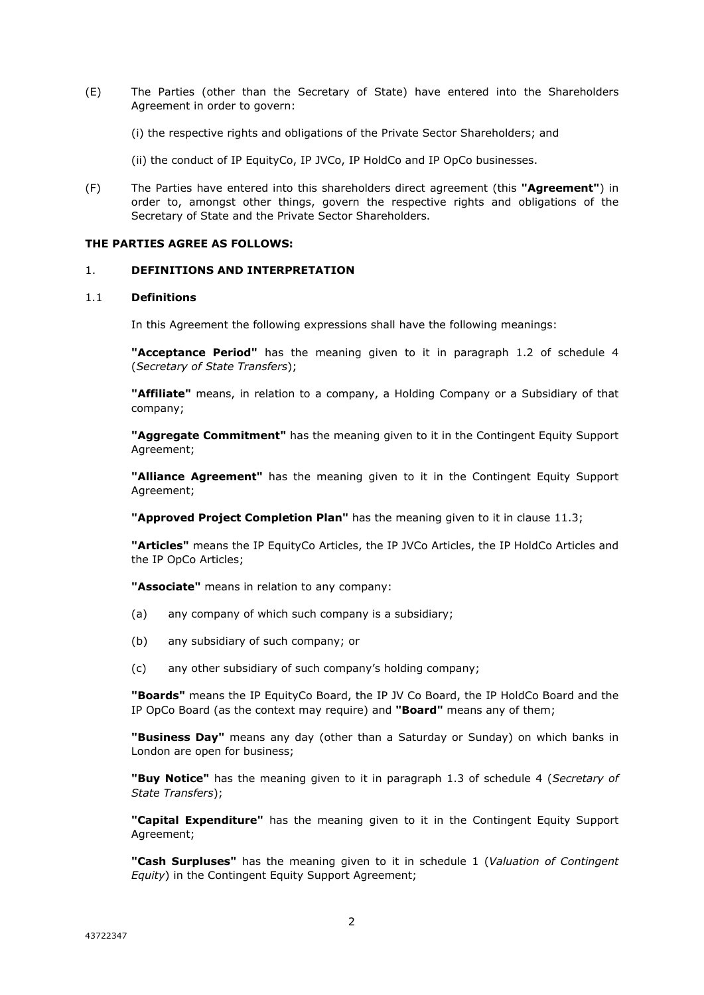- (E) The Parties (other than the Secretary of State) have entered into the Shareholders Agreement in order to govern:
	- (i) the respective rights and obligations of the Private Sector Shareholders; and
	- (ii) the conduct of IP EquityCo, IP JVCo, IP HoldCo and IP OpCo businesses.
- (F) The Parties have entered into this shareholders direct agreement (this **"Agreement"**) in order to, amongst other things, govern the respective rights and obligations of the Secretary of State and the Private Sector Shareholders.

#### **THE PARTIES AGREE AS FOLLOWS:**

#### 1. **DEFINITIONS AND INTERPRETATION**

#### 1.1 **Definitions**

In this Agreement the following expressions shall have the following meanings:

**"Acceptance Period"** has the meaning given to it in paragraph 1.2 of schedule 4 (*Secretary of State Transfers*);

**"Affiliate"** means, in relation to a company, a Holding Company or a Subsidiary of that company;

**"Aggregate Commitment"** has the meaning given to it in the Contingent Equity Support Agreement;

**"Alliance Agreement"** has the meaning given to it in the Contingent Equity Support Agreement;

**"Approved Project Completion Plan"** has the meaning given to it in clause 11.3;

**"Articles"** means the IP EquityCo Articles, the IP JVCo Articles, the IP HoldCo Articles and the IP OpCo Articles;

**"Associate"** means in relation to any company:

- (a) any company of which such company is a subsidiary;
- (b) any subsidiary of such company; or
- (c) any other subsidiary of such company's holding company;

**"Boards"** means the IP EquityCo Board, the IP JV Co Board, the IP HoldCo Board and the IP OpCo Board (as the context may require) and **"Board"** means any of them;

**"Business Day"** means any day (other than a Saturday or Sunday) on which banks in London are open for business;

**"Buy Notice"** has the meaning given to it in paragraph 1.3 of schedule 4 (*Secretary of State Transfers*);

**"Capital Expenditure"** has the meaning given to it in the Contingent Equity Support Agreement;

**"Cash Surpluses"** has the meaning given to it in schedule 1 (*Valuation of Contingent Equity*) in the Contingent Equity Support Agreement;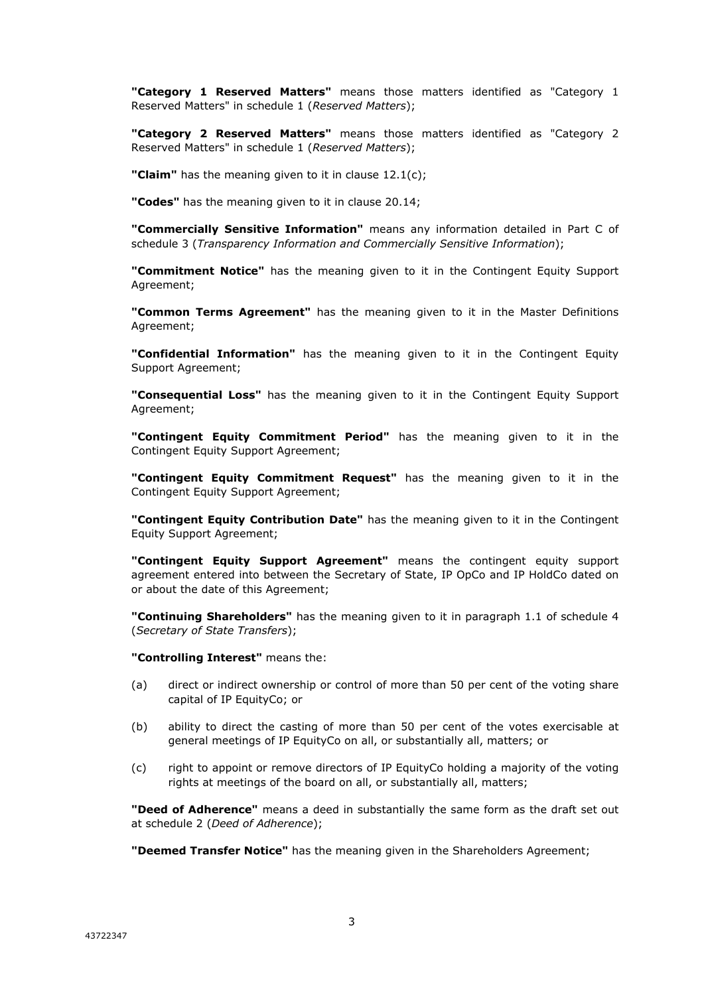**"Category 1 Reserved Matters"** means those matters identified as "Category 1 Reserved Matters" in schedule 1 (*Reserved Matters*);

**"Category 2 Reserved Matters"** means those matters identified as "Category 2 Reserved Matters" in schedule 1 (*Reserved Matters*);

**"Claim"** has the meaning given to it in clause 12.1(c);

**"Codes"** has the meaning given to it in clause 20.14;

**"Commercially Sensitive Information"** means any information detailed in Part C of schedule 3 (*Transparency Information and Commercially Sensitive Information*);

**"Commitment Notice"** has the meaning given to it in the Contingent Equity Support Agreement;

**"Common Terms Agreement"** has the meaning given to it in the Master Definitions Agreement;

**"Confidential Information"** has the meaning given to it in the Contingent Equity Support Agreement;

**"Consequential Loss"** has the meaning given to it in the Contingent Equity Support Agreement;

**"Contingent Equity Commitment Period"** has the meaning given to it in the Contingent Equity Support Agreement;

**"Contingent Equity Commitment Request"** has the meaning given to it in the Contingent Equity Support Agreement;

**"Contingent Equity Contribution Date"** has the meaning given to it in the Contingent Equity Support Agreement;

**"Contingent Equity Support Agreement"** means the contingent equity support agreement entered into between the Secretary of State, IP OpCo and IP HoldCo dated on or about the date of this Agreement;

**"Continuing Shareholders"** has the meaning given to it in paragraph 1.1 of schedule 4 (*Secretary of State Transfers*);

**"Controlling Interest"** means the:

- (a) direct or indirect ownership or control of more than 50 per cent of the voting share capital of IP EquityCo; or
- (b) ability to direct the casting of more than 50 per cent of the votes exercisable at general meetings of IP EquityCo on all, or substantially all, matters; or
- (c) right to appoint or remove directors of IP EquityCo holding a majority of the voting rights at meetings of the board on all, or substantially all, matters;

**"Deed of Adherence"** means a deed in substantially the same form as the draft set out at schedule 2 (*Deed of Adherence*);

**"Deemed Transfer Notice"** has the meaning given in the Shareholders Agreement;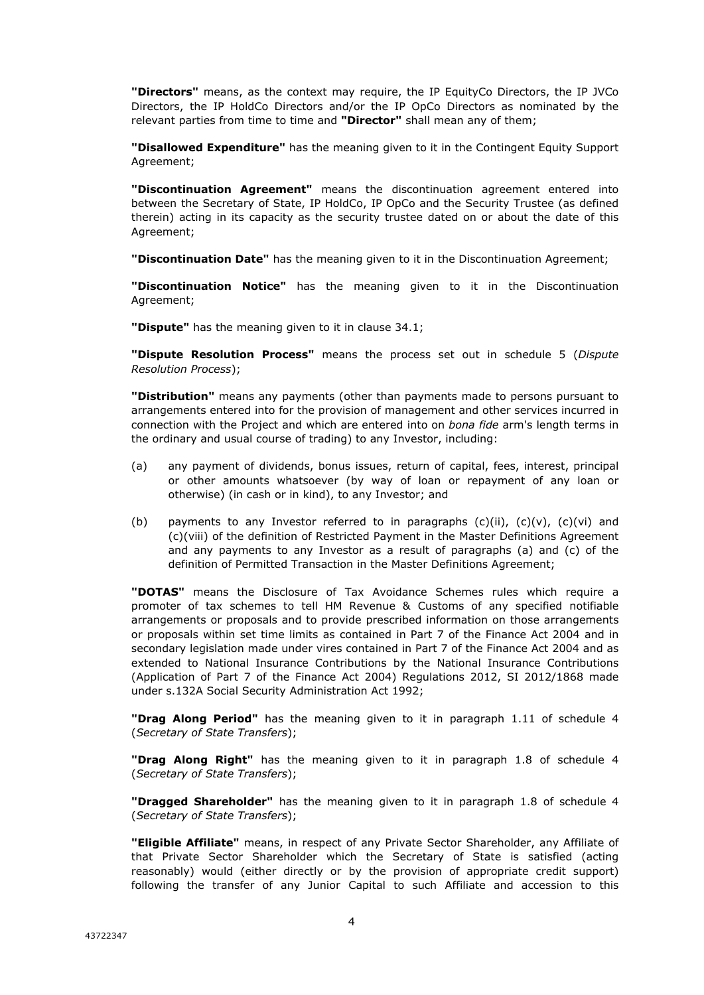**"Directors"** means, as the context may require, the IP EquityCo Directors, the IP JVCo Directors, the IP HoldCo Directors and/or the IP OpCo Directors as nominated by the relevant parties from time to time and **"Director"** shall mean any of them;

**"Disallowed Expenditure"** has the meaning given to it in the Contingent Equity Support Agreement;

**"Discontinuation Agreement"** means the discontinuation agreement entered into between the Secretary of State, IP HoldCo, IP OpCo and the Security Trustee (as defined therein) acting in its capacity as the security trustee dated on or about the date of this Agreement;

**"Discontinuation Date"** has the meaning given to it in the Discontinuation Agreement;

**"Discontinuation Notice"** has the meaning given to it in the Discontinuation Agreement;

**"Dispute"** has the meaning given to it in clause 34.1;

**"Dispute Resolution Process"** means the process set out in schedule 5 (*Dispute Resolution Process*);

**"Distribution"** means any payments (other than payments made to persons pursuant to arrangements entered into for the provision of management and other services incurred in connection with the Project and which are entered into on *bona fide* arm's length terms in the ordinary and usual course of trading) to any Investor, including:

- (a) any payment of dividends, bonus issues, return of capital, fees, interest, principal or other amounts whatsoever (by way of loan or repayment of any loan or otherwise) (in cash or in kind), to any Investor; and
- (b) payments to any Investor referred to in paragraphs  $(c)(ii)$ ,  $(c)(v)$ ,  $(c)(vi)$  and (c)(viii) of the definition of Restricted Payment in the Master Definitions Agreement and any payments to any Investor as a result of paragraphs (a) and (c) of the definition of Permitted Transaction in the Master Definitions Agreement;

**"DOTAS"** means the Disclosure of Tax Avoidance Schemes rules which require a promoter of tax schemes to tell HM Revenue & Customs of any specified notifiable arrangements or proposals and to provide prescribed information on those arrangements or proposals within set time limits as contained in Part 7 of the Finance Act 2004 and in secondary legislation made under vires contained in Part 7 of the Finance Act 2004 and as extended to National Insurance Contributions by the National Insurance Contributions (Application of Part 7 of the Finance Act 2004) Regulations 2012, SI 2012/1868 made under s.132A Social Security Administration Act 1992;

**"Drag Along Period"** has the meaning given to it in paragraph 1.11 of schedule 4 (*Secretary of State Transfers*);

**"Drag Along Right"** has the meaning given to it in paragraph 1.8 of schedule 4 (*Secretary of State Transfers*);

**"Dragged Shareholder"** has the meaning given to it in paragraph 1.8 of schedule 4 (*Secretary of State Transfers*);

**"Eligible Affiliate"** means, in respect of any Private Sector Shareholder, any Affiliate of that Private Sector Shareholder which the Secretary of State is satisfied (acting reasonably) would (either directly or by the provision of appropriate credit support) following the transfer of any Junior Capital to such Affiliate and accession to this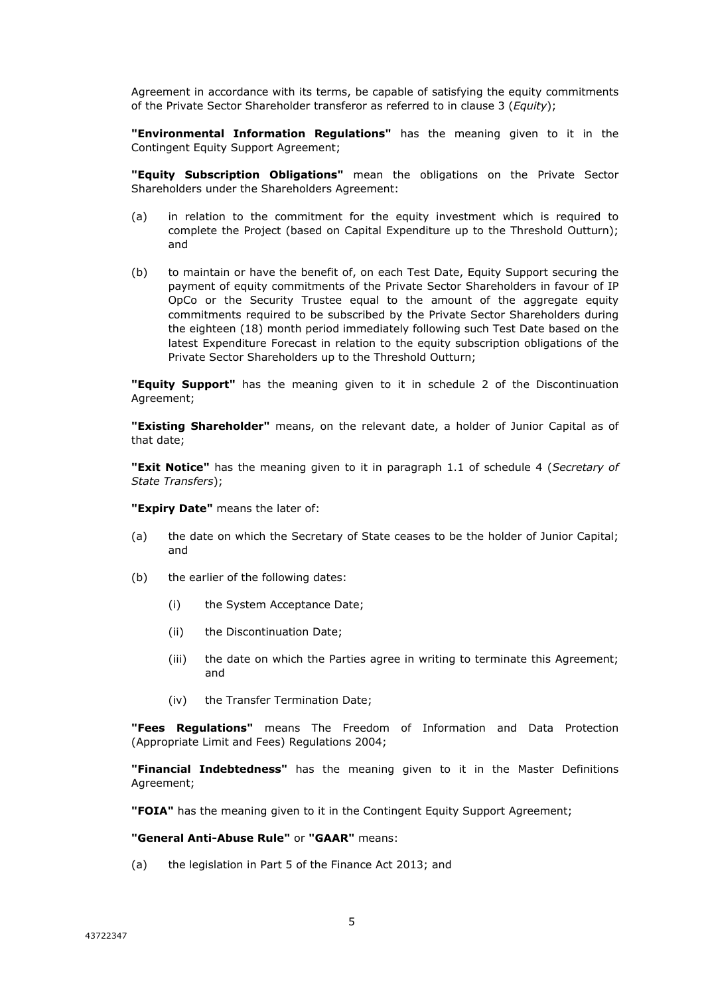Agreement in accordance with its terms, be capable of satisfying the equity commitments of the Private Sector Shareholder transferor as referred to in clause 3 (*Equity*);

**"Environmental Information Regulations"** has the meaning given to it in the Contingent Equity Support Agreement;

**"Equity Subscription Obligations"** mean the obligations on the Private Sector Shareholders under the Shareholders Agreement:

- (a) in relation to the commitment for the equity investment which is required to complete the Project (based on Capital Expenditure up to the Threshold Outturn); and
- (b) to maintain or have the benefit of, on each Test Date, Equity Support securing the payment of equity commitments of the Private Sector Shareholders in favour of IP OpCo or the Security Trustee equal to the amount of the aggregate equity commitments required to be subscribed by the Private Sector Shareholders during the eighteen (18) month period immediately following such Test Date based on the latest Expenditure Forecast in relation to the equity subscription obligations of the Private Sector Shareholders up to the Threshold Outturn;

**"Equity Support"** has the meaning given to it in schedule 2 of the Discontinuation Agreement;

**"Existing Shareholder"** means, on the relevant date, a holder of Junior Capital as of that date;

**"Exit Notice"** has the meaning given to it in paragraph 1.1 of schedule 4 (*Secretary of State Transfers*);

**"Expiry Date"** means the later of:

- (a) the date on which the Secretary of State ceases to be the holder of Junior Capital; and
- (b) the earlier of the following dates:
	- (i) the System Acceptance Date;
	- (ii) the Discontinuation Date;
	- (iii) the date on which the Parties agree in writing to terminate this Agreement; and
	- (iv) the Transfer Termination Date;

**"Fees Regulations"** means The Freedom of Information and Data Protection (Appropriate Limit and Fees) Regulations 2004;

**"Financial Indebtedness"** has the meaning given to it in the Master Definitions Agreement;

**"FOIA"** has the meaning given to it in the Contingent Equity Support Agreement;

**"General Anti-Abuse Rule"** or **"GAAR"** means:

(a) the legislation in Part 5 of the Finance Act 2013; and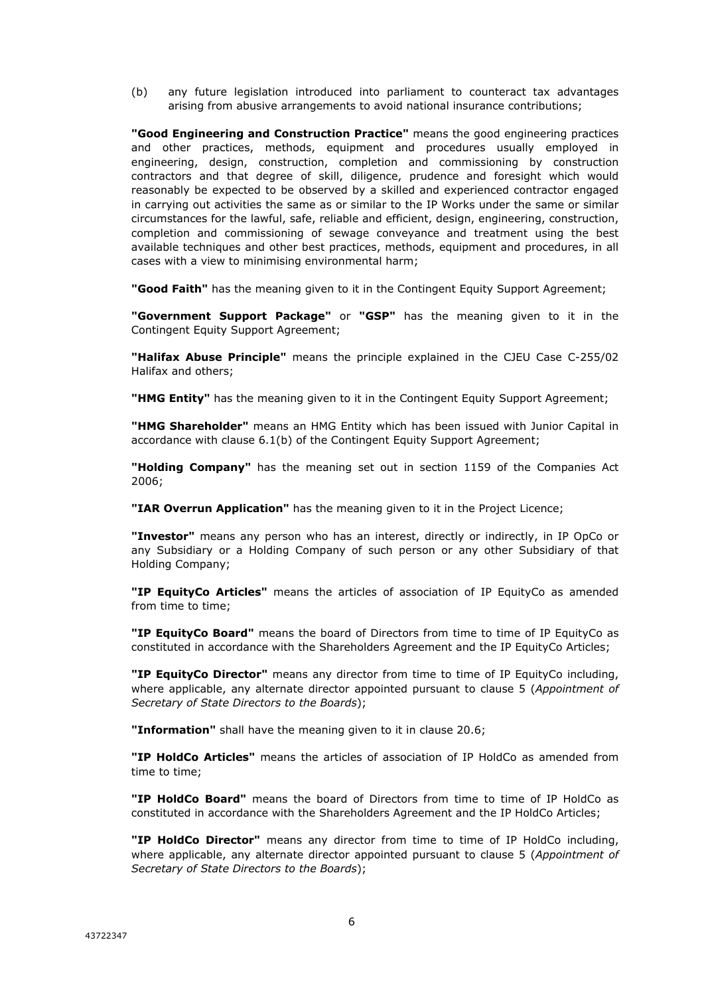(b) any future legislation introduced into parliament to counteract tax advantages arising from abusive arrangements to avoid national insurance contributions;

**"Good Engineering and Construction Practice"** means the good engineering practices and other practices, methods, equipment and procedures usually employed in engineering, design, construction, completion and commissioning by construction contractors and that degree of skill, diligence, prudence and foresight which would reasonably be expected to be observed by a skilled and experienced contractor engaged in carrying out activities the same as or similar to the IP Works under the same or similar circumstances for the lawful, safe, reliable and efficient, design, engineering, construction, completion and commissioning of sewage conveyance and treatment using the best available techniques and other best practices, methods, equipment and procedures, in all cases with a view to minimising environmental harm;

**"Good Faith"** has the meaning given to it in the Contingent Equity Support Agreement;

**"Government Support Package"** or **"GSP"** has the meaning given to it in the Contingent Equity Support Agreement;

**"Halifax Abuse Principle"** means the principle explained in the CJEU Case C-255/02 Halifax and others;

**"HMG Entity"** has the meaning given to it in the Contingent Equity Support Agreement;

**"HMG Shareholder"** means an HMG Entity which has been issued with Junior Capital in accordance with clause 6.1(b) of the Contingent Equity Support Agreement;

**"Holding Company"** has the meaning set out in section 1159 of the Companies Act 2006;

**"IAR Overrun Application"** has the meaning given to it in the Project Licence;

**"Investor"** means any person who has an interest, directly or indirectly, in IP OpCo or any Subsidiary or a Holding Company of such person or any other Subsidiary of that Holding Company;

**"IP EquityCo Articles"** means the articles of association of IP EquityCo as amended from time to time;

**"IP EquityCo Board"** means the board of Directors from time to time of IP EquityCo as constituted in accordance with the Shareholders Agreement and the IP EquityCo Articles;

**"IP EquityCo Director"** means any director from time to time of IP EquityCo including, where applicable, any alternate director appointed pursuant to clause 5 (*Appointment of Secretary of State Directors to the Boards*);

**"Information"** shall have the meaning given to it in clause 20.6;

**"IP HoldCo Articles"** means the articles of association of IP HoldCo as amended from time to time;

**"IP HoldCo Board"** means the board of Directors from time to time of IP HoldCo as constituted in accordance with the Shareholders Agreement and the IP HoldCo Articles;

**"IP HoldCo Director"** means any director from time to time of IP HoldCo including, where applicable, any alternate director appointed pursuant to clause 5 (*Appointment of Secretary of State Directors to the Boards*);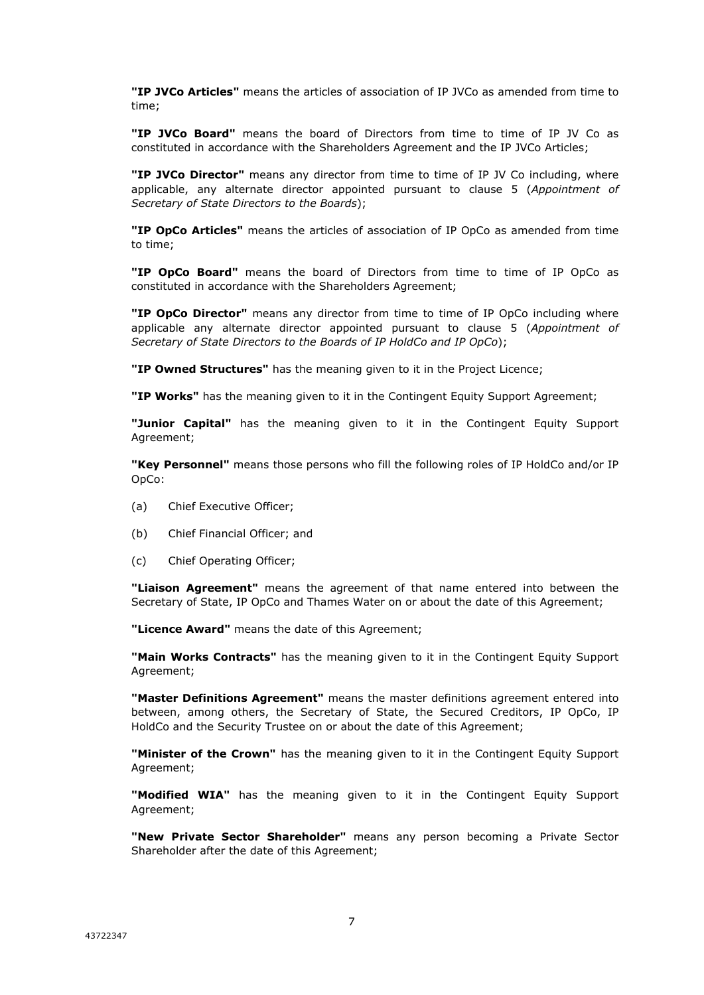**"IP JVCo Articles"** means the articles of association of IP JVCo as amended from time to time;

**"IP JVCo Board"** means the board of Directors from time to time of IP JV Co as constituted in accordance with the Shareholders Agreement and the IP JVCo Articles;

**"IP JVCo Director"** means any director from time to time of IP JV Co including, where applicable, any alternate director appointed pursuant to clause 5 (*Appointment of Secretary of State Directors to the Boards*);

**"IP OpCo Articles"** means the articles of association of IP OpCo as amended from time to time;

**"IP OpCo Board"** means the board of Directors from time to time of IP OpCo as constituted in accordance with the Shareholders Agreement;

**"IP OpCo Director"** means any director from time to time of IP OpCo including where applicable any alternate director appointed pursuant to clause 5 (*Appointment of Secretary of State Directors to the Boards of IP HoldCo and IP OpCo*);

**"IP Owned Structures"** has the meaning given to it in the Project Licence;

**"IP Works"** has the meaning given to it in the Contingent Equity Support Agreement;

**"Junior Capital"** has the meaning given to it in the Contingent Equity Support Agreement;

**"Key Personnel"** means those persons who fill the following roles of IP HoldCo and/or IP OpCo:

- (a) Chief Executive Officer;
- (b) Chief Financial Officer; and
- (c) Chief Operating Officer;

**"Liaison Agreement"** means the agreement of that name entered into between the Secretary of State, IP OpCo and Thames Water on or about the date of this Agreement;

**"Licence Award"** means the date of this Agreement;

**"Main Works Contracts"** has the meaning given to it in the Contingent Equity Support Agreement;

**"Master Definitions Agreement"** means the master definitions agreement entered into between, among others, the Secretary of State, the Secured Creditors, IP OpCo, IP HoldCo and the Security Trustee on or about the date of this Agreement;

**"Minister of the Crown"** has the meaning given to it in the Contingent Equity Support Agreement;

**"Modified WIA"** has the meaning given to it in the Contingent Equity Support Agreement;

**"New Private Sector Shareholder"** means any person becoming a Private Sector Shareholder after the date of this Agreement;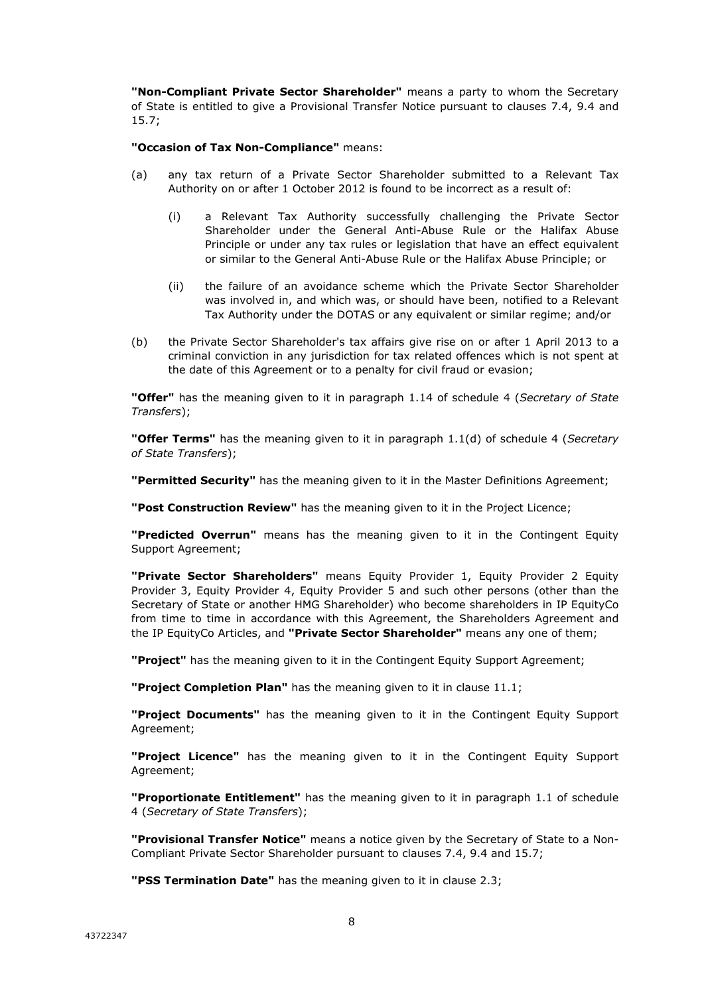**"Non-Compliant Private Sector Shareholder"** means a party to whom the Secretary of State is entitled to give a Provisional Transfer Notice pursuant to clauses 7.4, 9.4 and 15.7;

**"Occasion of Tax Non-Compliance"** means:

- (a) any tax return of a Private Sector Shareholder submitted to a Relevant Tax Authority on or after 1 October 2012 is found to be incorrect as a result of:
	- (i) a Relevant Tax Authority successfully challenging the Private Sector Shareholder under the General Anti-Abuse Rule or the Halifax Abuse Principle or under any tax rules or legislation that have an effect equivalent or similar to the General Anti-Abuse Rule or the Halifax Abuse Principle; or
	- (ii) the failure of an avoidance scheme which the Private Sector Shareholder was involved in, and which was, or should have been, notified to a Relevant Tax Authority under the DOTAS or any equivalent or similar regime; and/or
- (b) the Private Sector Shareholder's tax affairs give rise on or after 1 April 2013 to a criminal conviction in any jurisdiction for tax related offences which is not spent at the date of this Agreement or to a penalty for civil fraud or evasion;

**"Offer"** has the meaning given to it in paragraph 1.14 of schedule 4 (*Secretary of State Transfers*);

**"Offer Terms"** has the meaning given to it in paragraph 1.1(d) of schedule 4 (*Secretary of State Transfers*);

**"Permitted Security"** has the meaning given to it in the Master Definitions Agreement;

**"Post Construction Review"** has the meaning given to it in the Project Licence;

**"Predicted Overrun"** means has the meaning given to it in the Contingent Equity Support Agreement;

**"Private Sector Shareholders"** means Equity Provider 1, Equity Provider 2 Equity Provider 3, Equity Provider 4, Equity Provider 5 and such other persons (other than the Secretary of State or another HMG Shareholder) who become shareholders in IP EquityCo from time to time in accordance with this Agreement, the Shareholders Agreement and the IP EquityCo Articles, and **"Private Sector Shareholder"** means any one of them;

**"Project"** has the meaning given to it in the Contingent Equity Support Agreement;

**"Project Completion Plan"** has the meaning given to it in clause 11.1;

**"Project Documents"** has the meaning given to it in the Contingent Equity Support Agreement;

**"Project Licence"** has the meaning given to it in the Contingent Equity Support Agreement;

**"Proportionate Entitlement"** has the meaning given to it in paragraph 1.1 of schedule 4 (*Secretary of State Transfers*);

**"Provisional Transfer Notice"** means a notice given by the Secretary of State to a Non-Compliant Private Sector Shareholder pursuant to clauses 7.4, 9.4 and 15.7;

**"PSS Termination Date"** has the meaning given to it in clause 2.3;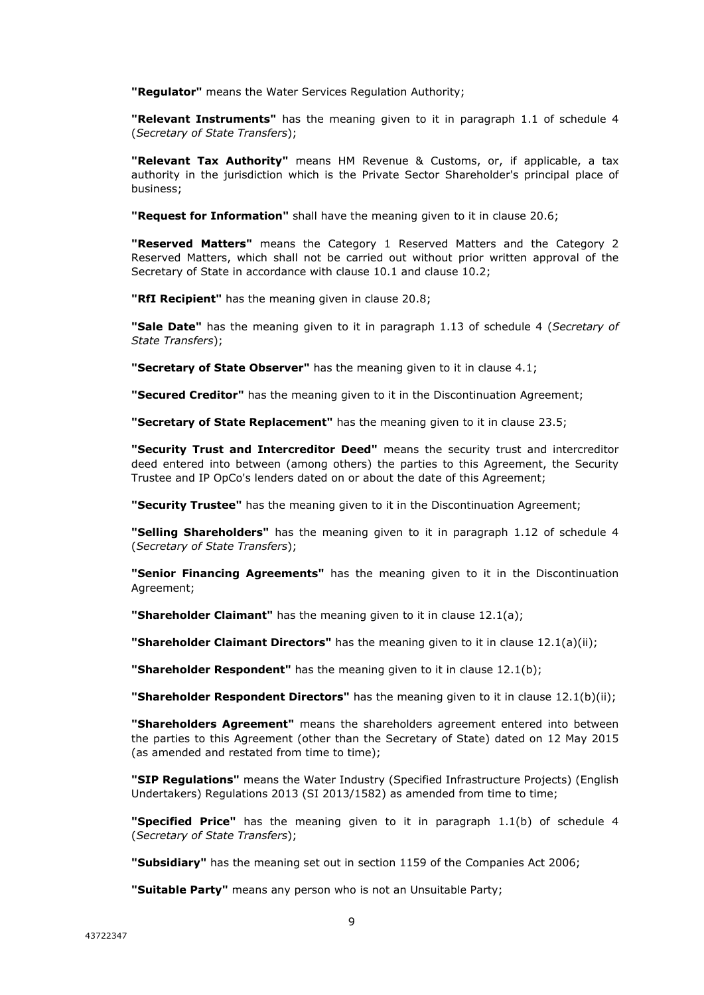**"Regulator"** means the Water Services Regulation Authority;

**"Relevant Instruments"** has the meaning given to it in paragraph 1.1 of schedule 4 (*Secretary of State Transfers*);

**"Relevant Tax Authority"** means HM Revenue & Customs, or, if applicable, a tax authority in the jurisdiction which is the Private Sector Shareholder's principal place of business;

**"Request for Information"** shall have the meaning given to it in clause 20.6;

**"Reserved Matters"** means the Category 1 Reserved Matters and the Category 2 Reserved Matters, which shall not be carried out without prior written approval of the Secretary of State in accordance with clause 10.1 and clause 10.2;

**"RfI Recipient"** has the meaning given in clause 20.8;

**"Sale Date"** has the meaning given to it in paragraph 1.13 of schedule 4 (*Secretary of State Transfers*);

**"Secretary of State Observer"** has the meaning given to it in clause 4.1;

**"Secured Creditor"** has the meaning given to it in the Discontinuation Agreement;

**"Secretary of State Replacement"** has the meaning given to it in clause 23.5;

**"Security Trust and Intercreditor Deed"** means the security trust and intercreditor deed entered into between (among others) the parties to this Agreement, the Security Trustee and IP OpCo's lenders dated on or about the date of this Agreement;

**"Security Trustee"** has the meaning given to it in the Discontinuation Agreement;

**"Selling Shareholders"** has the meaning given to it in paragraph 1.12 of schedule 4 (*Secretary of State Transfers*);

**"Senior Financing Agreements"** has the meaning given to it in the Discontinuation Agreement;

**"Shareholder Claimant"** has the meaning given to it in clause 12.1(a);

**"Shareholder Claimant Directors"** has the meaning given to it in clause 12.1(a)(ii);

**"Shareholder Respondent"** has the meaning given to it in clause 12.1(b);

**"Shareholder Respondent Directors"** has the meaning given to it in clause 12.1(b)(ii);

**"Shareholders Agreement"** means the shareholders agreement entered into between the parties to this Agreement (other than the Secretary of State) dated on 12 May 2015 (as amended and restated from time to time);

**"SIP Regulations"** means the Water Industry (Specified Infrastructure Projects) (English Undertakers) Regulations 2013 (SI 2013/1582) as amended from time to time;

**"Specified Price"** has the meaning given to it in paragraph 1.1(b) of schedule 4 (*Secretary of State Transfers*);

**"Subsidiary"** has the meaning set out in section 1159 of the Companies Act 2006;

**"Suitable Party"** means any person who is not an Unsuitable Party;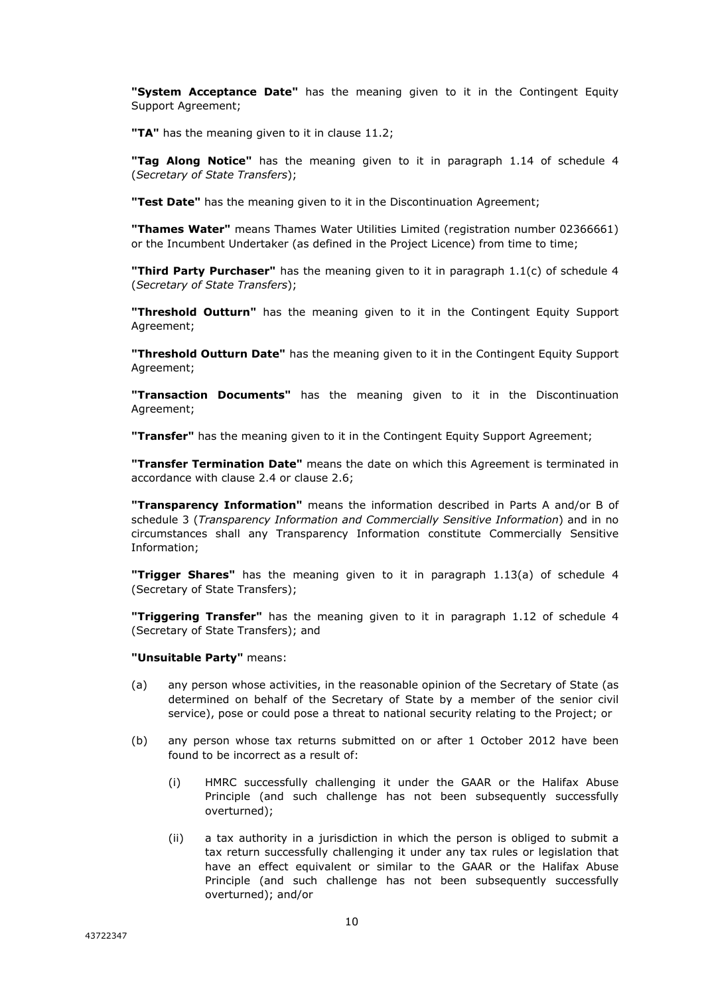**"System Acceptance Date"** has the meaning given to it in the Contingent Equity Support Agreement;

**"TA"** has the meaning given to it in clause 11.2;

**"Tag Along Notice"** has the meaning given to it in paragraph 1.14 of schedule 4 (*Secretary of State Transfers*);

**"Test Date"** has the meaning given to it in the Discontinuation Agreement;

**"Thames Water"** means Thames Water Utilities Limited (registration number 02366661) or the Incumbent Undertaker (as defined in the Project Licence) from time to time;

**"Third Party Purchaser"** has the meaning given to it in paragraph 1.1(c) of schedule 4 (*Secretary of State Transfers*);

**"Threshold Outturn"** has the meaning given to it in the Contingent Equity Support Agreement;

**"Threshold Outturn Date"** has the meaning given to it in the Contingent Equity Support Agreement;

**"Transaction Documents"** has the meaning given to it in the Discontinuation Agreement;

**"Transfer"** has the meaning given to it in the Contingent Equity Support Agreement;

**"Transfer Termination Date"** means the date on which this Agreement is terminated in accordance with clause 2.4 or clause 2.6;

**"Transparency Information"** means the information described in Parts A and/or B of schedule 3 (*Transparency Information and Commercially Sensitive Information*) and in no circumstances shall any Transparency Information constitute Commercially Sensitive Information;

**"Trigger Shares"** has the meaning given to it in paragraph 1.13(a) of schedule 4 (Secretary of State Transfers);

**"Triggering Transfer"** has the meaning given to it in paragraph 1.12 of schedule 4 (Secretary of State Transfers); and

#### **"Unsuitable Party"** means:

- (a) any person whose activities, in the reasonable opinion of the Secretary of State (as determined on behalf of the Secretary of State by a member of the senior civil service), pose or could pose a threat to national security relating to the Project; or
- (b) any person whose tax returns submitted on or after 1 October 2012 have been found to be incorrect as a result of:
	- (i) HMRC successfully challenging it under the GAAR or the Halifax Abuse Principle (and such challenge has not been subsequently successfully overturned);
	- (ii) a tax authority in a jurisdiction in which the person is obliged to submit a tax return successfully challenging it under any tax rules or legislation that have an effect equivalent or similar to the GAAR or the Halifax Abuse Principle (and such challenge has not been subsequently successfully overturned); and/or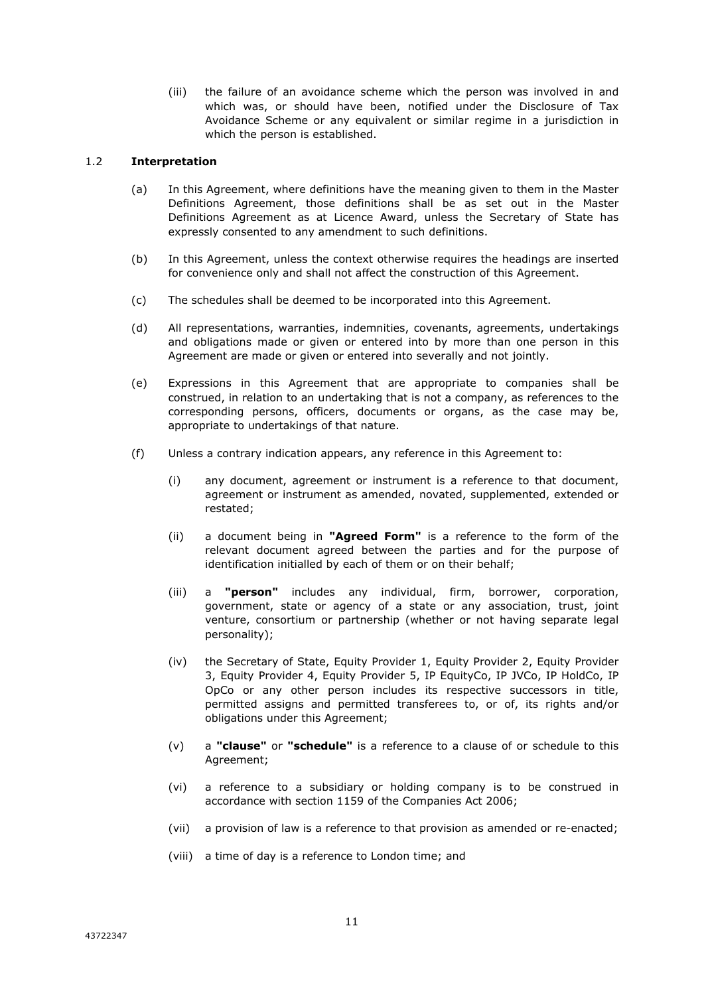(iii) the failure of an avoidance scheme which the person was involved in and which was, or should have been, notified under the Disclosure of Tax Avoidance Scheme or any equivalent or similar regime in a jurisdiction in which the person is established.

#### 1.2 **Interpretation**

- (a) In this Agreement, where definitions have the meaning given to them in the Master Definitions Agreement, those definitions shall be as set out in the Master Definitions Agreement as at Licence Award, unless the Secretary of State has expressly consented to any amendment to such definitions.
- (b) In this Agreement, unless the context otherwise requires the headings are inserted for convenience only and shall not affect the construction of this Agreement.
- (c) The schedules shall be deemed to be incorporated into this Agreement.
- (d) All representations, warranties, indemnities, covenants, agreements, undertakings and obligations made or given or entered into by more than one person in this Agreement are made or given or entered into severally and not jointly.
- (e) Expressions in this Agreement that are appropriate to companies shall be construed, in relation to an undertaking that is not a company, as references to the corresponding persons, officers, documents or organs, as the case may be, appropriate to undertakings of that nature.
- (f) Unless a contrary indication appears, any reference in this Agreement to:
	- (i) any document, agreement or instrument is a reference to that document, agreement or instrument as amended, novated, supplemented, extended or restated;
	- (ii) a document being in **"Agreed Form"** is a reference to the form of the relevant document agreed between the parties and for the purpose of identification initialled by each of them or on their behalf;
	- (iii) a **"person"** includes any individual, firm, borrower, corporation, government, state or agency of a state or any association, trust, joint venture, consortium or partnership (whether or not having separate legal personality);
	- (iv) the Secretary of State, Equity Provider 1, Equity Provider 2, Equity Provider 3, Equity Provider 4, Equity Provider 5, IP EquityCo, IP JVCo, IP HoldCo, IP OpCo or any other person includes its respective successors in title, permitted assigns and permitted transferees to, or of, its rights and/or obligations under this Agreement;
	- (v) a **"clause"** or **"schedule"** is a reference to a clause of or schedule to this Agreement;
	- (vi) a reference to a subsidiary or holding company is to be construed in accordance with section 1159 of the Companies Act 2006;
	- (vii) a provision of law is a reference to that provision as amended or re-enacted;
	- (viii) a time of day is a reference to London time; and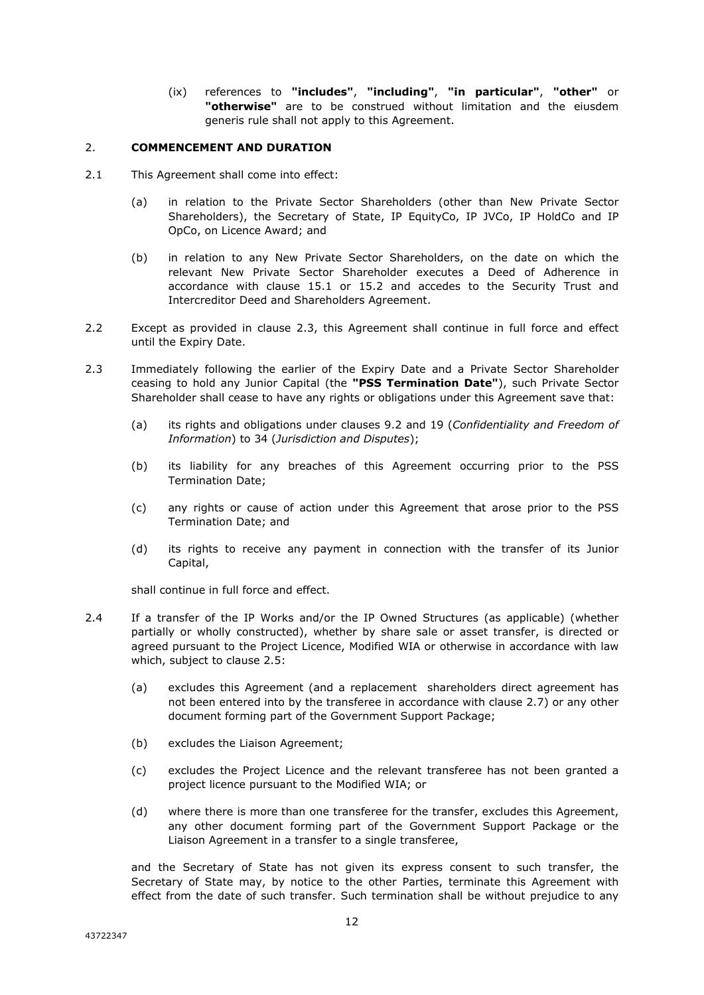(ix) references to **"includes"**, **"including"**, **"in particular"**, **"other"** or **"otherwise"** are to be construed without limitation and the eiusdem generis rule shall not apply to this Agreement.

#### 2. **COMMENCEMENT AND DURATION**

- 2.1 This Agreement shall come into effect:
	- (a) in relation to the Private Sector Shareholders (other than New Private Sector Shareholders), the Secretary of State, IP EquityCo, IP JVCo, IP HoldCo and IP OpCo, on Licence Award; and
	- (b) in relation to any New Private Sector Shareholders, on the date on which the relevant New Private Sector Shareholder executes a Deed of Adherence in accordance with clause 15.1 or 15.2 and accedes to the Security Trust and Intercreditor Deed and Shareholders Agreement.
- 2.2 Except as provided in clause 2.3, this Agreement shall continue in full force and effect until the Expiry Date.
- 2.3 Immediately following the earlier of the Expiry Date and a Private Sector Shareholder ceasing to hold any Junior Capital (the **"PSS Termination Date"**), such Private Sector Shareholder shall cease to have any rights or obligations under this Agreement save that:
	- (a) its rights and obligations under clauses 9.2 and 19 (*Confidentiality and Freedom of Information*) to 34 (*Jurisdiction and Disputes*);
	- (b) its liability for any breaches of this Agreement occurring prior to the PSS Termination Date;
	- (c) any rights or cause of action under this Agreement that arose prior to the PSS Termination Date; and
	- (d) its rights to receive any payment in connection with the transfer of its Junior Capital,

shall continue in full force and effect.

- 2.4 If a transfer of the IP Works and/or the IP Owned Structures (as applicable) (whether partially or wholly constructed), whether by share sale or asset transfer, is directed or agreed pursuant to the Project Licence, Modified WIA or otherwise in accordance with law which, subject to clause 2.5:
	- (a) excludes this Agreement (and a replacement shareholders direct agreement has not been entered into by the transferee in accordance with clause 2.7) or any other document forming part of the Government Support Package;
	- (b) excludes the Liaison Agreement;
	- (c) excludes the Project Licence and the relevant transferee has not been granted a project licence pursuant to the Modified WIA; or
	- (d) where there is more than one transferee for the transfer, excludes this Agreement, any other document forming part of the Government Support Package or the Liaison Agreement in a transfer to a single transferee,

and the Secretary of State has not given its express consent to such transfer, the Secretary of State may, by notice to the other Parties, terminate this Agreement with effect from the date of such transfer. Such termination shall be without prejudice to any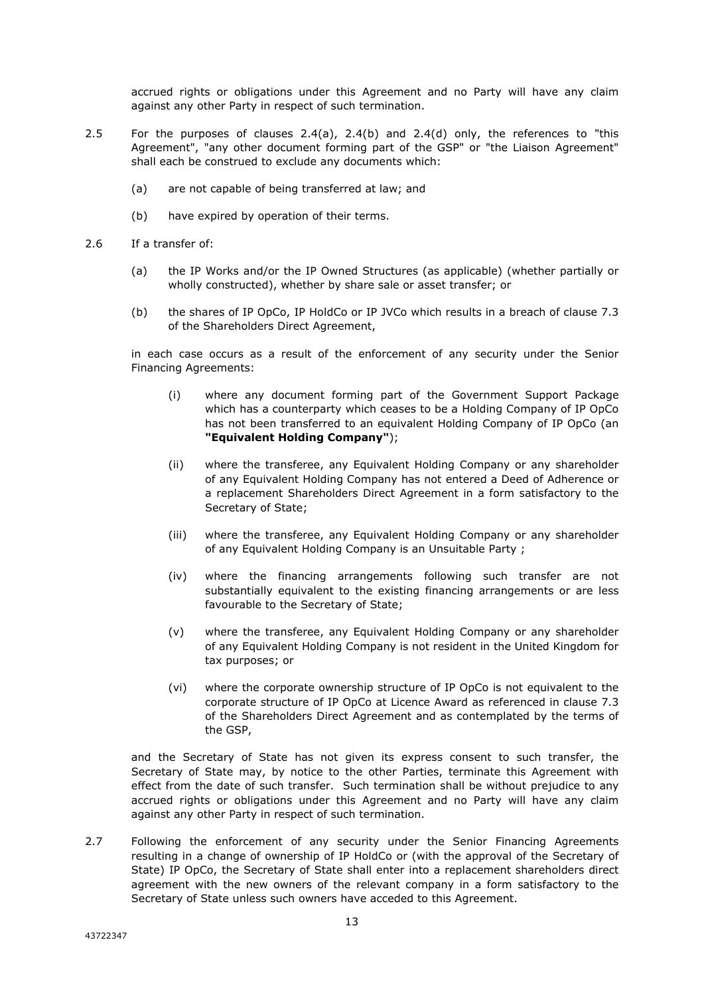accrued rights or obligations under this Agreement and no Party will have any claim against any other Party in respect of such termination.

- 2.5 For the purposes of clauses 2.4(a), 2.4(b) and 2.4(d) only, the references to "this Agreement", "any other document forming part of the GSP" or "the Liaison Agreement" shall each be construed to exclude any documents which:
	- (a) are not capable of being transferred at law; and
	- (b) have expired by operation of their terms.
- 2.6 If a transfer of:
	- (a) the IP Works and/or the IP Owned Structures (as applicable) (whether partially or wholly constructed), whether by share sale or asset transfer; or
	- (b) the shares of IP OpCo, IP HoldCo or IP JVCo which results in a breach of clause 7.3 of the Shareholders Direct Agreement,

in each case occurs as a result of the enforcement of any security under the Senior Financing Agreements:

- (i) where any document forming part of the Government Support Package which has a counterparty which ceases to be a Holding Company of IP OpCo has not been transferred to an equivalent Holding Company of IP OpCo (an **"Equivalent Holding Company"**);
- (ii) where the transferee, any Equivalent Holding Company or any shareholder of any Equivalent Holding Company has not entered a Deed of Adherence or a replacement Shareholders Direct Agreement in a form satisfactory to the Secretary of State;
- (iii) where the transferee, any Equivalent Holding Company or any shareholder of any Equivalent Holding Company is an Unsuitable Party ;
- (iv) where the financing arrangements following such transfer are not substantially equivalent to the existing financing arrangements or are less favourable to the Secretary of State;
- (v) where the transferee, any Equivalent Holding Company or any shareholder of any Equivalent Holding Company is not resident in the United Kingdom for tax purposes; or
- (vi) where the corporate ownership structure of IP OpCo is not equivalent to the corporate structure of IP OpCo at Licence Award as referenced in clause 7.3 of the Shareholders Direct Agreement and as contemplated by the terms of the GSP,

and the Secretary of State has not given its express consent to such transfer, the Secretary of State may, by notice to the other Parties, terminate this Agreement with effect from the date of such transfer. Such termination shall be without prejudice to any accrued rights or obligations under this Agreement and no Party will have any claim against any other Party in respect of such termination.

2.7 Following the enforcement of any security under the Senior Financing Agreements resulting in a change of ownership of IP HoldCo or (with the approval of the Secretary of State) IP OpCo, the Secretary of State shall enter into a replacement shareholders direct agreement with the new owners of the relevant company in a form satisfactory to the Secretary of State unless such owners have acceded to this Agreement.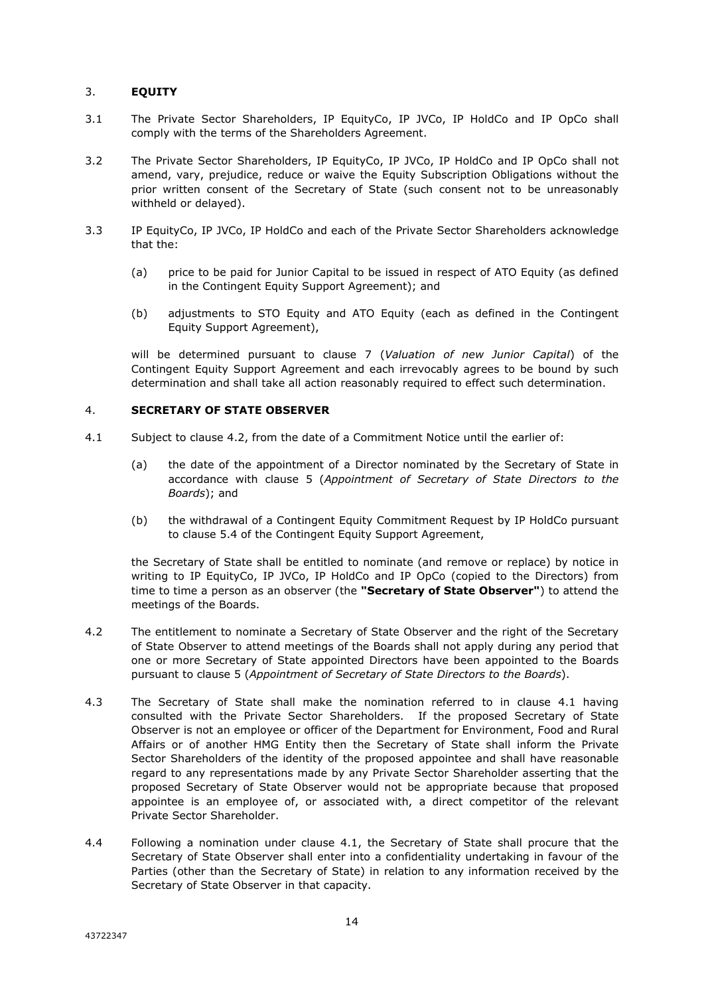#### 3. **EQUITY**

- 3.1 The Private Sector Shareholders, IP EquityCo, IP JVCo, IP HoldCo and IP OpCo shall comply with the terms of the Shareholders Agreement.
- 3.2 The Private Sector Shareholders, IP EquityCo, IP JVCo, IP HoldCo and IP OpCo shall not amend, vary, prejudice, reduce or waive the Equity Subscription Obligations without the prior written consent of the Secretary of State (such consent not to be unreasonably withheld or delayed).
- 3.3 IP EquityCo, IP JVCo, IP HoldCo and each of the Private Sector Shareholders acknowledge that the:
	- (a) price to be paid for Junior Capital to be issued in respect of ATO Equity (as defined in the Contingent Equity Support Agreement); and
	- (b) adjustments to STO Equity and ATO Equity (each as defined in the Contingent Equity Support Agreement),

will be determined pursuant to clause 7 (*Valuation of new Junior Capital*) of the Contingent Equity Support Agreement and each irrevocably agrees to be bound by such determination and shall take all action reasonably required to effect such determination.

#### 4. **SECRETARY OF STATE OBSERVER**

- 4.1 Subject to clause 4.2, from the date of a Commitment Notice until the earlier of:
	- (a) the date of the appointment of a Director nominated by the Secretary of State in accordance with clause 5 (*Appointment of Secretary of State Directors to the Boards*); and
	- (b) the withdrawal of a Contingent Equity Commitment Request by IP HoldCo pursuant to clause 5.4 of the Contingent Equity Support Agreement,

the Secretary of State shall be entitled to nominate (and remove or replace) by notice in writing to IP EquityCo, IP JVCo, IP HoldCo and IP OpCo (copied to the Directors) from time to time a person as an observer (the **"Secretary of State Observer"**) to attend the meetings of the Boards.

- 4.2 The entitlement to nominate a Secretary of State Observer and the right of the Secretary of State Observer to attend meetings of the Boards shall not apply during any period that one or more Secretary of State appointed Directors have been appointed to the Boards pursuant to clause 5 (*Appointment of Secretary of State Directors to the Boards*).
- 4.3 The Secretary of State shall make the nomination referred to in clause 4.1 having consulted with the Private Sector Shareholders. If the proposed Secretary of State Observer is not an employee or officer of the Department for Environment, Food and Rural Affairs or of another HMG Entity then the Secretary of State shall inform the Private Sector Shareholders of the identity of the proposed appointee and shall have reasonable regard to any representations made by any Private Sector Shareholder asserting that the proposed Secretary of State Observer would not be appropriate because that proposed appointee is an employee of, or associated with, a direct competitor of the relevant Private Sector Shareholder.
- 4.4 Following a nomination under clause 4.1, the Secretary of State shall procure that the Secretary of State Observer shall enter into a confidentiality undertaking in favour of the Parties (other than the Secretary of State) in relation to any information received by the Secretary of State Observer in that capacity.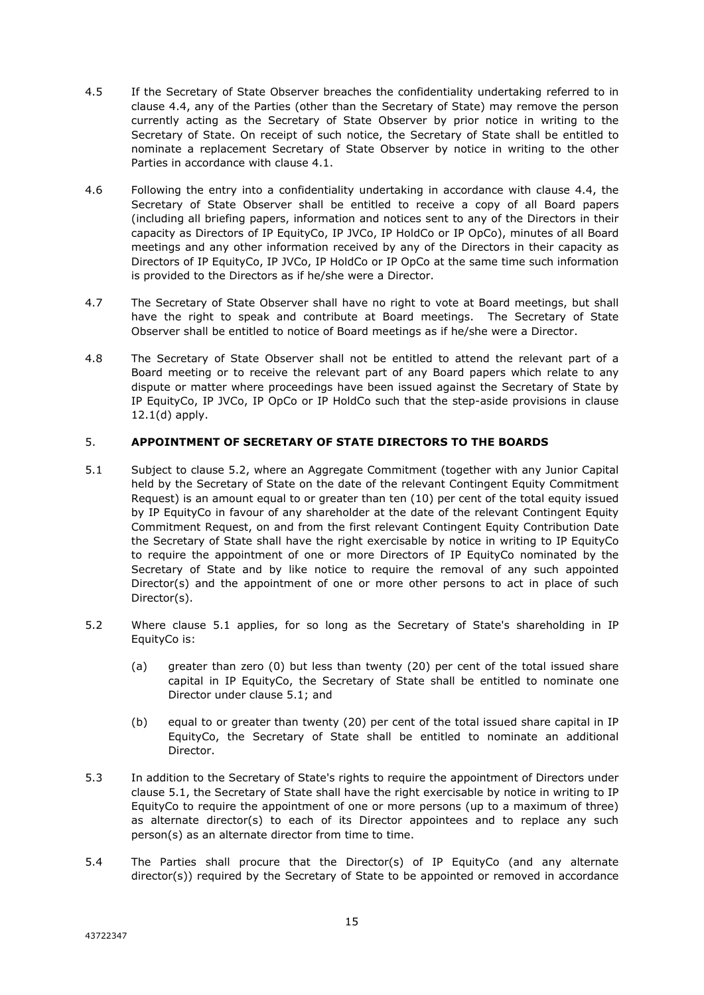- 4.5 If the Secretary of State Observer breaches the confidentiality undertaking referred to in clause 4.4, any of the Parties (other than the Secretary of State) may remove the person currently acting as the Secretary of State Observer by prior notice in writing to the Secretary of State. On receipt of such notice, the Secretary of State shall be entitled to nominate a replacement Secretary of State Observer by notice in writing to the other Parties in accordance with clause 4.1.
- 4.6 Following the entry into a confidentiality undertaking in accordance with clause 4.4, the Secretary of State Observer shall be entitled to receive a copy of all Board papers (including all briefing papers, information and notices sent to any of the Directors in their capacity as Directors of IP EquityCo, IP JVCo, IP HoldCo or IP OpCo), minutes of all Board meetings and any other information received by any of the Directors in their capacity as Directors of IP EquityCo, IP JVCo, IP HoldCo or IP OpCo at the same time such information is provided to the Directors as if he/she were a Director.
- 4.7 The Secretary of State Observer shall have no right to vote at Board meetings, but shall have the right to speak and contribute at Board meetings. The Secretary of State Observer shall be entitled to notice of Board meetings as if he/she were a Director.
- 4.8 The Secretary of State Observer shall not be entitled to attend the relevant part of a Board meeting or to receive the relevant part of any Board papers which relate to any dispute or matter where proceedings have been issued against the Secretary of State by IP EquityCo, IP JVCo, IP OpCo or IP HoldCo such that the step-aside provisions in clause 12.1(d) apply.

#### 5. **APPOINTMENT OF SECRETARY OF STATE DIRECTORS TO THE BOARDS**

- 5.1 Subject to clause 5.2, where an Aggregate Commitment (together with any Junior Capital held by the Secretary of State on the date of the relevant Contingent Equity Commitment Request) is an amount equal to or greater than ten (10) per cent of the total equity issued by IP EquityCo in favour of any shareholder at the date of the relevant Contingent Equity Commitment Request, on and from the first relevant Contingent Equity Contribution Date the Secretary of State shall have the right exercisable by notice in writing to IP EquityCo to require the appointment of one or more Directors of IP EquityCo nominated by the Secretary of State and by like notice to require the removal of any such appointed Director(s) and the appointment of one or more other persons to act in place of such Director(s).
- 5.2 Where clause 5.1 applies, for so long as the Secretary of State's shareholding in IP EquityCo is:
	- (a) greater than zero (0) but less than twenty (20) per cent of the total issued share capital in IP EquityCo, the Secretary of State shall be entitled to nominate one Director under clause 5.1; and
	- (b) equal to or greater than twenty (20) per cent of the total issued share capital in IP EquityCo, the Secretary of State shall be entitled to nominate an additional Director.
- 5.3 In addition to the Secretary of State's rights to require the appointment of Directors under clause 5.1, the Secretary of State shall have the right exercisable by notice in writing to IP EquityCo to require the appointment of one or more persons (up to a maximum of three) as alternate director(s) to each of its Director appointees and to replace any such person(s) as an alternate director from time to time.
- 5.4 The Parties shall procure that the Director(s) of IP EquityCo (and any alternate director(s)) required by the Secretary of State to be appointed or removed in accordance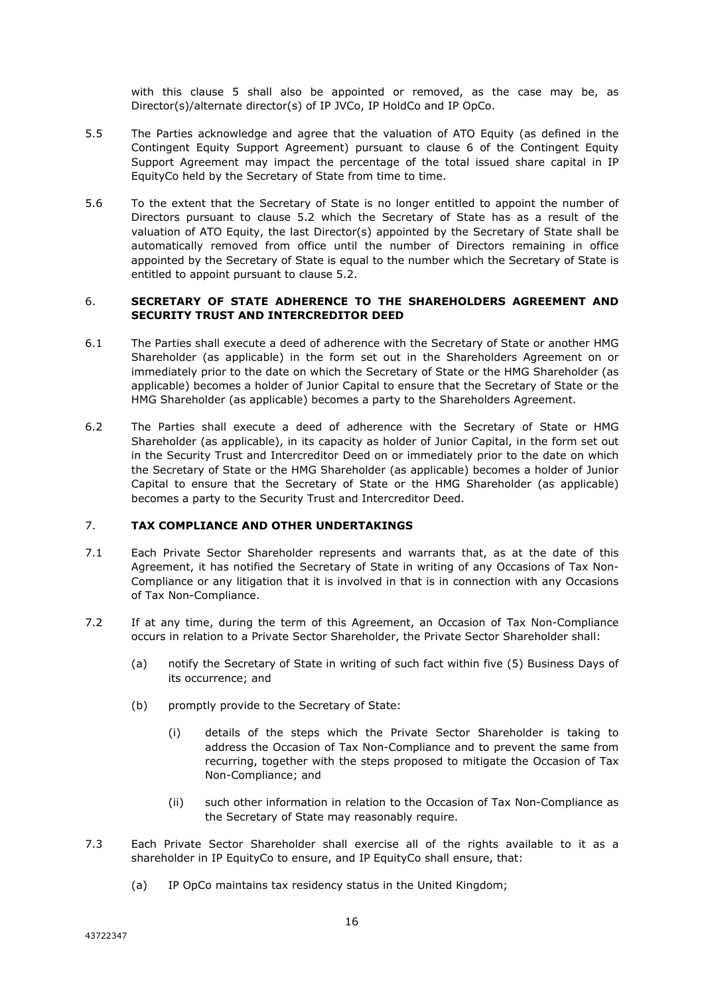with this clause 5 shall also be appointed or removed, as the case may be, as Director(s)/alternate director(s) of IP JVCo, IP HoldCo and IP OpCo.

- 5.5 The Parties acknowledge and agree that the valuation of ATO Equity (as defined in the Contingent Equity Support Agreement) pursuant to clause 6 of the Contingent Equity Support Agreement may impact the percentage of the total issued share capital in IP EquityCo held by the Secretary of State from time to time.
- 5.6 To the extent that the Secretary of State is no longer entitled to appoint the number of Directors pursuant to clause 5.2 which the Secretary of State has as a result of the valuation of ATO Equity, the last Director(s) appointed by the Secretary of State shall be automatically removed from office until the number of Directors remaining in office appointed by the Secretary of State is equal to the number which the Secretary of State is entitled to appoint pursuant to clause 5.2.

#### 6. **SECRETARY OF STATE ADHERENCE TO THE SHAREHOLDERS AGREEMENT AND SECURITY TRUST AND INTERCREDITOR DEED**

- 6.1 The Parties shall execute a deed of adherence with the Secretary of State or another HMG Shareholder (as applicable) in the form set out in the Shareholders Agreement on or immediately prior to the date on which the Secretary of State or the HMG Shareholder (as applicable) becomes a holder of Junior Capital to ensure that the Secretary of State or the HMG Shareholder (as applicable) becomes a party to the Shareholders Agreement.
- 6.2 The Parties shall execute a deed of adherence with the Secretary of State or HMG Shareholder (as applicable), in its capacity as holder of Junior Capital, in the form set out in the Security Trust and Intercreditor Deed on or immediately prior to the date on which the Secretary of State or the HMG Shareholder (as applicable) becomes a holder of Junior Capital to ensure that the Secretary of State or the HMG Shareholder (as applicable) becomes a party to the Security Trust and Intercreditor Deed.

#### 7. **TAX COMPLIANCE AND OTHER UNDERTAKINGS**

- 7.1 Each Private Sector Shareholder represents and warrants that, as at the date of this Agreement, it has notified the Secretary of State in writing of any Occasions of Tax Non-Compliance or any litigation that it is involved in that is in connection with any Occasions of Tax Non-Compliance.
- 7.2 If at any time, during the term of this Agreement, an Occasion of Tax Non-Compliance occurs in relation to a Private Sector Shareholder, the Private Sector Shareholder shall:
	- (a) notify the Secretary of State in writing of such fact within five (5) Business Days of its occurrence; and
	- (b) promptly provide to the Secretary of State:
		- (i) details of the steps which the Private Sector Shareholder is taking to address the Occasion of Tax Non-Compliance and to prevent the same from recurring, together with the steps proposed to mitigate the Occasion of Tax Non-Compliance; and
		- (ii) such other information in relation to the Occasion of Tax Non-Compliance as the Secretary of State may reasonably require.
- 7.3 Each Private Sector Shareholder shall exercise all of the rights available to it as a shareholder in IP EquityCo to ensure, and IP EquityCo shall ensure, that:
	- (a) IP OpCo maintains tax residency status in the United Kingdom;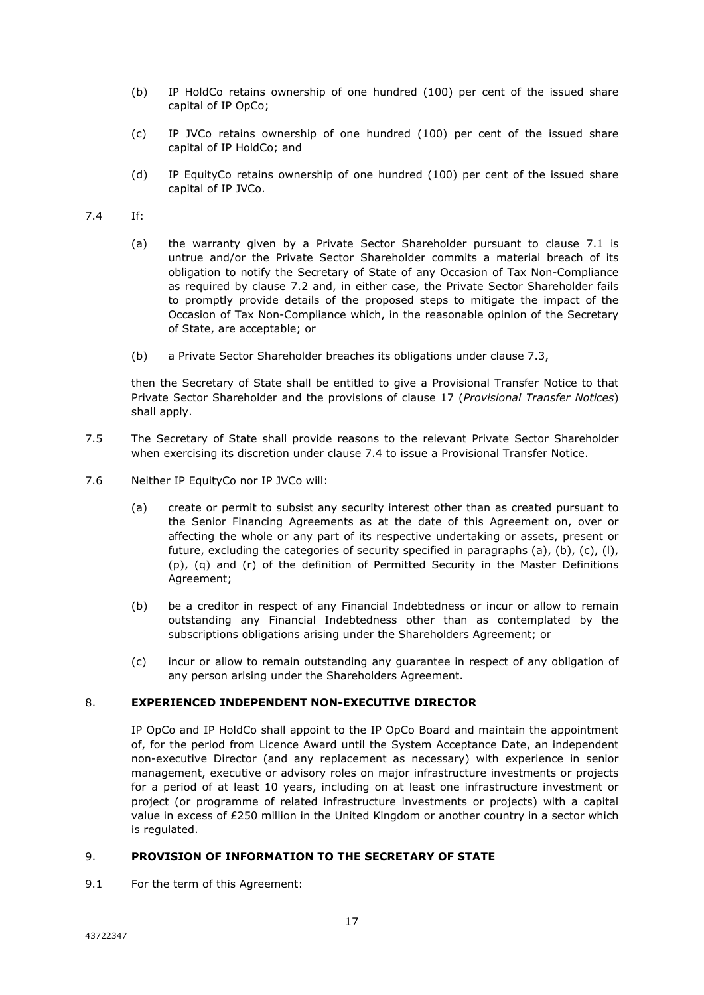- (b) IP HoldCo retains ownership of one hundred (100) per cent of the issued share capital of IP OpCo;
- (c) IP JVCo retains ownership of one hundred (100) per cent of the issued share capital of IP HoldCo; and
- (d) IP EquityCo retains ownership of one hundred (100) per cent of the issued share capital of IP JVCo.
- 7.4 If:
	- (a) the warranty given by a Private Sector Shareholder pursuant to clause 7.1 is untrue and/or the Private Sector Shareholder commits a material breach of its obligation to notify the Secretary of State of any Occasion of Tax Non-Compliance as required by clause 7.2 and, in either case, the Private Sector Shareholder fails to promptly provide details of the proposed steps to mitigate the impact of the Occasion of Tax Non-Compliance which, in the reasonable opinion of the Secretary of State, are acceptable; or
	- (b) a Private Sector Shareholder breaches its obligations under clause 7.3,

then the Secretary of State shall be entitled to give a Provisional Transfer Notice to that Private Sector Shareholder and the provisions of clause 17 (*Provisional Transfer Notices*) shall apply.

- 7.5 The Secretary of State shall provide reasons to the relevant Private Sector Shareholder when exercising its discretion under clause 7.4 to issue a Provisional Transfer Notice.
- 7.6 Neither IP EquityCo nor IP JVCo will:
	- (a) create or permit to subsist any security interest other than as created pursuant to the Senior Financing Agreements as at the date of this Agreement on, over or affecting the whole or any part of its respective undertaking or assets, present or future, excluding the categories of security specified in paragraphs (a), (b), (c), (l), (p), (q) and (r) of the definition of Permitted Security in the Master Definitions Agreement;
	- (b) be a creditor in respect of any Financial Indebtedness or incur or allow to remain outstanding any Financial Indebtedness other than as contemplated by the subscriptions obligations arising under the Shareholders Agreement; or
	- (c) incur or allow to remain outstanding any guarantee in respect of any obligation of any person arising under the Shareholders Agreement.

# 8. **EXPERIENCED INDEPENDENT NON-EXECUTIVE DIRECTOR**

IP OpCo and IP HoldCo shall appoint to the IP OpCo Board and maintain the appointment of, for the period from Licence Award until the System Acceptance Date, an independent non-executive Director (and any replacement as necessary) with experience in senior management, executive or advisory roles on major infrastructure investments or projects for a period of at least 10 years, including on at least one infrastructure investment or project (or programme of related infrastructure investments or projects) with a capital value in excess of £250 million in the United Kingdom or another country in a sector which is regulated.

#### 9. **PROVISION OF INFORMATION TO THE SECRETARY OF STATE**

9.1 For the term of this Agreement: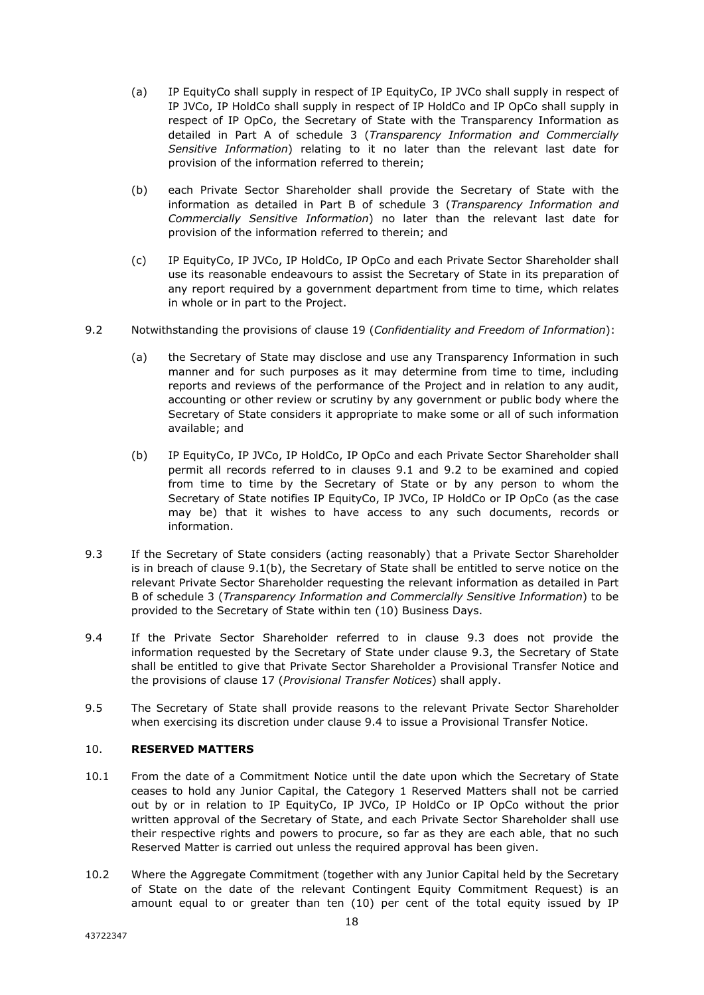- (a) IP EquityCo shall supply in respect of IP EquityCo, IP JVCo shall supply in respect of IP JVCo, IP HoldCo shall supply in respect of IP HoldCo and IP OpCo shall supply in respect of IP OpCo, the Secretary of State with the Transparency Information as detailed in Part A of schedule 3 (*Transparency Information and Commercially Sensitive Information*) relating to it no later than the relevant last date for provision of the information referred to therein;
- (b) each Private Sector Shareholder shall provide the Secretary of State with the information as detailed in Part B of schedule 3 (*Transparency Information and Commercially Sensitive Information*) no later than the relevant last date for provision of the information referred to therein; and
- (c) IP EquityCo, IP JVCo, IP HoldCo, IP OpCo and each Private Sector Shareholder shall use its reasonable endeavours to assist the Secretary of State in its preparation of any report required by a government department from time to time, which relates in whole or in part to the Project.
- 9.2 Notwithstanding the provisions of clause 19 (*Confidentiality and Freedom of Information*):
	- (a) the Secretary of State may disclose and use any Transparency Information in such manner and for such purposes as it may determine from time to time, including reports and reviews of the performance of the Project and in relation to any audit, accounting or other review or scrutiny by any government or public body where the Secretary of State considers it appropriate to make some or all of such information available; and
	- (b) IP EquityCo, IP JVCo, IP HoldCo, IP OpCo and each Private Sector Shareholder shall permit all records referred to in clauses 9.1 and 9.2 to be examined and copied from time to time by the Secretary of State or by any person to whom the Secretary of State notifies IP EquityCo, IP JVCo, IP HoldCo or IP OpCo (as the case may be) that it wishes to have access to any such documents, records or information.
- 9.3 If the Secretary of State considers (acting reasonably) that a Private Sector Shareholder is in breach of clause 9.1(b), the Secretary of State shall be entitled to serve notice on the relevant Private Sector Shareholder requesting the relevant information as detailed in Part B of schedule 3 (*Transparency Information and Commercially Sensitive Information*) to be provided to the Secretary of State within ten (10) Business Days.
- 9.4 If the Private Sector Shareholder referred to in clause 9.3 does not provide the information requested by the Secretary of State under clause 9.3, the Secretary of State shall be entitled to give that Private Sector Shareholder a Provisional Transfer Notice and the provisions of clause 17 (*Provisional Transfer Notices*) shall apply.
- 9.5 The Secretary of State shall provide reasons to the relevant Private Sector Shareholder when exercising its discretion under clause 9.4 to issue a Provisional Transfer Notice.

# 10. **RESERVED MATTERS**

- 10.1 From the date of a Commitment Notice until the date upon which the Secretary of State ceases to hold any Junior Capital, the Category 1 Reserved Matters shall not be carried out by or in relation to IP EquityCo, IP JVCo, IP HoldCo or IP OpCo without the prior written approval of the Secretary of State, and each Private Sector Shareholder shall use their respective rights and powers to procure, so far as they are each able, that no such Reserved Matter is carried out unless the required approval has been given.
- 10.2 Where the Aggregate Commitment (together with any Junior Capital held by the Secretary of State on the date of the relevant Contingent Equity Commitment Request) is an amount equal to or greater than ten (10) per cent of the total equity issued by IP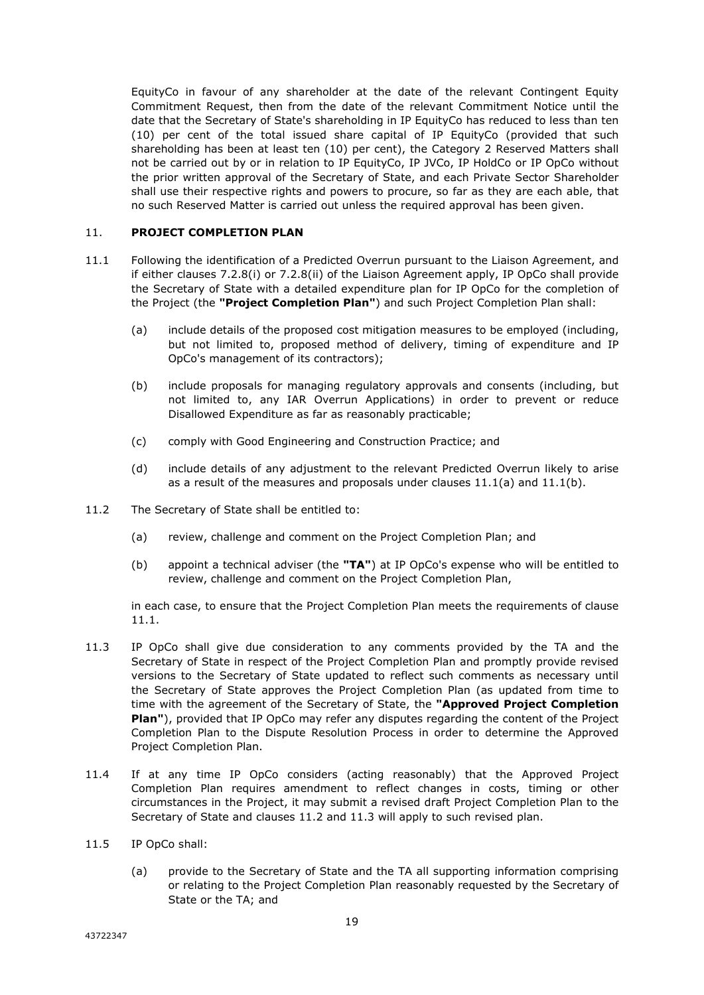EquityCo in favour of any shareholder at the date of the relevant Contingent Equity Commitment Request, then from the date of the relevant Commitment Notice until the date that the Secretary of State's shareholding in IP EquityCo has reduced to less than ten (10) per cent of the total issued share capital of IP EquityCo (provided that such shareholding has been at least ten (10) per cent), the Category 2 Reserved Matters shall not be carried out by or in relation to IP EquityCo, IP JVCo, IP HoldCo or IP OpCo without the prior written approval of the Secretary of State, and each Private Sector Shareholder shall use their respective rights and powers to procure, so far as they are each able, that no such Reserved Matter is carried out unless the required approval has been given.

#### 11. **PROJECT COMPLETION PLAN**

- 11.1 Following the identification of a Predicted Overrun pursuant to the Liaison Agreement, and if either clauses 7.2.8(i) or 7.2.8(ii) of the Liaison Agreement apply, IP OpCo shall provide the Secretary of State with a detailed expenditure plan for IP OpCo for the completion of the Project (the **"Project Completion Plan"**) and such Project Completion Plan shall:
	- (a) include details of the proposed cost mitigation measures to be employed (including, but not limited to, proposed method of delivery, timing of expenditure and IP OpCo's management of its contractors);
	- (b) include proposals for managing regulatory approvals and consents (including, but not limited to, any IAR Overrun Applications) in order to prevent or reduce Disallowed Expenditure as far as reasonably practicable;
	- (c) comply with Good Engineering and Construction Practice; and
	- (d) include details of any adjustment to the relevant Predicted Overrun likely to arise as a result of the measures and proposals under clauses 11.1(a) and 11.1(b).
- 11.2 The Secretary of State shall be entitled to:
	- (a) review, challenge and comment on the Project Completion Plan; and
	- (b) appoint a technical adviser (the **"TA"**) at IP OpCo's expense who will be entitled to review, challenge and comment on the Project Completion Plan,

in each case, to ensure that the Project Completion Plan meets the requirements of clause 11.1.

- 11.3 IP OpCo shall give due consideration to any comments provided by the TA and the Secretary of State in respect of the Project Completion Plan and promptly provide revised versions to the Secretary of State updated to reflect such comments as necessary until the Secretary of State approves the Project Completion Plan (as updated from time to time with the agreement of the Secretary of State, the **"Approved Project Completion Plan"**), provided that IP OpCo may refer any disputes regarding the content of the Project Completion Plan to the Dispute Resolution Process in order to determine the Approved Project Completion Plan.
- 11.4 If at any time IP OpCo considers (acting reasonably) that the Approved Project Completion Plan requires amendment to reflect changes in costs, timing or other circumstances in the Project, it may submit a revised draft Project Completion Plan to the Secretary of State and clauses 11.2 and 11.3 will apply to such revised plan.
- 11.5 IP OpCo shall:
	- (a) provide to the Secretary of State and the TA all supporting information comprising or relating to the Project Completion Plan reasonably requested by the Secretary of State or the TA; and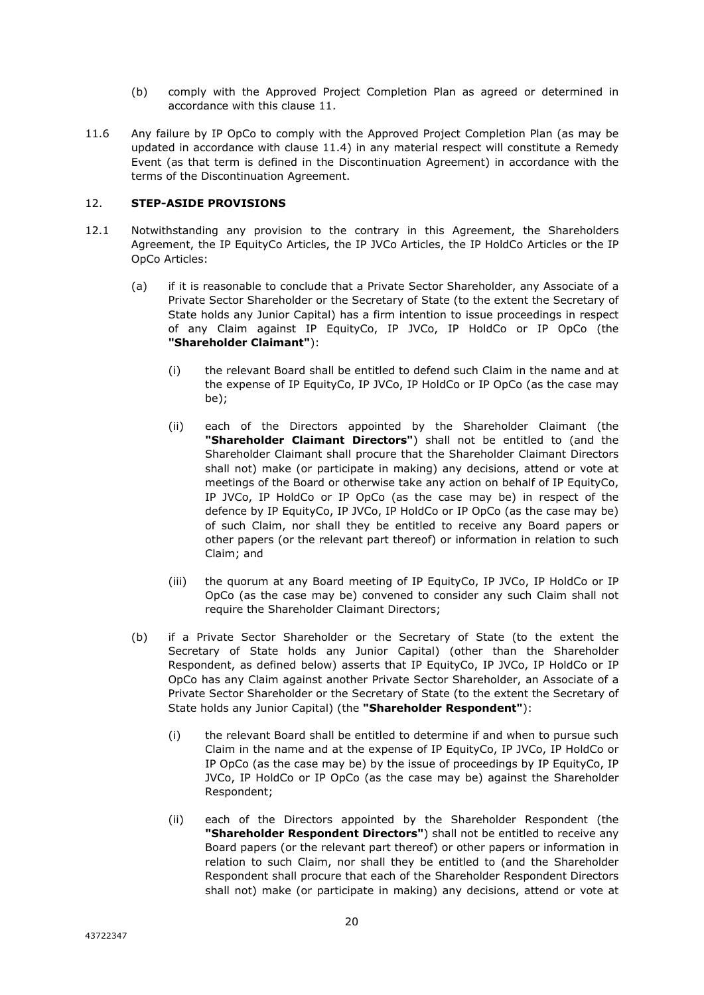- (b) comply with the Approved Project Completion Plan as agreed or determined in accordance with this clause 11.
- 11.6 Any failure by IP OpCo to comply with the Approved Project Completion Plan (as may be updated in accordance with clause 11.4) in any material respect will constitute a Remedy Event (as that term is defined in the Discontinuation Agreement) in accordance with the terms of the Discontinuation Agreement.

# 12. **STEP-ASIDE PROVISIONS**

- 12.1 Notwithstanding any provision to the contrary in this Agreement, the Shareholders Agreement, the IP EquityCo Articles, the IP JVCo Articles, the IP HoldCo Articles or the IP OpCo Articles:
	- (a) if it is reasonable to conclude that a Private Sector Shareholder, any Associate of a Private Sector Shareholder or the Secretary of State (to the extent the Secretary of State holds any Junior Capital) has a firm intention to issue proceedings in respect of any Claim against IP EquityCo, IP JVCo, IP HoldCo or IP OpCo (the **"Shareholder Claimant"**):
		- (i) the relevant Board shall be entitled to defend such Claim in the name and at the expense of IP EquityCo, IP JVCo, IP HoldCo or IP OpCo (as the case may be);
		- (ii) each of the Directors appointed by the Shareholder Claimant (the **"Shareholder Claimant Directors"**) shall not be entitled to (and the Shareholder Claimant shall procure that the Shareholder Claimant Directors shall not) make (or participate in making) any decisions, attend or vote at meetings of the Board or otherwise take any action on behalf of IP EquityCo, IP JVCo, IP HoldCo or IP OpCo (as the case may be) in respect of the defence by IP EquityCo, IP JVCo, IP HoldCo or IP OpCo (as the case may be) of such Claim, nor shall they be entitled to receive any Board papers or other papers (or the relevant part thereof) or information in relation to such Claim; and
		- (iii) the quorum at any Board meeting of IP EquityCo, IP JVCo, IP HoldCo or IP OpCo (as the case may be) convened to consider any such Claim shall not require the Shareholder Claimant Directors;
	- (b) if a Private Sector Shareholder or the Secretary of State (to the extent the Secretary of State holds any Junior Capital) (other than the Shareholder Respondent, as defined below) asserts that IP EquityCo, IP JVCo, IP HoldCo or IP OpCo has any Claim against another Private Sector Shareholder, an Associate of a Private Sector Shareholder or the Secretary of State (to the extent the Secretary of State holds any Junior Capital) (the **"Shareholder Respondent"**):
		- (i) the relevant Board shall be entitled to determine if and when to pursue such Claim in the name and at the expense of IP EquityCo, IP JVCo, IP HoldCo or IP OpCo (as the case may be) by the issue of proceedings by IP EquityCo, IP JVCo, IP HoldCo or IP OpCo (as the case may be) against the Shareholder Respondent;
		- (ii) each of the Directors appointed by the Shareholder Respondent (the **"Shareholder Respondent Directors"**) shall not be entitled to receive any Board papers (or the relevant part thereof) or other papers or information in relation to such Claim, nor shall they be entitled to (and the Shareholder Respondent shall procure that each of the Shareholder Respondent Directors shall not) make (or participate in making) any decisions, attend or vote at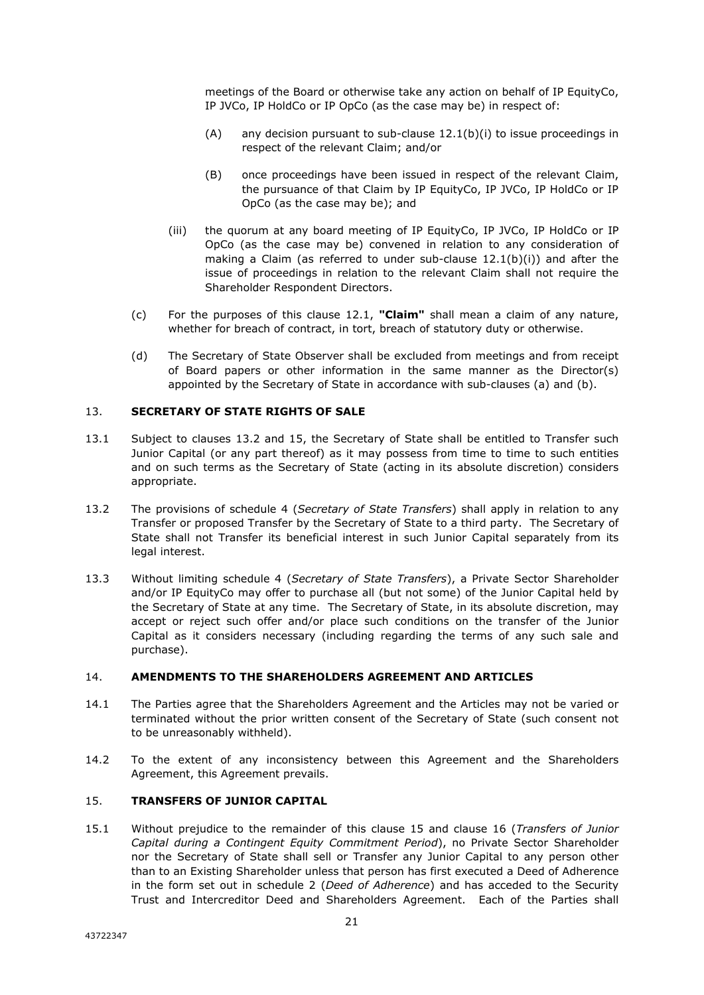meetings of the Board or otherwise take any action on behalf of IP EquityCo, IP JVCo, IP HoldCo or IP OpCo (as the case may be) in respect of:

- (A) any decision pursuant to sub-clause  $12.1(b)(i)$  to issue proceedings in respect of the relevant Claim; and/or
- (B) once proceedings have been issued in respect of the relevant Claim, the pursuance of that Claim by IP EquityCo, IP JVCo, IP HoldCo or IP OpCo (as the case may be); and
- (iii) the quorum at any board meeting of IP EquityCo, IP JVCo, IP HoldCo or IP OpCo (as the case may be) convened in relation to any consideration of making a Claim (as referred to under sub-clause  $12.1(b)(i)$ ) and after the issue of proceedings in relation to the relevant Claim shall not require the Shareholder Respondent Directors.
- (c) For the purposes of this clause 12.1, **"Claim"** shall mean a claim of any nature, whether for breach of contract, in tort, breach of statutory duty or otherwise.
- (d) The Secretary of State Observer shall be excluded from meetings and from receipt of Board papers or other information in the same manner as the Director(s) appointed by the Secretary of State in accordance with sub-clauses (a) and (b).

#### 13. **SECRETARY OF STATE RIGHTS OF SALE**

- 13.1 Subject to clauses 13.2 and 15, the Secretary of State shall be entitled to Transfer such Junior Capital (or any part thereof) as it may possess from time to time to such entities and on such terms as the Secretary of State (acting in its absolute discretion) considers appropriate.
- 13.2 The provisions of schedule 4 (*Secretary of State Transfers*) shall apply in relation to any Transfer or proposed Transfer by the Secretary of State to a third party. The Secretary of State shall not Transfer its beneficial interest in such Junior Capital separately from its legal interest.
- 13.3 Without limiting schedule 4 (*Secretary of State Transfers*), a Private Sector Shareholder and/or IP EquityCo may offer to purchase all (but not some) of the Junior Capital held by the Secretary of State at any time. The Secretary of State, in its absolute discretion, may accept or reject such offer and/or place such conditions on the transfer of the Junior Capital as it considers necessary (including regarding the terms of any such sale and purchase).

#### 14. **AMENDMENTS TO THE SHAREHOLDERS AGREEMENT AND ARTICLES**

- 14.1 The Parties agree that the Shareholders Agreement and the Articles may not be varied or terminated without the prior written consent of the Secretary of State (such consent not to be unreasonably withheld).
- 14.2 To the extent of any inconsistency between this Agreement and the Shareholders Agreement, this Agreement prevails.

# 15. **TRANSFERS OF JUNIOR CAPITAL**

15.1 Without prejudice to the remainder of this clause 15 and clause 16 (*Transfers of Junior Capital during a Contingent Equity Commitment Period*), no Private Sector Shareholder nor the Secretary of State shall sell or Transfer any Junior Capital to any person other than to an Existing Shareholder unless that person has first executed a Deed of Adherence in the form set out in schedule 2 (*Deed of Adherence*) and has acceded to the Security Trust and Intercreditor Deed and Shareholders Agreement. Each of the Parties shall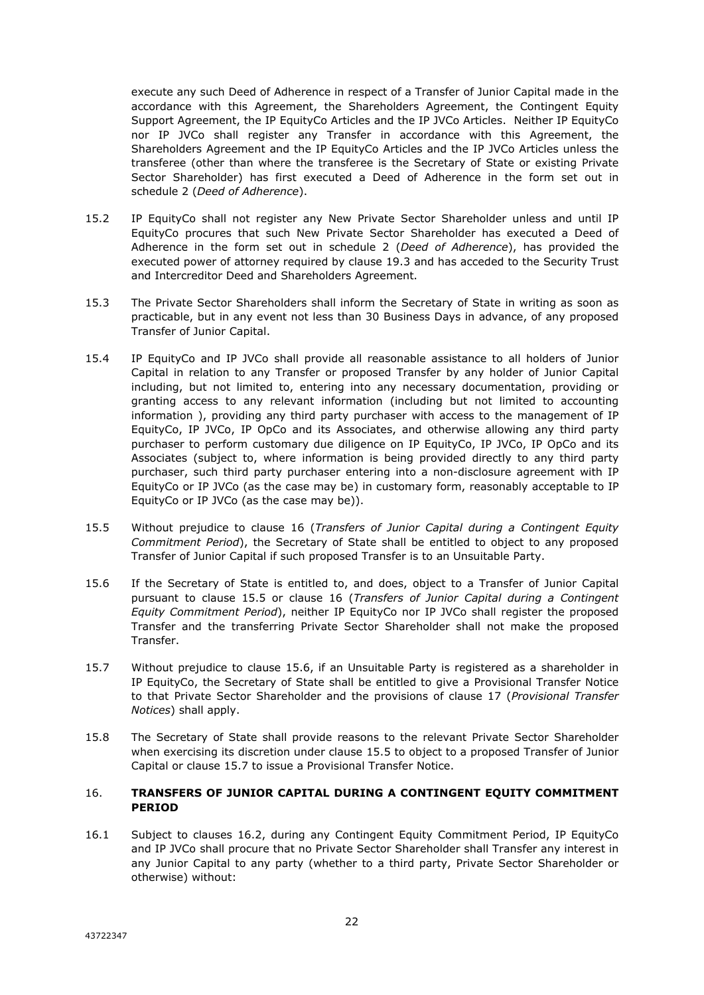execute any such Deed of Adherence in respect of a Transfer of Junior Capital made in the accordance with this Agreement, the Shareholders Agreement, the Contingent Equity Support Agreement, the IP EquityCo Articles and the IP JVCo Articles. Neither IP EquityCo nor IP JVCo shall register any Transfer in accordance with this Agreement, the Shareholders Agreement and the IP EquityCo Articles and the IP JVCo Articles unless the transferee (other than where the transferee is the Secretary of State or existing Private Sector Shareholder) has first executed a Deed of Adherence in the form set out in schedule 2 (*Deed of Adherence*).

- 15.2 IP EquityCo shall not register any New Private Sector Shareholder unless and until IP EquityCo procures that such New Private Sector Shareholder has executed a Deed of Adherence in the form set out in schedule 2 (*Deed of Adherence*), has provided the executed power of attorney required by clause 19.3 and has acceded to the Security Trust and Intercreditor Deed and Shareholders Agreement.
- 15.3 The Private Sector Shareholders shall inform the Secretary of State in writing as soon as practicable, but in any event not less than 30 Business Days in advance, of any proposed Transfer of Junior Capital.
- 15.4 IP EquityCo and IP JVCo shall provide all reasonable assistance to all holders of Junior Capital in relation to any Transfer or proposed Transfer by any holder of Junior Capital including, but not limited to, entering into any necessary documentation, providing or granting access to any relevant information (including but not limited to accounting information ), providing any third party purchaser with access to the management of IP EquityCo, IP JVCo, IP OpCo and its Associates, and otherwise allowing any third party purchaser to perform customary due diligence on IP EquityCo, IP JVCo, IP OpCo and its Associates (subject to, where information is being provided directly to any third party purchaser, such third party purchaser entering into a non-disclosure agreement with IP EquityCo or IP JVCo (as the case may be) in customary form, reasonably acceptable to IP EquityCo or IP JVCo (as the case may be)).
- 15.5 Without prejudice to clause 16 (*Transfers of Junior Capital during a Contingent Equity Commitment Period*), the Secretary of State shall be entitled to object to any proposed Transfer of Junior Capital if such proposed Transfer is to an Unsuitable Party.
- 15.6 If the Secretary of State is entitled to, and does, object to a Transfer of Junior Capital pursuant to clause 15.5 or clause 16 (*Transfers of Junior Capital during a Contingent Equity Commitment Period*), neither IP EquityCo nor IP JVCo shall register the proposed Transfer and the transferring Private Sector Shareholder shall not make the proposed Transfer.
- 15.7 Without prejudice to clause 15.6, if an Unsuitable Party is registered as a shareholder in IP EquityCo, the Secretary of State shall be entitled to give a Provisional Transfer Notice to that Private Sector Shareholder and the provisions of clause 17 (*Provisional Transfer Notices*) shall apply.
- 15.8 The Secretary of State shall provide reasons to the relevant Private Sector Shareholder when exercising its discretion under clause 15.5 to object to a proposed Transfer of Junior Capital or clause 15.7 to issue a Provisional Transfer Notice.

#### 16. **TRANSFERS OF JUNIOR CAPITAL DURING A CONTINGENT EQUITY COMMITMENT PERIOD**

16.1 Subject to clauses 16.2, during any Contingent Equity Commitment Period, IP EquityCo and IP JVCo shall procure that no Private Sector Shareholder shall Transfer any interest in any Junior Capital to any party (whether to a third party, Private Sector Shareholder or otherwise) without: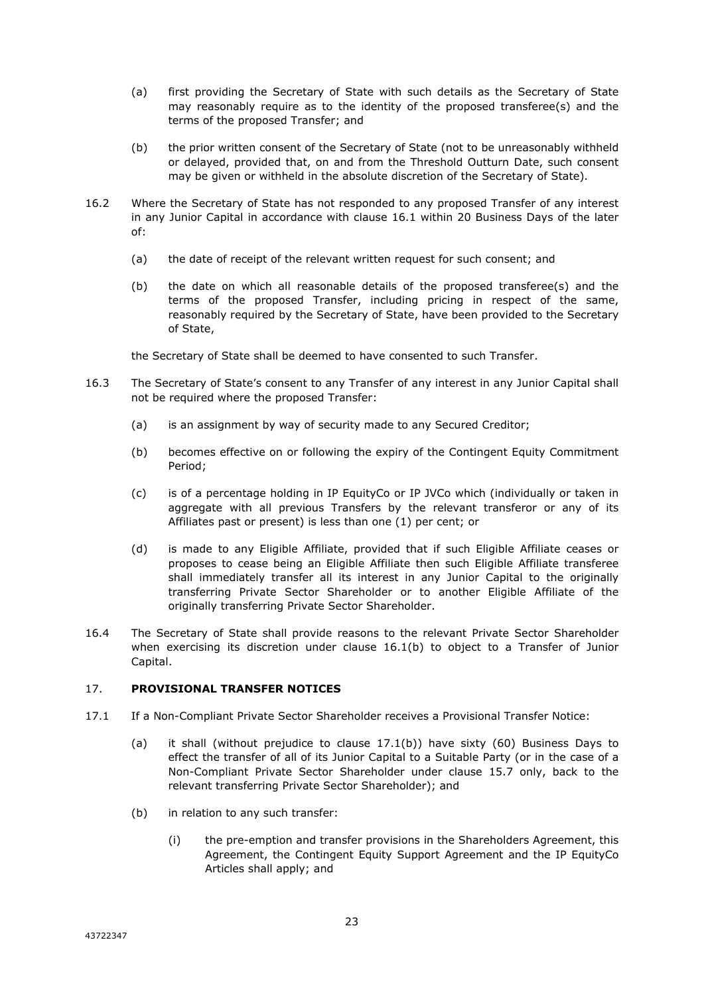- (a) first providing the Secretary of State with such details as the Secretary of State may reasonably require as to the identity of the proposed transferee(s) and the terms of the proposed Transfer; and
- (b) the prior written consent of the Secretary of State (not to be unreasonably withheld or delayed, provided that, on and from the Threshold Outturn Date, such consent may be given or withheld in the absolute discretion of the Secretary of State).
- 16.2 Where the Secretary of State has not responded to any proposed Transfer of any interest in any Junior Capital in accordance with clause 16.1 within 20 Business Days of the later of:
	- (a) the date of receipt of the relevant written request for such consent; and
	- (b) the date on which all reasonable details of the proposed transferee(s) and the terms of the proposed Transfer, including pricing in respect of the same, reasonably required by the Secretary of State, have been provided to the Secretary of State,

the Secretary of State shall be deemed to have consented to such Transfer.

- 16.3 The Secretary of State's consent to any Transfer of any interest in any Junior Capital shall not be required where the proposed Transfer:
	- (a) is an assignment by way of security made to any Secured Creditor;
	- (b) becomes effective on or following the expiry of the Contingent Equity Commitment Period;
	- (c) is of a percentage holding in IP EquityCo or IP JVCo which (individually or taken in aggregate with all previous Transfers by the relevant transferor or any of its Affiliates past or present) is less than one (1) per cent; or
	- (d) is made to any Eligible Affiliate, provided that if such Eligible Affiliate ceases or proposes to cease being an Eligible Affiliate then such Eligible Affiliate transferee shall immediately transfer all its interest in any Junior Capital to the originally transferring Private Sector Shareholder or to another Eligible Affiliate of the originally transferring Private Sector Shareholder.
- 16.4 The Secretary of State shall provide reasons to the relevant Private Sector Shareholder when exercising its discretion under clause 16.1(b) to object to a Transfer of Junior Capital.

# 17. **PROVISIONAL TRANSFER NOTICES**

- 17.1 If a Non-Compliant Private Sector Shareholder receives a Provisional Transfer Notice:
	- (a) it shall (without prejudice to clause 17.1(b)) have sixty (60) Business Days to effect the transfer of all of its Junior Capital to a Suitable Party (or in the case of a Non-Compliant Private Sector Shareholder under clause 15.7 only, back to the relevant transferring Private Sector Shareholder); and
	- (b) in relation to any such transfer:
		- (i) the pre-emption and transfer provisions in the Shareholders Agreement, this Agreement, the Contingent Equity Support Agreement and the IP EquityCo Articles shall apply; and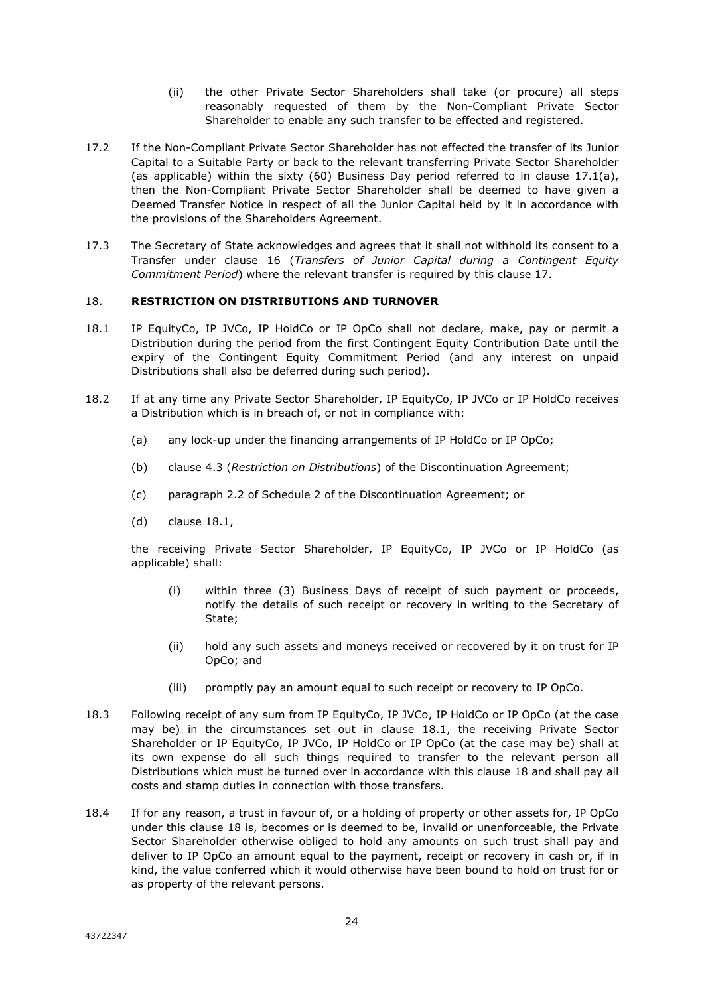- (ii) the other Private Sector Shareholders shall take (or procure) all steps reasonably requested of them by the Non-Compliant Private Sector Shareholder to enable any such transfer to be effected and registered.
- 17.2 If the Non-Compliant Private Sector Shareholder has not effected the transfer of its Junior Capital to a Suitable Party or back to the relevant transferring Private Sector Shareholder (as applicable) within the sixty (60) Business Day period referred to in clause  $17.1(a)$ , then the Non-Compliant Private Sector Shareholder shall be deemed to have given a Deemed Transfer Notice in respect of all the Junior Capital held by it in accordance with the provisions of the Shareholders Agreement.
- 17.3 The Secretary of State acknowledges and agrees that it shall not withhold its consent to a Transfer under clause 16 (*Transfers of Junior Capital during a Contingent Equity Commitment Period*) where the relevant transfer is required by this clause 17.

#### 18. **RESTRICTION ON DISTRIBUTIONS AND TURNOVER**

- 18.1 IP EquityCo, IP JVCo, IP HoldCo or IP OpCo shall not declare, make, pay or permit a Distribution during the period from the first Contingent Equity Contribution Date until the expiry of the Contingent Equity Commitment Period (and any interest on unpaid Distributions shall also be deferred during such period).
- 18.2 If at any time any Private Sector Shareholder, IP EquityCo, IP JVCo or IP HoldCo receives a Distribution which is in breach of, or not in compliance with:
	- (a) any lock-up under the financing arrangements of IP HoldCo or IP OpCo;
	- (b) clause 4.3 (*Restriction on Distributions*) of the Discontinuation Agreement;
	- (c) paragraph 2.2 of Schedule 2 of the Discontinuation Agreement; or
	- (d) clause 18.1,

the receiving Private Sector Shareholder, IP EquityCo, IP JVCo or IP HoldCo (as applicable) shall:

- (i) within three (3) Business Days of receipt of such payment or proceeds, notify the details of such receipt or recovery in writing to the Secretary of State;
- (ii) hold any such assets and moneys received or recovered by it on trust for IP OpCo; and
- (iii) promptly pay an amount equal to such receipt or recovery to IP OpCo.
- 18.3 Following receipt of any sum from IP EquityCo, IP JVCo, IP HoldCo or IP OpCo (at the case may be) in the circumstances set out in clause 18.1, the receiving Private Sector Shareholder or IP EquityCo, IP JVCo, IP HoldCo or IP OpCo (at the case may be) shall at its own expense do all such things required to transfer to the relevant person all Distributions which must be turned over in accordance with this clause 18 and shall pay all costs and stamp duties in connection with those transfers.
- 18.4 If for any reason, a trust in favour of, or a holding of property or other assets for, IP OpCo under this clause 18 is, becomes or is deemed to be, invalid or unenforceable, the Private Sector Shareholder otherwise obliged to hold any amounts on such trust shall pay and deliver to IP OpCo an amount equal to the payment, receipt or recovery in cash or, if in kind, the value conferred which it would otherwise have been bound to hold on trust for or as property of the relevant persons.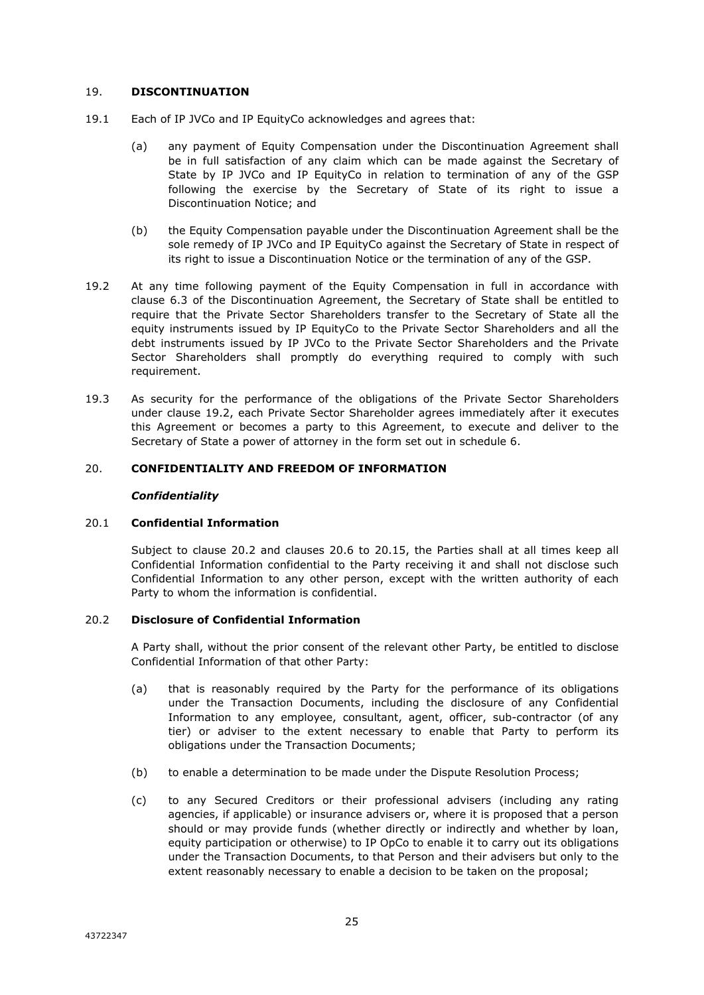#### 19. **DISCONTINUATION**

- 19.1 Each of IP JVCo and IP EquityCo acknowledges and agrees that:
	- (a) any payment of Equity Compensation under the Discontinuation Agreement shall be in full satisfaction of any claim which can be made against the Secretary of State by IP JVCo and IP EquityCo in relation to termination of any of the GSP following the exercise by the Secretary of State of its right to issue a Discontinuation Notice; and
	- (b) the Equity Compensation payable under the Discontinuation Agreement shall be the sole remedy of IP JVCo and IP EquityCo against the Secretary of State in respect of its right to issue a Discontinuation Notice or the termination of any of the GSP.
- 19.2 At any time following payment of the Equity Compensation in full in accordance with clause 6.3 of the Discontinuation Agreement, the Secretary of State shall be entitled to require that the Private Sector Shareholders transfer to the Secretary of State all the equity instruments issued by IP EquityCo to the Private Sector Shareholders and all the debt instruments issued by IP JVCo to the Private Sector Shareholders and the Private Sector Shareholders shall promptly do everything required to comply with such requirement.
- 19.3 As security for the performance of the obligations of the Private Sector Shareholders under clause 19.2, each Private Sector Shareholder agrees immediately after it executes this Agreement or becomes a party to this Agreement, to execute and deliver to the Secretary of State a power of attorney in the form set out in schedule 6.

#### 20. **CONFIDENTIALITY AND FREEDOM OF INFORMATION**

#### *Confidentiality*

#### 20.1 **Confidential Information**

Subject to clause 20.2 and clauses 20.6 to 20.15, the Parties shall at all times keep all Confidential Information confidential to the Party receiving it and shall not disclose such Confidential Information to any other person, except with the written authority of each Party to whom the information is confidential.

# 20.2 **Disclosure of Confidential Information**

A Party shall, without the prior consent of the relevant other Party, be entitled to disclose Confidential Information of that other Party:

- (a) that is reasonably required by the Party for the performance of its obligations under the Transaction Documents, including the disclosure of any Confidential Information to any employee, consultant, agent, officer, sub-contractor (of any tier) or adviser to the extent necessary to enable that Party to perform its obligations under the Transaction Documents;
- (b) to enable a determination to be made under the Dispute Resolution Process;
- (c) to any Secured Creditors or their professional advisers (including any rating agencies, if applicable) or insurance advisers or, where it is proposed that a person should or may provide funds (whether directly or indirectly and whether by loan, equity participation or otherwise) to IP OpCo to enable it to carry out its obligations under the Transaction Documents, to that Person and their advisers but only to the extent reasonably necessary to enable a decision to be taken on the proposal;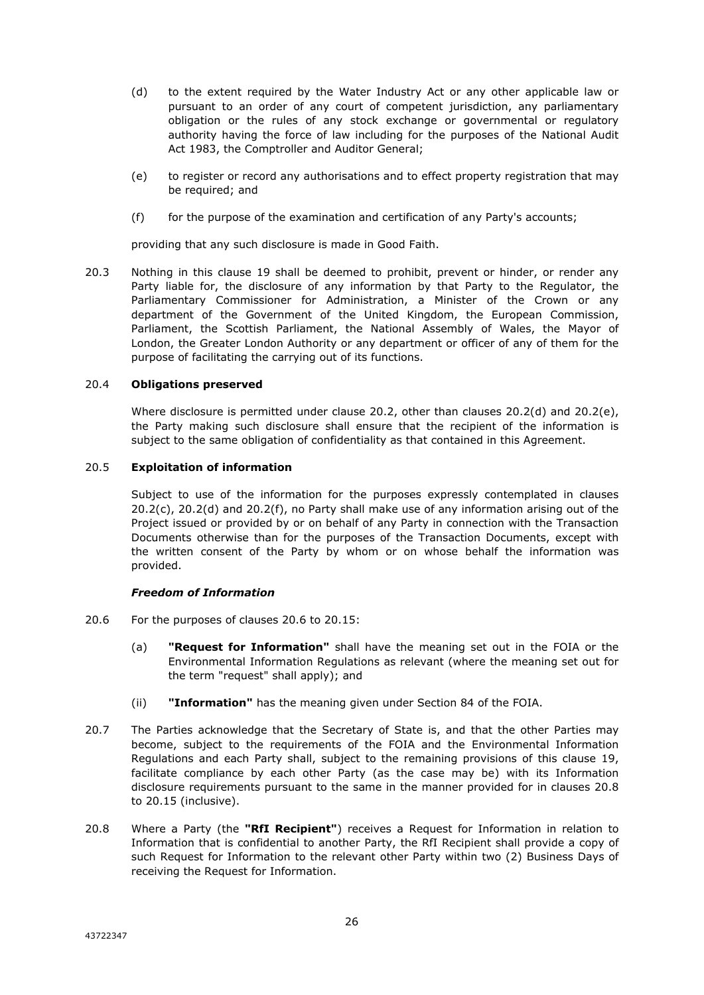- (d) to the extent required by the Water Industry Act or any other applicable law or pursuant to an order of any court of competent jurisdiction, any parliamentary obligation or the rules of any stock exchange or governmental or regulatory authority having the force of law including for the purposes of the National Audit Act 1983, the Comptroller and Auditor General;
- (e) to register or record any authorisations and to effect property registration that may be required; and
- (f) for the purpose of the examination and certification of any Party's accounts;

providing that any such disclosure is made in Good Faith.

20.3 Nothing in this clause 19 shall be deemed to prohibit, prevent or hinder, or render any Party liable for, the disclosure of any information by that Party to the Regulator, the Parliamentary Commissioner for Administration, a Minister of the Crown or any department of the Government of the United Kingdom, the European Commission, Parliament, the Scottish Parliament, the National Assembly of Wales, the Mayor of London, the Greater London Authority or any department or officer of any of them for the purpose of facilitating the carrying out of its functions.

#### 20.4 **Obligations preserved**

Where disclosure is permitted under clause 20.2, other than clauses 20.2(d) and 20.2(e), the Party making such disclosure shall ensure that the recipient of the information is subject to the same obligation of confidentiality as that contained in this Agreement.

#### 20.5 **Exploitation of information**

Subject to use of the information for the purposes expressly contemplated in clauses 20.2(c), 20.2(d) and 20.2(f), no Party shall make use of any information arising out of the Project issued or provided by or on behalf of any Party in connection with the Transaction Documents otherwise than for the purposes of the Transaction Documents, except with the written consent of the Party by whom or on whose behalf the information was provided.

#### *Freedom of Information*

- 20.6 For the purposes of clauses 20.6 to 20.15:
	- (a) **"Request for Information"** shall have the meaning set out in the FOIA or the Environmental Information Regulations as relevant (where the meaning set out for the term "request" shall apply); and
	- (ii) **"Information"** has the meaning given under Section 84 of the FOIA.
- 20.7 The Parties acknowledge that the Secretary of State is, and that the other Parties may become, subject to the requirements of the FOIA and the Environmental Information Regulations and each Party shall, subject to the remaining provisions of this clause 19, facilitate compliance by each other Party (as the case may be) with its Information disclosure requirements pursuant to the same in the manner provided for in clauses 20.8 to 20.15 (inclusive).
- 20.8 Where a Party (the **"RfI Recipient"**) receives a Request for Information in relation to Information that is confidential to another Party, the RfI Recipient shall provide a copy of such Request for Information to the relevant other Party within two (2) Business Days of receiving the Request for Information.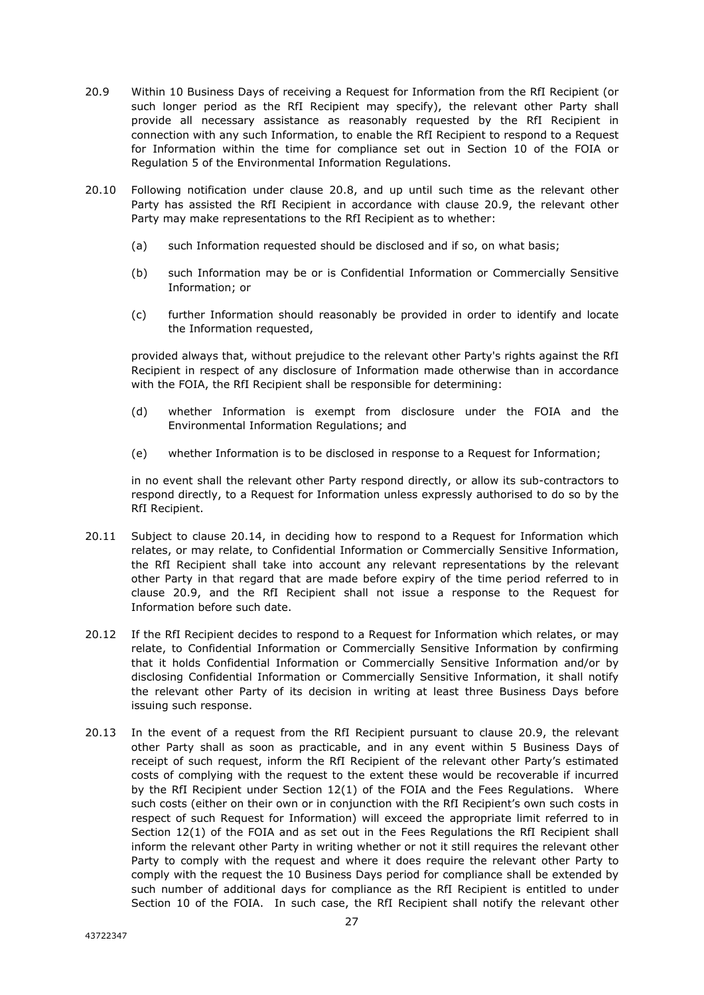- 20.9 Within 10 Business Days of receiving a Request for Information from the RfI Recipient (or such longer period as the RfI Recipient may specify), the relevant other Party shall provide all necessary assistance as reasonably requested by the RfI Recipient in connection with any such Information, to enable the RfI Recipient to respond to a Request for Information within the time for compliance set out in Section 10 of the FOIA or Regulation 5 of the Environmental Information Regulations.
- 20.10 Following notification under clause 20.8, and up until such time as the relevant other Party has assisted the RfI Recipient in accordance with clause 20.9, the relevant other Party may make representations to the RfI Recipient as to whether:
	- (a) such Information requested should be disclosed and if so, on what basis;
	- (b) such Information may be or is Confidential Information or Commercially Sensitive Information; or
	- (c) further Information should reasonably be provided in order to identify and locate the Information requested,

provided always that, without prejudice to the relevant other Party's rights against the RfI Recipient in respect of any disclosure of Information made otherwise than in accordance with the FOIA, the RfI Recipient shall be responsible for determining:

- (d) whether Information is exempt from disclosure under the FOIA and the Environmental Information Regulations; and
- (e) whether Information is to be disclosed in response to a Request for Information;

in no event shall the relevant other Party respond directly, or allow its sub-contractors to respond directly, to a Request for Information unless expressly authorised to do so by the RfI Recipient.

- 20.11 Subject to clause 20.14, in deciding how to respond to a Request for Information which relates, or may relate, to Confidential Information or Commercially Sensitive Information, the RfI Recipient shall take into account any relevant representations by the relevant other Party in that regard that are made before expiry of the time period referred to in clause 20.9, and the RfI Recipient shall not issue a response to the Request for Information before such date.
- 20.12 If the RfI Recipient decides to respond to a Request for Information which relates, or may relate, to Confidential Information or Commercially Sensitive Information by confirming that it holds Confidential Information or Commercially Sensitive Information and/or by disclosing Confidential Information or Commercially Sensitive Information, it shall notify the relevant other Party of its decision in writing at least three Business Days before issuing such response.
- 20.13 In the event of a request from the RfI Recipient pursuant to clause 20.9, the relevant other Party shall as soon as practicable, and in any event within 5 Business Days of receipt of such request, inform the RfI Recipient of the relevant other Party's estimated costs of complying with the request to the extent these would be recoverable if incurred by the RfI Recipient under Section 12(1) of the FOIA and the Fees Regulations. Where such costs (either on their own or in conjunction with the RfI Recipient's own such costs in respect of such Request for Information) will exceed the appropriate limit referred to in Section 12(1) of the FOIA and as set out in the Fees Regulations the RfI Recipient shall inform the relevant other Party in writing whether or not it still requires the relevant other Party to comply with the request and where it does require the relevant other Party to comply with the request the 10 Business Days period for compliance shall be extended by such number of additional days for compliance as the RfI Recipient is entitled to under Section 10 of the FOIA. In such case, the RfI Recipient shall notify the relevant other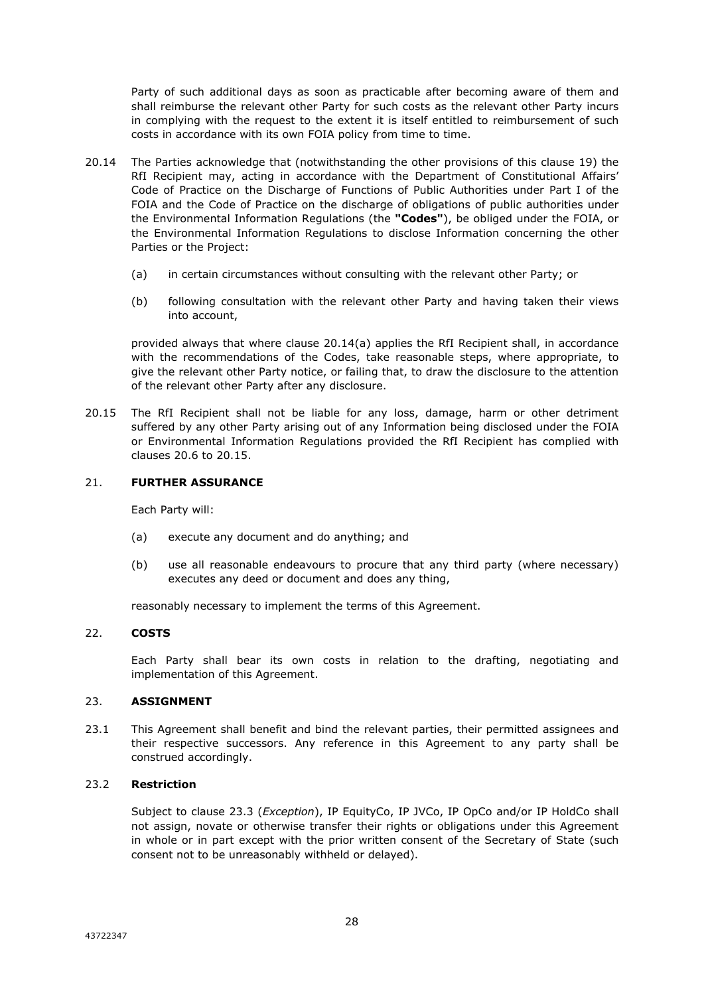Party of such additional days as soon as practicable after becoming aware of them and shall reimburse the relevant other Party for such costs as the relevant other Party incurs in complying with the request to the extent it is itself entitled to reimbursement of such costs in accordance with its own FOIA policy from time to time.

- 20.14 The Parties acknowledge that (notwithstanding the other provisions of this clause 19) the RfI Recipient may, acting in accordance with the Department of Constitutional Affairs' Code of Practice on the Discharge of Functions of Public Authorities under Part I of the FOIA and the Code of Practice on the discharge of obligations of public authorities under the Environmental Information Regulations (the **"Codes"**), be obliged under the FOIA, or the Environmental Information Regulations to disclose Information concerning the other Parties or the Project:
	- (a) in certain circumstances without consulting with the relevant other Party; or
	- (b) following consultation with the relevant other Party and having taken their views into account,

provided always that where clause 20.14(a) applies the RfI Recipient shall, in accordance with the recommendations of the Codes, take reasonable steps, where appropriate, to give the relevant other Party notice, or failing that, to draw the disclosure to the attention of the relevant other Party after any disclosure.

20.15 The RfI Recipient shall not be liable for any loss, damage, harm or other detriment suffered by any other Party arising out of any Information being disclosed under the FOIA or Environmental Information Regulations provided the RfI Recipient has complied with clauses 20.6 to 20.15.

#### 21. **FURTHER ASSURANCE**

Each Party will:

- (a) execute any document and do anything; and
- (b) use all reasonable endeavours to procure that any third party (where necessary) executes any deed or document and does any thing,

reasonably necessary to implement the terms of this Agreement.

# 22. **COSTS**

Each Party shall bear its own costs in relation to the drafting, negotiating and implementation of this Agreement.

#### 23. **ASSIGNMENT**

23.1 This Agreement shall benefit and bind the relevant parties, their permitted assignees and their respective successors. Any reference in this Agreement to any party shall be construed accordingly.

# 23.2 **Restriction**

Subject to clause 23.3 (*Exception*), IP EquityCo, IP JVCo, IP OpCo and/or IP HoldCo shall not assign, novate or otherwise transfer their rights or obligations under this Agreement in whole or in part except with the prior written consent of the Secretary of State (such consent not to be unreasonably withheld or delayed).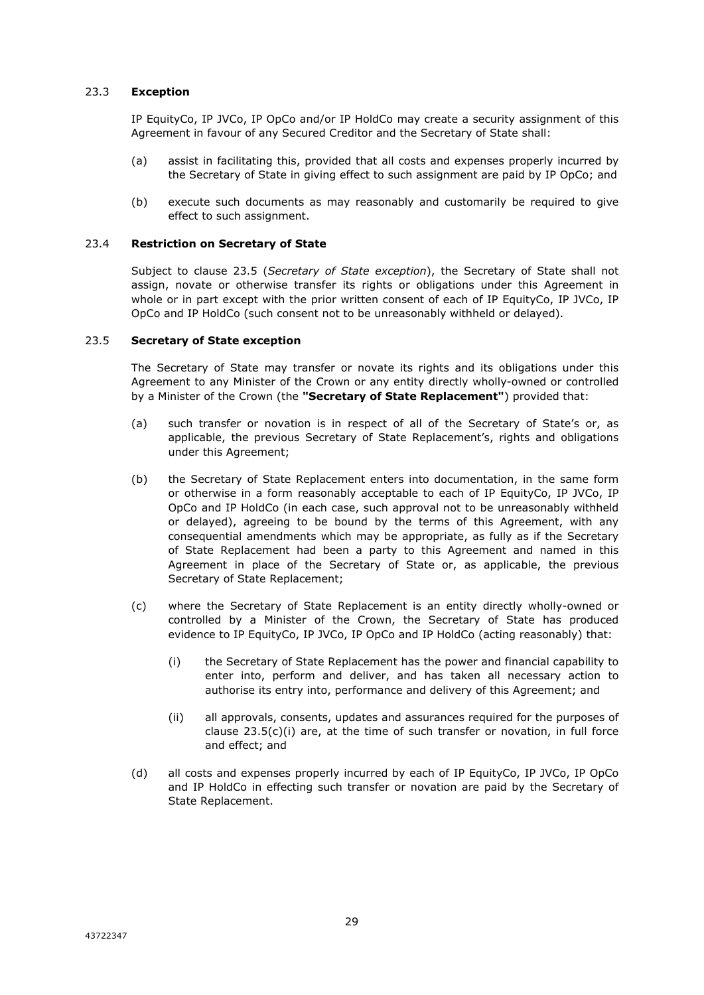# 23.3 **Exception**

IP EquityCo, IP JVCo, IP OpCo and/or IP HoldCo may create a security assignment of this Agreement in favour of any Secured Creditor and the Secretary of State shall:

- (a) assist in facilitating this, provided that all costs and expenses properly incurred by the Secretary of State in giving effect to such assignment are paid by IP OpCo; and
- (b) execute such documents as may reasonably and customarily be required to give effect to such assignment.

#### 23.4 **Restriction on Secretary of State**

Subject to clause 23.5 (*Secretary of State exception*), the Secretary of State shall not assign, novate or otherwise transfer its rights or obligations under this Agreement in whole or in part except with the prior written consent of each of IP EquityCo, IP JVCo, IP OpCo and IP HoldCo (such consent not to be unreasonably withheld or delayed).

#### 23.5 **Secretary of State exception**

The Secretary of State may transfer or novate its rights and its obligations under this Agreement to any Minister of the Crown or any entity directly wholly-owned or controlled by a Minister of the Crown (the **"Secretary of State Replacement"**) provided that:

- (a) such transfer or novation is in respect of all of the Secretary of State's or, as applicable, the previous Secretary of State Replacement's, rights and obligations under this Agreement;
- (b) the Secretary of State Replacement enters into documentation, in the same form or otherwise in a form reasonably acceptable to each of IP EquityCo, IP JVCo, IP OpCo and IP HoldCo (in each case, such approval not to be unreasonably withheld or delayed), agreeing to be bound by the terms of this Agreement, with any consequential amendments which may be appropriate, as fully as if the Secretary of State Replacement had been a party to this Agreement and named in this Agreement in place of the Secretary of State or, as applicable, the previous Secretary of State Replacement;
- (c) where the Secretary of State Replacement is an entity directly wholly-owned or controlled by a Minister of the Crown, the Secretary of State has produced evidence to IP EquityCo, IP JVCo, IP OpCo and IP HoldCo (acting reasonably) that:
	- (i) the Secretary of State Replacement has the power and financial capability to enter into, perform and deliver, and has taken all necessary action to authorise its entry into, performance and delivery of this Agreement; and
	- (ii) all approvals, consents, updates and assurances required for the purposes of clause  $23.5(c)(i)$  are, at the time of such transfer or novation, in full force and effect; and
- (d) all costs and expenses properly incurred by each of IP EquityCo, IP JVCo, IP OpCo and IP HoldCo in effecting such transfer or novation are paid by the Secretary of State Replacement.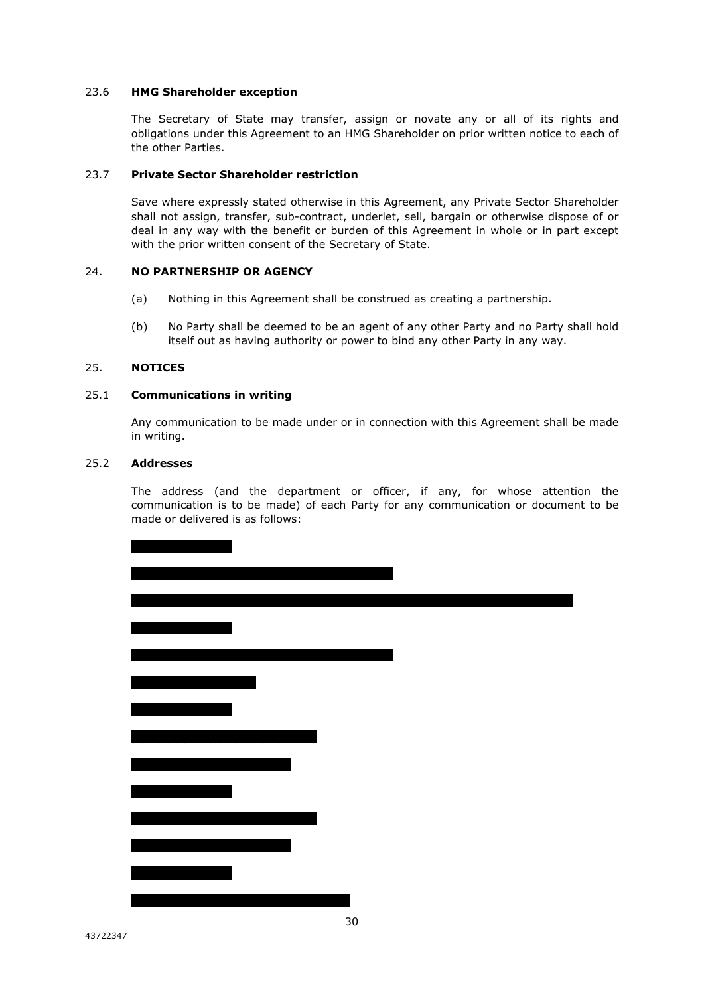#### 23.6 **HMG Shareholder exception**

The Secretary of State may transfer, assign or novate any or all of its rights and obligations under this Agreement to an HMG Shareholder on prior written notice to each of the other Parties.

#### 23.7 **Private Sector Shareholder restriction**

Save where expressly stated otherwise in this Agreement, any Private Sector Shareholder shall not assign, transfer, sub-contract, underlet, sell, bargain or otherwise dispose of or deal in any way with the benefit or burden of this Agreement in whole or in part except with the prior written consent of the Secretary of State.

#### 24. **NO PARTNERSHIP OR AGENCY**

- (a) Nothing in this Agreement shall be construed as creating a partnership.
- (b) No Party shall be deemed to be an agent of any other Party and no Party shall hold itself out as having authority or power to bind any other Party in any way.

#### 25. **NOTICES**

#### 25.1 **Communications in writing**

Any communication to be made under or in connection with this Agreement shall be made in writing.

#### 25.2 **Addresses**

The address (and the department or officer, if any, for whose attention the communication is to be made) of each Party for any communication or document to be made or delivered is as follows: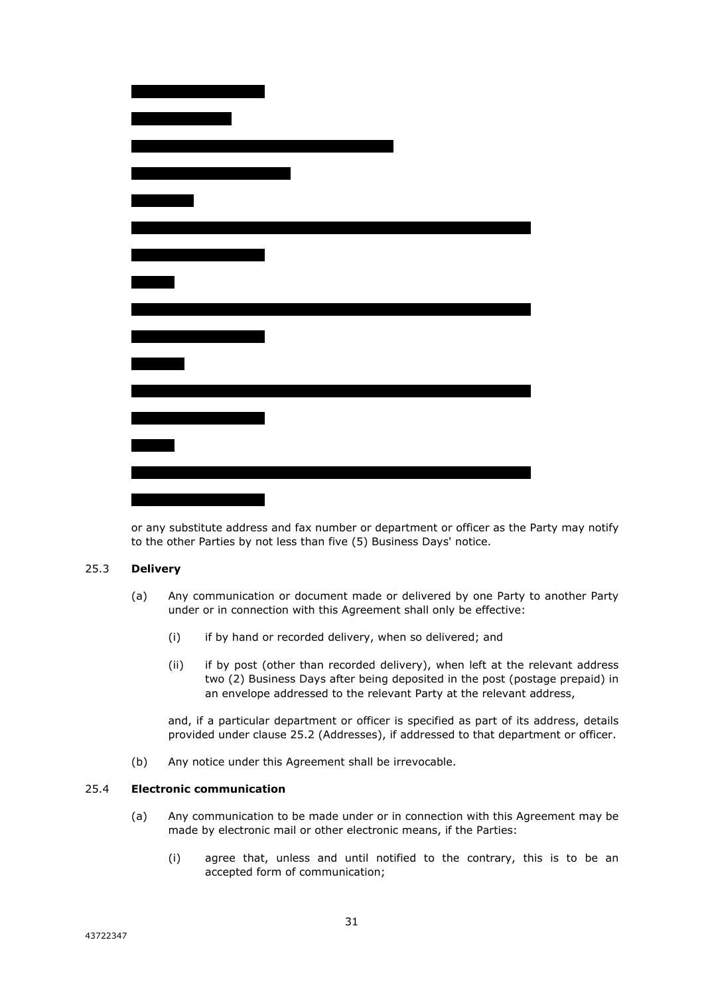| <u> 1980 - Johann Barnett, fransk politik (d. 1980)</u> |  |
|---------------------------------------------------------|--|
|                                                         |  |
| <u>ranski politik (d. 18</u>                            |  |
|                                                         |  |
|                                                         |  |
|                                                         |  |
|                                                         |  |
|                                                         |  |
|                                                         |  |
|                                                         |  |
|                                                         |  |
|                                                         |  |
|                                                         |  |
|                                                         |  |
|                                                         |  |
|                                                         |  |
|                                                         |  |

or any substitute address and fax number or department or officer as the Party may notify to the other Parties by not less than five (5) Business Days' notice.

#### 25.3 **Delivery**

- (a) Any communication or document made or delivered by one Party to another Party under or in connection with this Agreement shall only be effective:
	- (i) if by hand or recorded delivery, when so delivered; and
	- (ii) if by post (other than recorded delivery), when left at the relevant address two (2) Business Days after being deposited in the post (postage prepaid) in an envelope addressed to the relevant Party at the relevant address,

and, if a particular department or officer is specified as part of its address, details provided under clause 25.2 (Addresses), if addressed to that department or officer.

(b) Any notice under this Agreement shall be irrevocable.

# 25.4 **Electronic communication**

- (a) Any communication to be made under or in connection with this Agreement may be made by electronic mail or other electronic means, if the Parties:
	- (i) agree that, unless and until notified to the contrary, this is to be an accepted form of communication;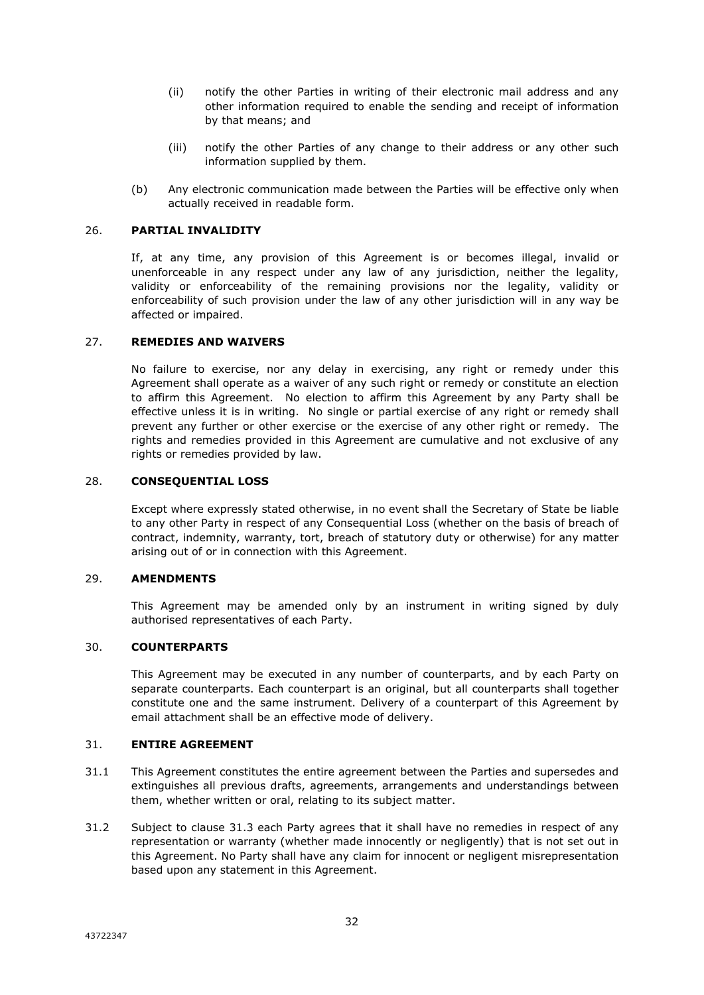- (ii) notify the other Parties in writing of their electronic mail address and any other information required to enable the sending and receipt of information by that means; and
- (iii) notify the other Parties of any change to their address or any other such information supplied by them.
- (b) Any electronic communication made between the Parties will be effective only when actually received in readable form.

#### 26. **PARTIAL INVALIDITY**

If, at any time, any provision of this Agreement is or becomes illegal, invalid or unenforceable in any respect under any law of any jurisdiction, neither the legality, validity or enforceability of the remaining provisions nor the legality, validity or enforceability of such provision under the law of any other jurisdiction will in any way be affected or impaired.

#### 27. **REMEDIES AND WAIVERS**

No failure to exercise, nor any delay in exercising, any right or remedy under this Agreement shall operate as a waiver of any such right or remedy or constitute an election to affirm this Agreement. No election to affirm this Agreement by any Party shall be effective unless it is in writing. No single or partial exercise of any right or remedy shall prevent any further or other exercise or the exercise of any other right or remedy. The rights and remedies provided in this Agreement are cumulative and not exclusive of any rights or remedies provided by law.

#### 28. **CONSEQUENTIAL LOSS**

Except where expressly stated otherwise, in no event shall the Secretary of State be liable to any other Party in respect of any Consequential Loss (whether on the basis of breach of contract, indemnity, warranty, tort, breach of statutory duty or otherwise) for any matter arising out of or in connection with this Agreement.

#### 29. **AMENDMENTS**

This Agreement may be amended only by an instrument in writing signed by duly authorised representatives of each Party.

#### 30. **COUNTERPARTS**

This Agreement may be executed in any number of counterparts, and by each Party on separate counterparts. Each counterpart is an original, but all counterparts shall together constitute one and the same instrument. Delivery of a counterpart of this Agreement by email attachment shall be an effective mode of delivery.

#### 31. **ENTIRE AGREEMENT**

- 31.1 This Agreement constitutes the entire agreement between the Parties and supersedes and extinguishes all previous drafts, agreements, arrangements and understandings between them, whether written or oral, relating to its subject matter.
- 31.2 Subject to clause 31.3 each Party agrees that it shall have no remedies in respect of any representation or warranty (whether made innocently or negligently) that is not set out in this Agreement. No Party shall have any claim for innocent or negligent misrepresentation based upon any statement in this Agreement.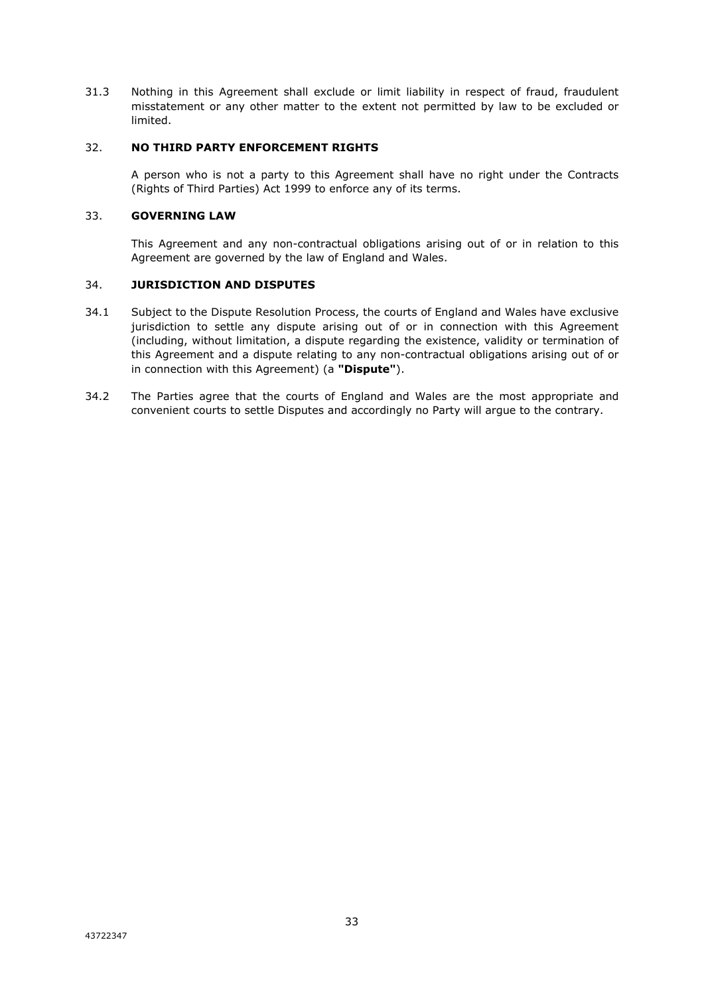31.3 Nothing in this Agreement shall exclude or limit liability in respect of fraud, fraudulent misstatement or any other matter to the extent not permitted by law to be excluded or limited.

#### 32. **NO THIRD PARTY ENFORCEMENT RIGHTS**

A person who is not a party to this Agreement shall have no right under the Contracts (Rights of Third Parties) Act 1999 to enforce any of its terms.

#### 33. **GOVERNING LAW**

This Agreement and any non-contractual obligations arising out of or in relation to this Agreement are governed by the law of England and Wales.

### 34. **JURISDICTION AND DISPUTES**

- 34.1 Subject to the Dispute Resolution Process, the courts of England and Wales have exclusive jurisdiction to settle any dispute arising out of or in connection with this Agreement (including, without limitation, a dispute regarding the existence, validity or termination of this Agreement and a dispute relating to any non-contractual obligations arising out of or in connection with this Agreement) (a **"Dispute"**).
- 34.2 The Parties agree that the courts of England and Wales are the most appropriate and convenient courts to settle Disputes and accordingly no Party will argue to the contrary.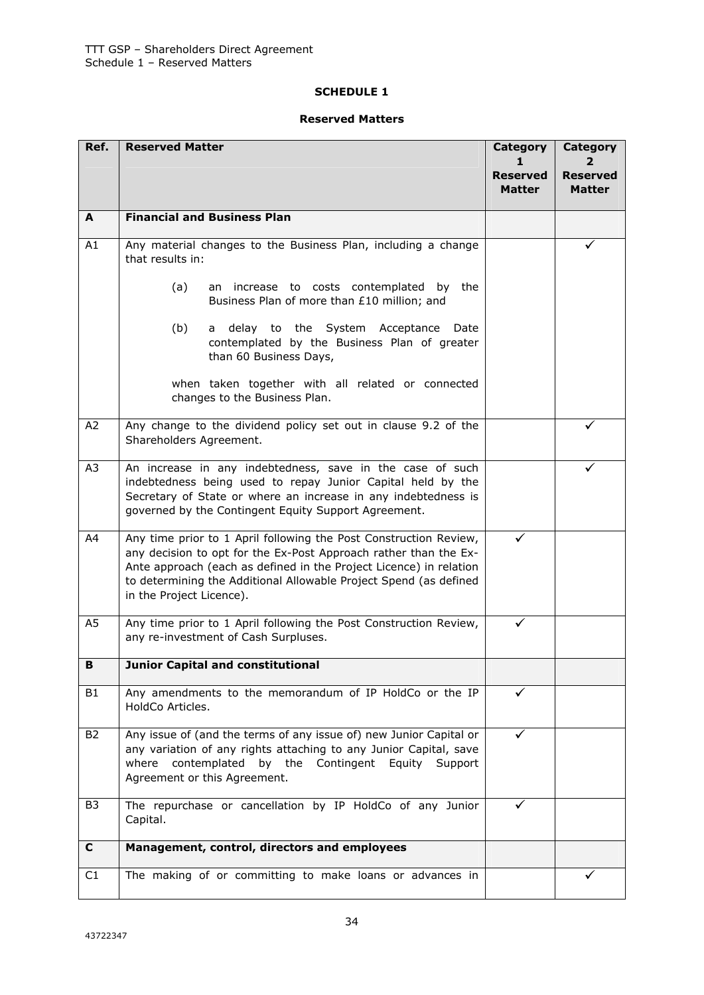# **SCHEDULE 1**

# **Reserved Matters**

| Ref.           | <b>Reserved Matter</b>                                                                                                                                                                                                                                                                                       | Category<br><b>Reserved</b><br><b>Matter</b> | Category<br><b>Reserved</b><br><b>Matter</b> |
|----------------|--------------------------------------------------------------------------------------------------------------------------------------------------------------------------------------------------------------------------------------------------------------------------------------------------------------|----------------------------------------------|----------------------------------------------|
| A              | <b>Financial and Business Plan</b>                                                                                                                                                                                                                                                                           |                                              |                                              |
| A1             | Any material changes to the Business Plan, including a change<br>that results in:                                                                                                                                                                                                                            |                                              |                                              |
|                | (a)<br>an increase to costs contemplated by<br>the<br>Business Plan of more than £10 million; and                                                                                                                                                                                                            |                                              |                                              |
|                | (b)<br>delay to the System Acceptance<br>Date<br>a<br>contemplated by the Business Plan of greater<br>than 60 Business Days,                                                                                                                                                                                 |                                              |                                              |
|                | when taken together with all related or connected<br>changes to the Business Plan.                                                                                                                                                                                                                           |                                              |                                              |
| A <sub>2</sub> | Any change to the dividend policy set out in clause 9.2 of the<br>Shareholders Agreement.                                                                                                                                                                                                                    |                                              | ✓                                            |
| A3             | An increase in any indebtedness, save in the case of such<br>indebtedness being used to repay Junior Capital held by the<br>Secretary of State or where an increase in any indebtedness is<br>governed by the Contingent Equity Support Agreement.                                                           |                                              | ✓                                            |
| A4             | Any time prior to 1 April following the Post Construction Review,<br>any decision to opt for the Ex-Post Approach rather than the Ex-<br>Ante approach (each as defined in the Project Licence) in relation<br>to determining the Additional Allowable Project Spend (as defined<br>in the Project Licence). | ✓                                            |                                              |
| A5             | Any time prior to 1 April following the Post Construction Review,<br>any re-investment of Cash Surpluses.                                                                                                                                                                                                    | ✓                                            |                                              |
| в              | <b>Junior Capital and constitutional</b>                                                                                                                                                                                                                                                                     |                                              |                                              |
| <b>B1</b>      | Any amendments to the memorandum of IP HoldCo or the IP<br>HoldCo Articles.                                                                                                                                                                                                                                  | ✓                                            |                                              |
| <b>B2</b>      | Any issue of (and the terms of any issue of) new Junior Capital or<br>any variation of any rights attaching to any Junior Capital, save<br>contemplated<br>by the Contingent<br>where<br>Equity<br>Support<br>Agreement or this Agreement.                                                                   |                                              |                                              |
| B <sub>3</sub> | The repurchase or cancellation by IP HoldCo of any Junior<br>Capital.                                                                                                                                                                                                                                        |                                              |                                              |
| C              | Management, control, directors and employees                                                                                                                                                                                                                                                                 |                                              |                                              |
| C1             | The making of or committing to make loans or advances in                                                                                                                                                                                                                                                     |                                              |                                              |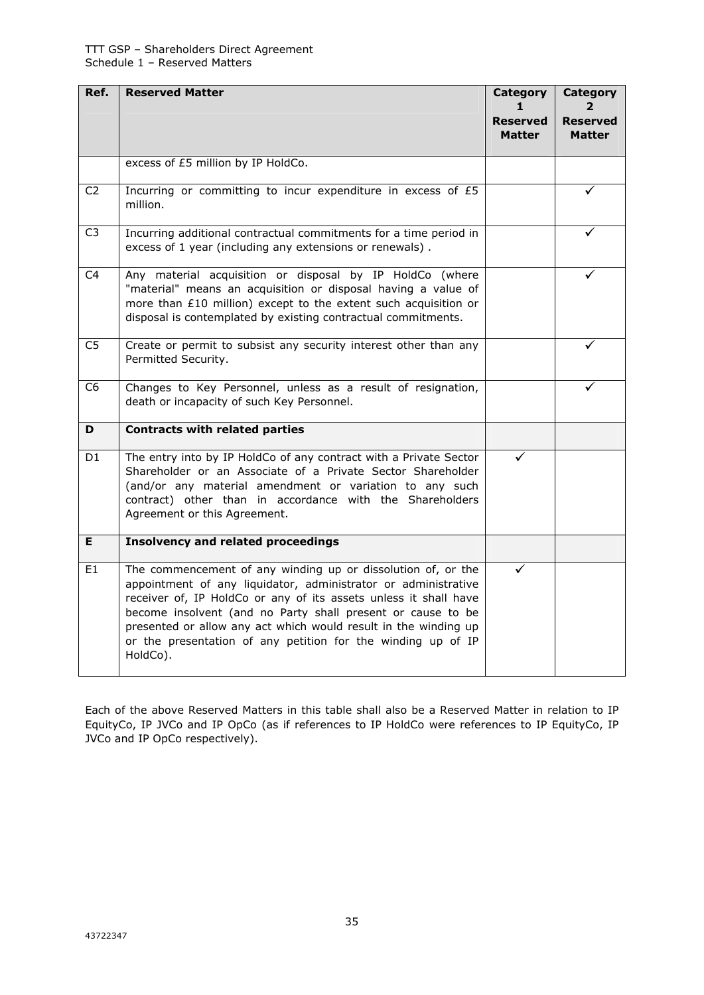| Ref.           | <b>Reserved Matter</b>                                                                                                                                                                                                                                                                                                                                                                                           | <b>Category</b>                  | Category                         |
|----------------|------------------------------------------------------------------------------------------------------------------------------------------------------------------------------------------------------------------------------------------------------------------------------------------------------------------------------------------------------------------------------------------------------------------|----------------------------------|----------------------------------|
|                |                                                                                                                                                                                                                                                                                                                                                                                                                  | <b>Reserved</b><br><b>Matter</b> | <b>Reserved</b><br><b>Matter</b> |
|                | excess of £5 million by IP HoldCo.                                                                                                                                                                                                                                                                                                                                                                               |                                  |                                  |
| C <sub>2</sub> | Incurring or committing to incur expenditure in excess of £5<br>million.                                                                                                                                                                                                                                                                                                                                         |                                  |                                  |
| C <sub>3</sub> | Incurring additional contractual commitments for a time period in<br>excess of 1 year (including any extensions or renewals).                                                                                                                                                                                                                                                                                    |                                  | ✓                                |
| C <sub>4</sub> | Any material acquisition or disposal by IP HoldCo (where<br>"material" means an acquisition or disposal having a value of<br>more than £10 million) except to the extent such acquisition or<br>disposal is contemplated by existing contractual commitments.                                                                                                                                                    |                                  |                                  |
| C5             | Create or permit to subsist any security interest other than any<br>Permitted Security.                                                                                                                                                                                                                                                                                                                          |                                  | ✓                                |
| C <sub>6</sub> | Changes to Key Personnel, unless as a result of resignation,<br>death or incapacity of such Key Personnel.                                                                                                                                                                                                                                                                                                       |                                  |                                  |
| D              | <b>Contracts with related parties</b>                                                                                                                                                                                                                                                                                                                                                                            |                                  |                                  |
| D1             | The entry into by IP HoldCo of any contract with a Private Sector<br>Shareholder or an Associate of a Private Sector Shareholder<br>(and/or any material amendment or variation to any such<br>contract) other than in accordance with the Shareholders<br>Agreement or this Agreement.                                                                                                                          |                                  |                                  |
| E.             | <b>Insolvency and related proceedings</b>                                                                                                                                                                                                                                                                                                                                                                        |                                  |                                  |
| E <sub>1</sub> | The commencement of any winding up or dissolution of, or the<br>appointment of any liquidator, administrator or administrative<br>receiver of, IP HoldCo or any of its assets unless it shall have<br>become insolvent (and no Party shall present or cause to be<br>presented or allow any act which would result in the winding up<br>or the presentation of any petition for the winding up of IP<br>HoldCo). |                                  |                                  |

Each of the above Reserved Matters in this table shall also be a Reserved Matter in relation to IP EquityCo, IP JVCo and IP OpCo (as if references to IP HoldCo were references to IP EquityCo, IP JVCo and IP OpCo respectively).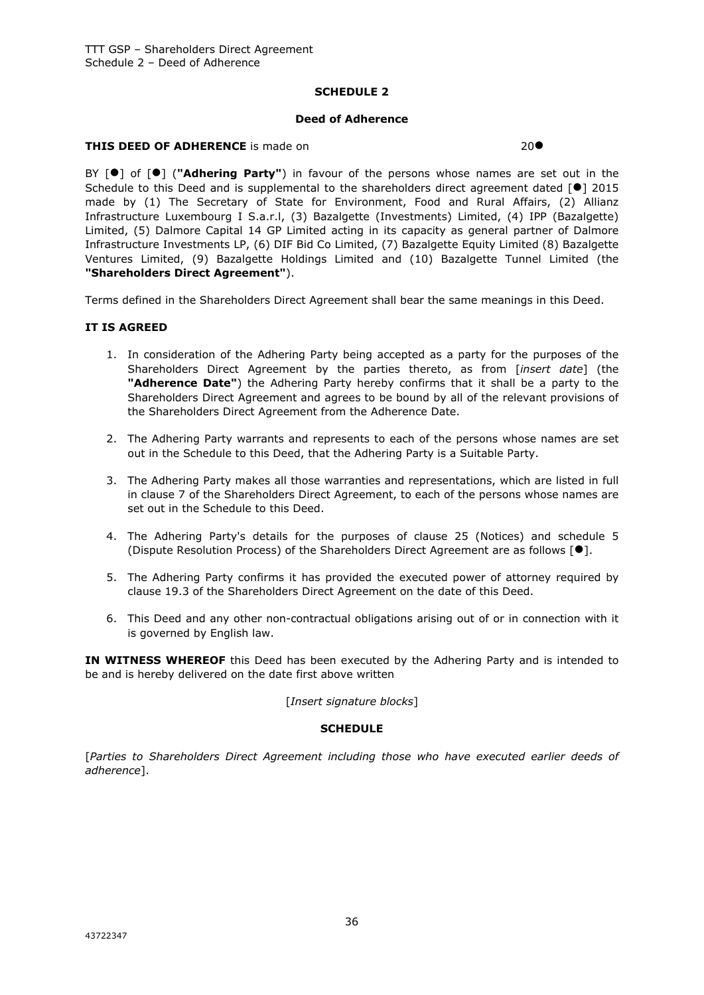# **SCHEDULE 2**

#### **Deed of Adherence**

#### **THIS DEED OF ADHERENCE** is made on 200

BY [<sup>0</sup>] of [<sup>0</sup>] ("Adhering Party") in favour of the persons whose names are set out in the Schedule to this Deed and is supplemental to the shareholders direct agreement dated  $[•]$  2015 made by (1) The Secretary of State for Environment, Food and Rural Affairs, (2) Allianz Infrastructure Luxembourg I S.a.r.l, (3) Bazalgette (Investments) Limited, (4) IPP (Bazalgette) Limited, (5) Dalmore Capital 14 GP Limited acting in its capacity as general partner of Dalmore Infrastructure Investments LP, (6) DIF Bid Co Limited, (7) Bazalgette Equity Limited (8) Bazalgette Ventures Limited, (9) Bazalgette Holdings Limited and (10) Bazalgette Tunnel Limited (the **"Shareholders Direct Agreement"**).

Terms defined in the Shareholders Direct Agreement shall bear the same meanings in this Deed.

#### **IT IS AGREED**

- 1. In consideration of the Adhering Party being accepted as a party for the purposes of the Shareholders Direct Agreement by the parties thereto, as from [*insert date*] (the **"Adherence Date"**) the Adhering Party hereby confirms that it shall be a party to the Shareholders Direct Agreement and agrees to be bound by all of the relevant provisions of the Shareholders Direct Agreement from the Adherence Date.
- 2. The Adhering Party warrants and represents to each of the persons whose names are set out in the Schedule to this Deed, that the Adhering Party is a Suitable Party.
- 3. The Adhering Party makes all those warranties and representations, which are listed in full in clause 7 of the Shareholders Direct Agreement, to each of the persons whose names are set out in the Schedule to this Deed.
- 4. The Adhering Party's details for the purposes of clause 25 (Notices) and schedule 5 (Dispute Resolution Process) of the Shareholders Direct Agreement are as follows [].
- 5. The Adhering Party confirms it has provided the executed power of attorney required by clause 19.3 of the Shareholders Direct Agreement on the date of this Deed.
- 6. This Deed and any other non-contractual obligations arising out of or in connection with it is governed by English law.

**IN WITNESS WHEREOF** this Deed has been executed by the Adhering Party and is intended to be and is hereby delivered on the date first above written

#### [*Insert signature blocks*]

#### **SCHEDULE**

[*Parties to Shareholders Direct Agreement including those who have executed earlier deeds of adherence*].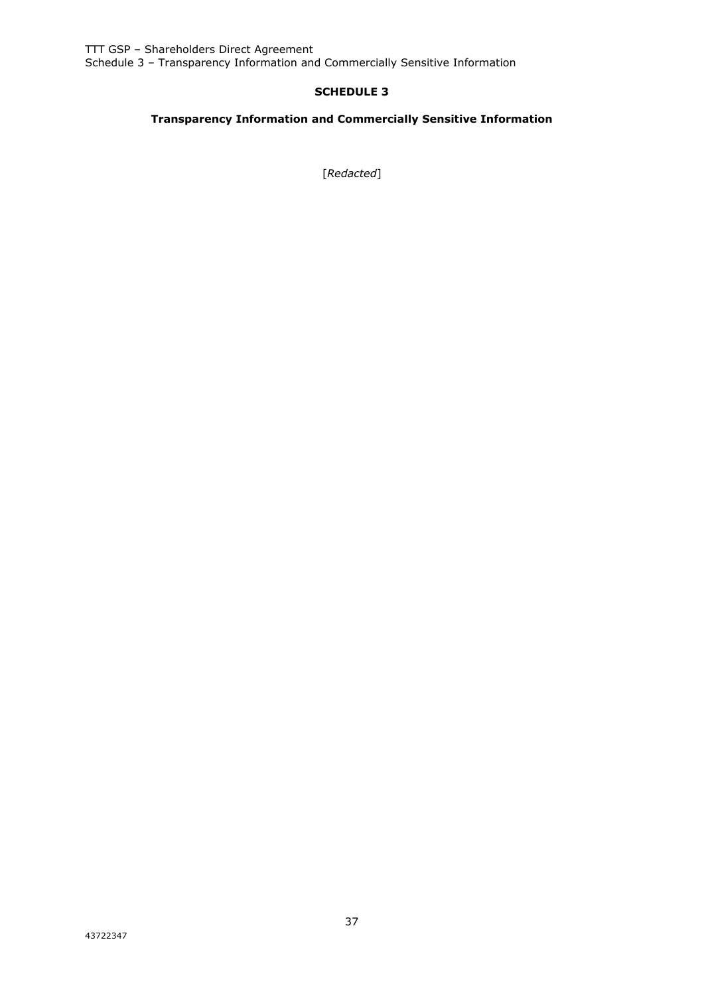TTT GSP – Shareholders Direct Agreement Schedule 3 – Transparency Information and Commercially Sensitive Information

# **SCHEDULE 3**

# **Transparency Information and Commercially Sensitive Information**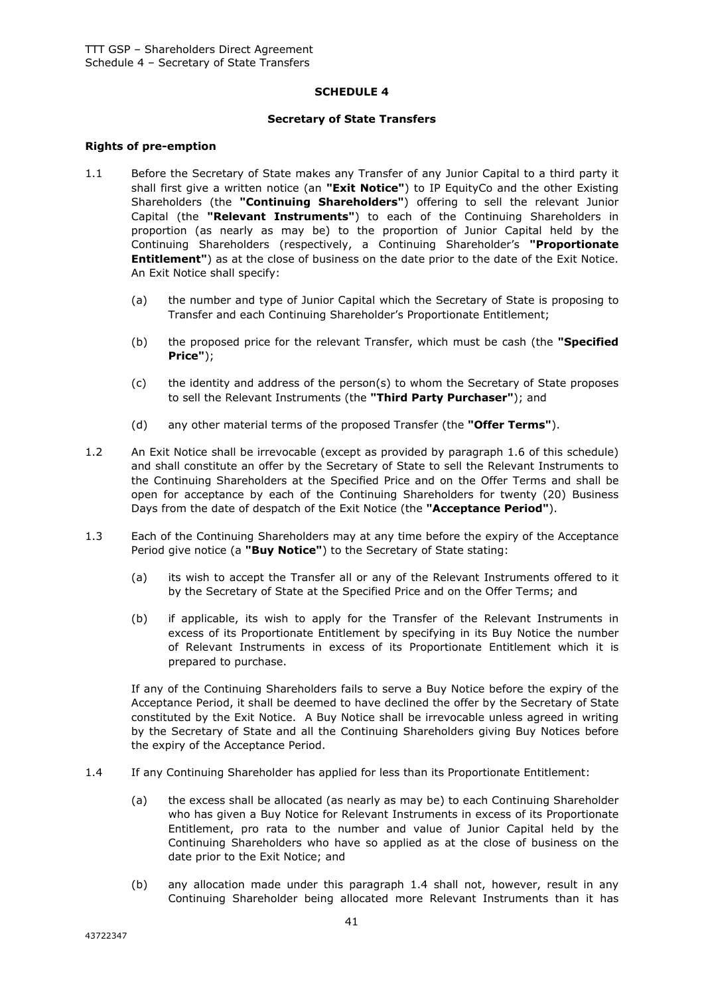#### **SCHEDULE 4**

#### **Secretary of State Transfers**

#### **Rights of pre-emption**

- 1.1 Before the Secretary of State makes any Transfer of any Junior Capital to a third party it shall first give a written notice (an **"Exit Notice"**) to IP EquityCo and the other Existing Shareholders (the **"Continuing Shareholders"**) offering to sell the relevant Junior Capital (the **"Relevant Instruments"**) to each of the Continuing Shareholders in proportion (as nearly as may be) to the proportion of Junior Capital held by the Continuing Shareholders (respectively, a Continuing Shareholder's **"Proportionate Entitlement"**) as at the close of business on the date prior to the date of the Exit Notice. An Exit Notice shall specify:
	- (a) the number and type of Junior Capital which the Secretary of State is proposing to Transfer and each Continuing Shareholder's Proportionate Entitlement;
	- (b) the proposed price for the relevant Transfer, which must be cash (the **"Specified Price"**);
	- (c) the identity and address of the person(s) to whom the Secretary of State proposes to sell the Relevant Instruments (the **"Third Party Purchaser"**); and
	- (d) any other material terms of the proposed Transfer (the **"Offer Terms"**).
- 1.2 An Exit Notice shall be irrevocable (except as provided by paragraph 1.6 of this schedule) and shall constitute an offer by the Secretary of State to sell the Relevant Instruments to the Continuing Shareholders at the Specified Price and on the Offer Terms and shall be open for acceptance by each of the Continuing Shareholders for twenty (20) Business Days from the date of despatch of the Exit Notice (the **"Acceptance Period"**).
- 1.3 Each of the Continuing Shareholders may at any time before the expiry of the Acceptance Period give notice (a **"Buy Notice"**) to the Secretary of State stating:
	- (a) its wish to accept the Transfer all or any of the Relevant Instruments offered to it by the Secretary of State at the Specified Price and on the Offer Terms; and
	- (b) if applicable, its wish to apply for the Transfer of the Relevant Instruments in excess of its Proportionate Entitlement by specifying in its Buy Notice the number of Relevant Instruments in excess of its Proportionate Entitlement which it is prepared to purchase.

If any of the Continuing Shareholders fails to serve a Buy Notice before the expiry of the Acceptance Period, it shall be deemed to have declined the offer by the Secretary of State constituted by the Exit Notice. A Buy Notice shall be irrevocable unless agreed in writing by the Secretary of State and all the Continuing Shareholders giving Buy Notices before the expiry of the Acceptance Period.

- 1.4 If any Continuing Shareholder has applied for less than its Proportionate Entitlement:
	- (a) the excess shall be allocated (as nearly as may be) to each Continuing Shareholder who has given a Buy Notice for Relevant Instruments in excess of its Proportionate Entitlement, pro rata to the number and value of Junior Capital held by the Continuing Shareholders who have so applied as at the close of business on the date prior to the Exit Notice; and
	- (b) any allocation made under this paragraph 1.4 shall not, however, result in any Continuing Shareholder being allocated more Relevant Instruments than it has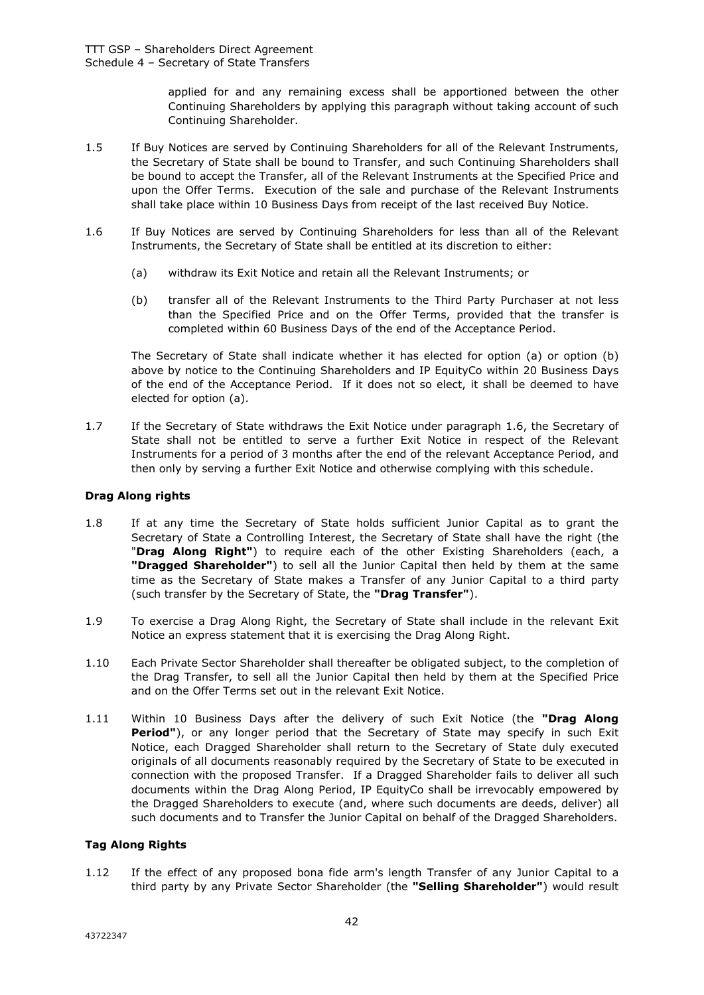applied for and any remaining excess shall be apportioned between the other Continuing Shareholders by applying this paragraph without taking account of such Continuing Shareholder.

- 1.5 If Buy Notices are served by Continuing Shareholders for all of the Relevant Instruments, the Secretary of State shall be bound to Transfer, and such Continuing Shareholders shall be bound to accept the Transfer, all of the Relevant Instruments at the Specified Price and upon the Offer Terms. Execution of the sale and purchase of the Relevant Instruments shall take place within 10 Business Days from receipt of the last received Buy Notice.
- 1.6 If Buy Notices are served by Continuing Shareholders for less than all of the Relevant Instruments, the Secretary of State shall be entitled at its discretion to either:
	- (a) withdraw its Exit Notice and retain all the Relevant Instruments; or
	- (b) transfer all of the Relevant Instruments to the Third Party Purchaser at not less than the Specified Price and on the Offer Terms, provided that the transfer is completed within 60 Business Days of the end of the Acceptance Period.

The Secretary of State shall indicate whether it has elected for option (a) or option (b) above by notice to the Continuing Shareholders and IP EquityCo within 20 Business Days of the end of the Acceptance Period. If it does not so elect, it shall be deemed to have elected for option (a).

1.7 If the Secretary of State withdraws the Exit Notice under paragraph 1.6, the Secretary of State shall not be entitled to serve a further Exit Notice in respect of the Relevant Instruments for a period of 3 months after the end of the relevant Acceptance Period, and then only by serving a further Exit Notice and otherwise complying with this schedule.

# **Drag Along rights**

- 1.8 If at any time the Secretary of State holds sufficient Junior Capital as to grant the Secretary of State a Controlling Interest, the Secretary of State shall have the right (the "**Drag Along Right"**) to require each of the other Existing Shareholders (each, a **"Dragged Shareholder"**) to sell all the Junior Capital then held by them at the same time as the Secretary of State makes a Transfer of any Junior Capital to a third party (such transfer by the Secretary of State, the **"Drag Transfer"**).
- 1.9 To exercise a Drag Along Right, the Secretary of State shall include in the relevant Exit Notice an express statement that it is exercising the Drag Along Right.
- 1.10 Each Private Sector Shareholder shall thereafter be obligated subject, to the completion of the Drag Transfer, to sell all the Junior Capital then held by them at the Specified Price and on the Offer Terms set out in the relevant Exit Notice.
- 1.11 Within 10 Business Days after the delivery of such Exit Notice (the **"Drag Along Period"**), or any longer period that the Secretary of State may specify in such Exit Notice, each Dragged Shareholder shall return to the Secretary of State duly executed originals of all documents reasonably required by the Secretary of State to be executed in connection with the proposed Transfer. If a Dragged Shareholder fails to deliver all such documents within the Drag Along Period, IP EquityCo shall be irrevocably empowered by the Dragged Shareholders to execute (and, where such documents are deeds, deliver) all such documents and to Transfer the Junior Capital on behalf of the Dragged Shareholders.

#### **Tag Along Rights**

1.12 If the effect of any proposed bona fide arm's length Transfer of any Junior Capital to a third party by any Private Sector Shareholder (the **"Selling Shareholder"**) would result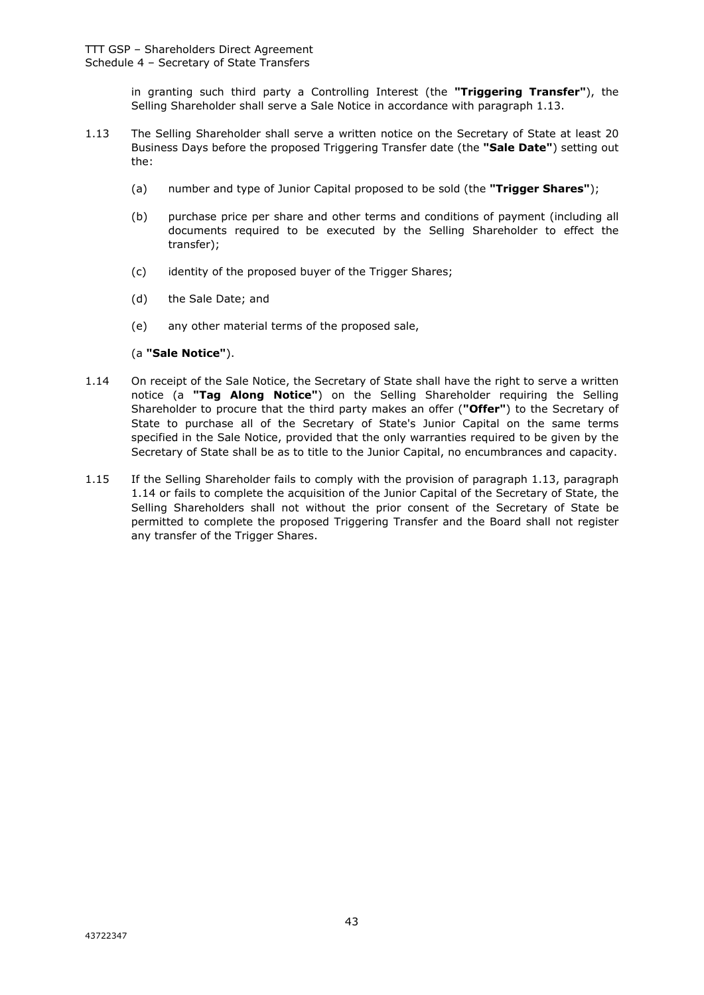in granting such third party a Controlling Interest (the **"Triggering Transfer"**), the Selling Shareholder shall serve a Sale Notice in accordance with paragraph 1.13.

- 1.13 The Selling Shareholder shall serve a written notice on the Secretary of State at least 20 Business Days before the proposed Triggering Transfer date (the **"Sale Date"**) setting out the:
	- (a) number and type of Junior Capital proposed to be sold (the **"Trigger Shares"**);
	- (b) purchase price per share and other terms and conditions of payment (including all documents required to be executed by the Selling Shareholder to effect the transfer);
	- (c) identity of the proposed buyer of the Trigger Shares;
	- (d) the Sale Date; and
	- (e) any other material terms of the proposed sale,

#### (a **"Sale Notice"**).

- 1.14 On receipt of the Sale Notice, the Secretary of State shall have the right to serve a written notice (a **"Tag Along Notice"**) on the Selling Shareholder requiring the Selling Shareholder to procure that the third party makes an offer (**"Offer"**) to the Secretary of State to purchase all of the Secretary of State's Junior Capital on the same terms specified in the Sale Notice, provided that the only warranties required to be given by the Secretary of State shall be as to title to the Junior Capital, no encumbrances and capacity.
- 1.15 If the Selling Shareholder fails to comply with the provision of paragraph 1.13, paragraph 1.14 or fails to complete the acquisition of the Junior Capital of the Secretary of State, the Selling Shareholders shall not without the prior consent of the Secretary of State be permitted to complete the proposed Triggering Transfer and the Board shall not register any transfer of the Trigger Shares.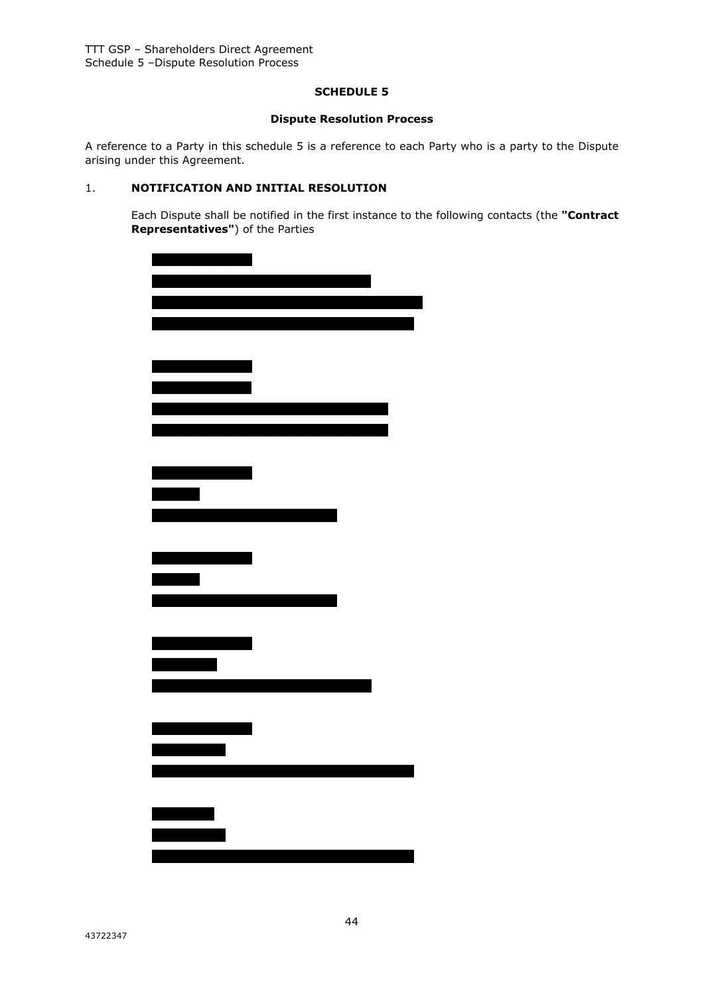#### **SCHEDULE 5**

#### **Dispute Resolution Process**

A reference to a Party in this schedule 5 is a reference to each Party who is a party to the Dispute arising under this Agreement.

# 1. **NOTIFICATION AND INITIAL RESOLUTION**

Each Dispute shall be notified in the first instance to the following contacts (the **"Contract Representatives"**) of the Parties

| <u>a sa Barata</u>       |  |  |
|--------------------------|--|--|
|                          |  |  |
|                          |  |  |
|                          |  |  |
|                          |  |  |
| <u> Tantan di</u>        |  |  |
|                          |  |  |
| <u> Linguage de la p</u> |  |  |
|                          |  |  |
|                          |  |  |
|                          |  |  |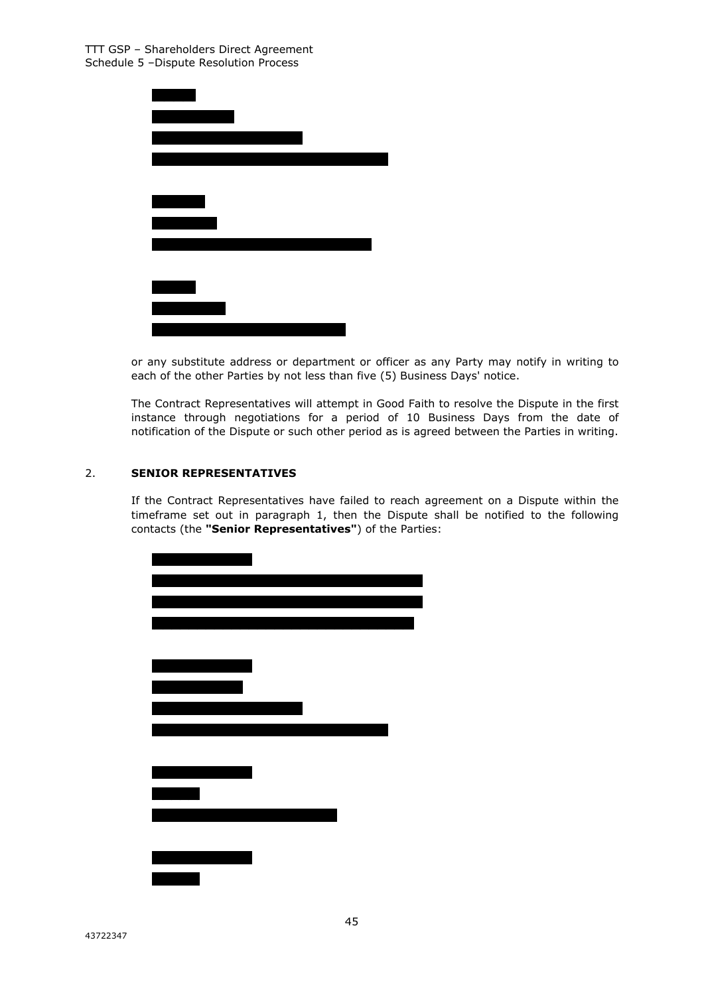

or any substitute address or department or officer as any Party may notify in writing to each of the other Parties by not less than five (5) Business Days' notice.

The Contract Representatives will attempt in Good Faith to resolve the Dispute in the first instance through negotiations for a period of 10 Business Days from the date of notification of the Dispute or such other period as is agreed between the Parties in writing.

# 2. **SENIOR REPRESENTATIVES**

If the Contract Representatives have failed to reach agreement on a Dispute within the timeframe set out in paragraph 1, then the Dispute shall be notified to the following contacts (the **"Senior Representatives"**) of the Parties:

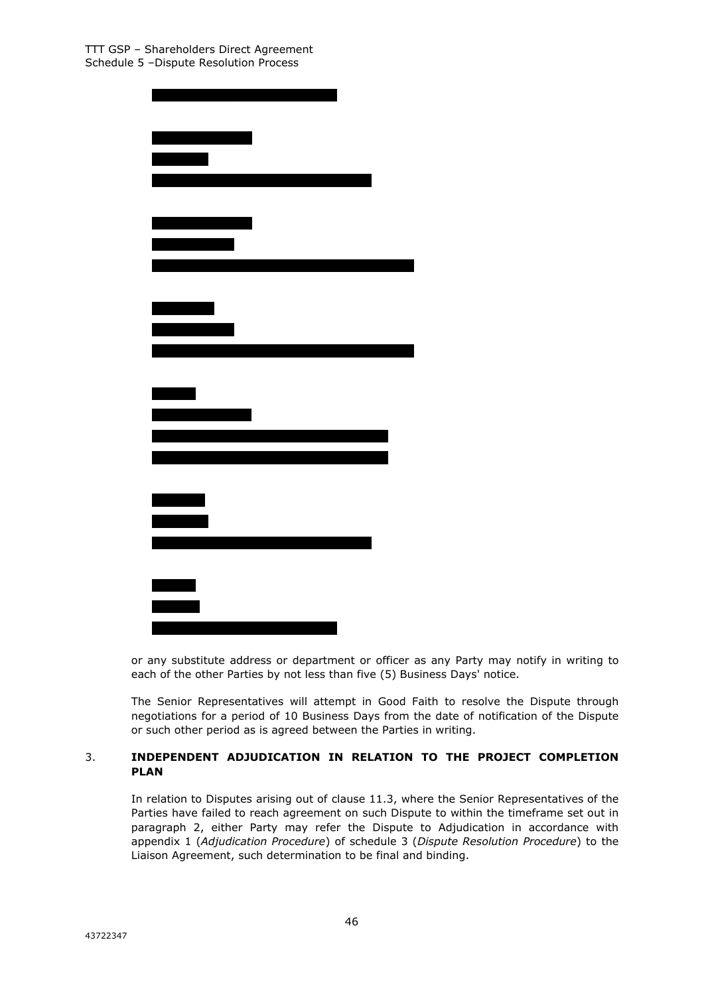| <u> a shekara ta 1911 a Gabriel a shekara tsa 1911 a Gabriel a Tsa 1911 a Gabriel a Tsa 1911 a Gabriel a Tsa 1911 a Gabriel a Tsa 1911 a Gabriel a Tsa 1911 a Gabriel a Tsa 1911 a Gabriel a Tsa 1911 a Gabriel a Tsa 1911 a Gab</u> |
|--------------------------------------------------------------------------------------------------------------------------------------------------------------------------------------------------------------------------------------|
|                                                                                                                                                                                                                                      |
|                                                                                                                                                                                                                                      |
|                                                                                                                                                                                                                                      |
|                                                                                                                                                                                                                                      |
|                                                                                                                                                                                                                                      |
|                                                                                                                                                                                                                                      |
|                                                                                                                                                                                                                                      |

or any substitute address or department or officer as any Party may notify in writing to each of the other Parties by not less than five (5) Business Days' notice.

The Senior Representatives will attempt in Good Faith to resolve the Dispute through negotiations for a period of 10 Business Days from the date of notification of the Dispute or such other period as is agreed between the Parties in writing.

# 3. **INDEPENDENT ADJUDICATION IN RELATION TO THE PROJECT COMPLETION PLAN**

In relation to Disputes arising out of clause 11.3, where the Senior Representatives of the Parties have failed to reach agreement on such Dispute to within the timeframe set out in paragraph 2, either Party may refer the Dispute to Adjudication in accordance with appendix 1 (*Adjudication Procedure*) of schedule 3 (*Dispute Resolution Procedure*) to the Liaison Agreement, such determination to be final and binding.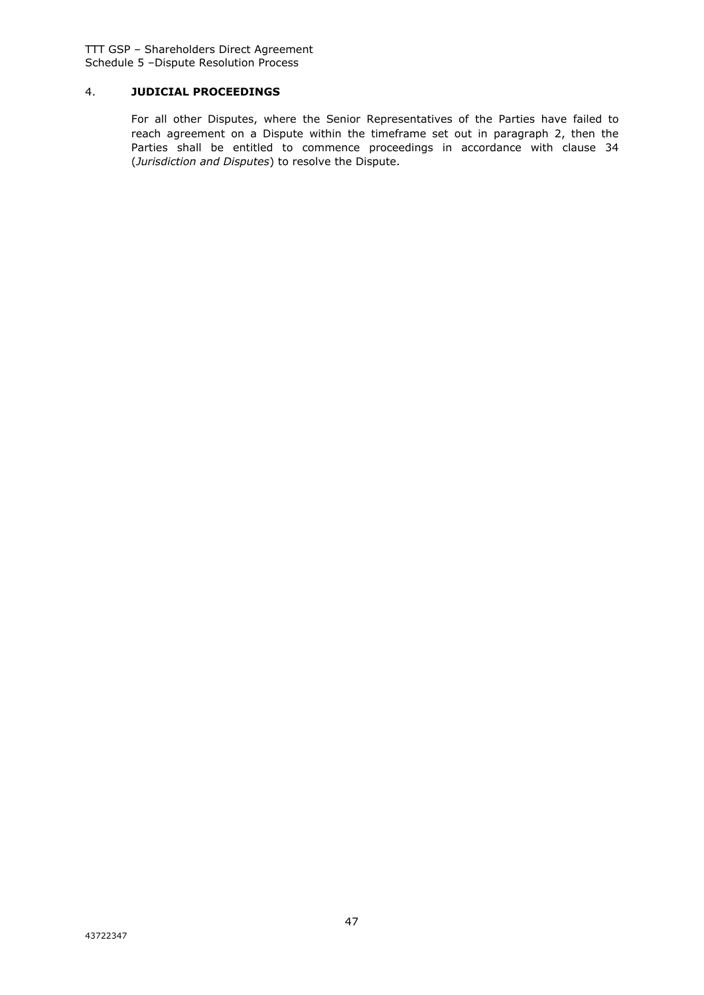TTT GSP – Shareholders Direct Agreement Schedule 5 –Dispute Resolution Process

# 4. **JUDICIAL PROCEEDINGS**

For all other Disputes, where the Senior Representatives of the Parties have failed to reach agreement on a Dispute within the timeframe set out in paragraph 2, then the Parties shall be entitled to commence proceedings in accordance with clause 34 (*Jurisdiction and Disputes*) to resolve the Dispute.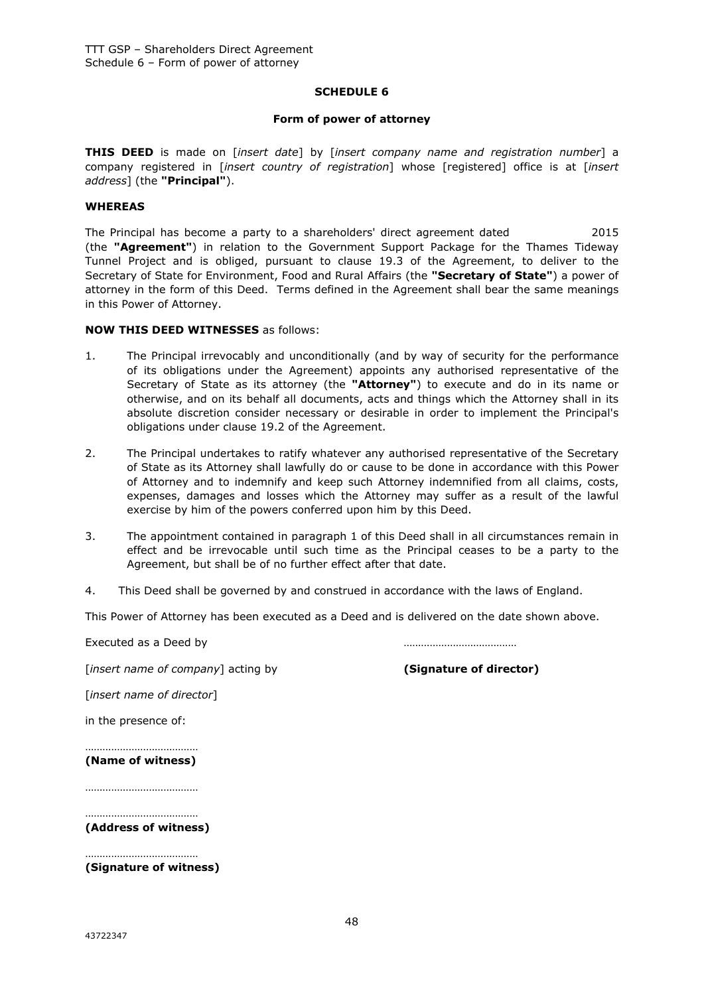#### **SCHEDULE 6**

#### **Form of power of attorney**

**THIS DEED** is made on [*insert date*] by [*insert company name and registration number*] a company registered in [*insert country of registration*] whose [registered] office is at [*insert address*] (the **"Principal"**).

#### **WHEREAS**

The Principal has become a party to a shareholders' direct agreement dated 2015 (the **"Agreement"**) in relation to the Government Support Package for the Thames Tideway Tunnel Project and is obliged, pursuant to clause 19.3 of the Agreement, to deliver to the Secretary of State for Environment, Food and Rural Affairs (the **"Secretary of State"**) a power of attorney in the form of this Deed. Terms defined in the Agreement shall bear the same meanings in this Power of Attorney.

#### **NOW THIS DEED WITNESSES** as follows:

- 1. The Principal irrevocably and unconditionally (and by way of security for the performance of its obligations under the Agreement) appoints any authorised representative of the Secretary of State as its attorney (the **"Attorney"**) to execute and do in its name or otherwise, and on its behalf all documents, acts and things which the Attorney shall in its absolute discretion consider necessary or desirable in order to implement the Principal's obligations under clause 19.2 of the Agreement.
- 2. The Principal undertakes to ratify whatever any authorised representative of the Secretary of State as its Attorney shall lawfully do or cause to be done in accordance with this Power of Attorney and to indemnify and keep such Attorney indemnified from all claims, costs, expenses, damages and losses which the Attorney may suffer as a result of the lawful exercise by him of the powers conferred upon him by this Deed.
- 3. The appointment contained in paragraph 1 of this Deed shall in all circumstances remain in effect and be irrevocable until such time as the Principal ceases to be a party to the Agreement, but shall be of no further effect after that date.
- 4. This Deed shall be governed by and construed in accordance with the laws of England.

This Power of Attorney has been executed as a Deed and is delivered on the date shown above.

Executed as a Deed by the contract of the contract of the contract of the contract of the contract of the contract of the contract of the contract of the contract of the contract of the contract of the contract of the cont

[*insert name of company*] acting by **(Signature of director)**

[*insert name of director*]

in the presence of:

………………………………… **(Name of witness)**

…………………………………

……………………………………… **(Address of witness)**

…………………………………

**(Signature of witness)**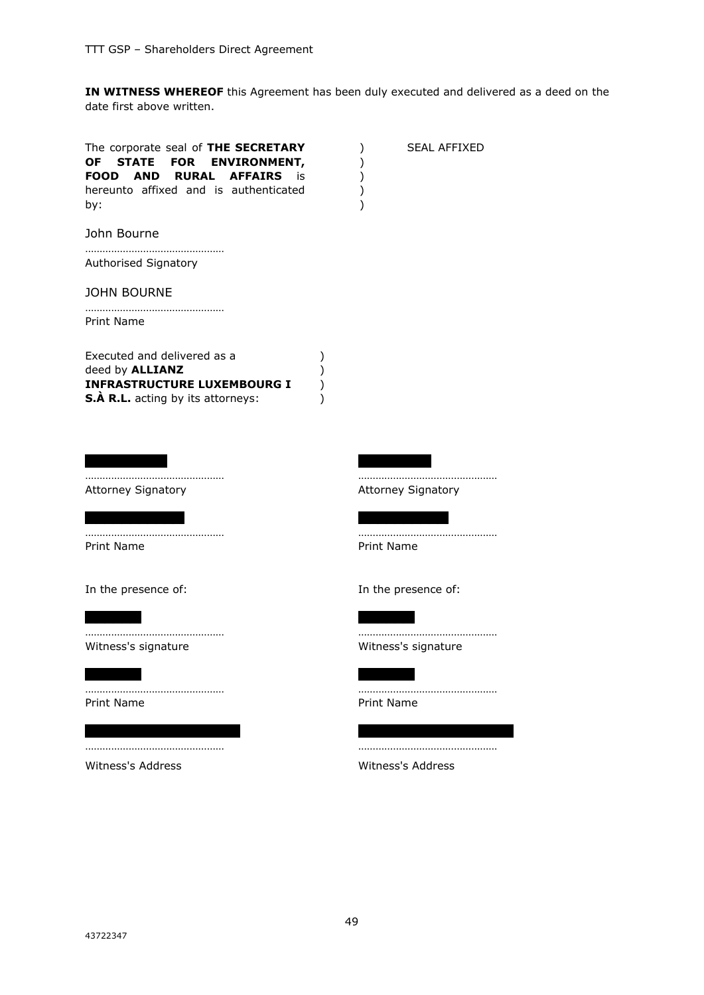**IN WITNESS WHEREOF** this Agreement has been duly executed and delivered as a deed on the date first above written.

| The corporate seal of THE SECRETARY<br>OF STATE FOR ENVIRONMENT,<br><b>AFFAIRS</b><br>FOOD<br><b>AND</b><br><b>RURAL</b><br>is i<br>hereunto affixed and is authenticated<br>by: | <b>SEAL AFFIXED</b><br>⟩<br>)<br>) |
|----------------------------------------------------------------------------------------------------------------------------------------------------------------------------------|------------------------------------|
| John Bourne                                                                                                                                                                      |                                    |
| Authorised Signatory                                                                                                                                                             |                                    |
| <b>JOHN BOURNE</b>                                                                                                                                                               |                                    |
| Print Name                                                                                                                                                                       |                                    |
| Executed and delivered as a<br>deed by <b>ALLIANZ</b><br><b>INFRASTRUCTURE LUXEMBOURG I</b><br>S.À R.L. acting by its attorneys:                                                 | ⟩                                  |
|                                                                                                                                                                                  |                                    |
| Attorney Signatory                                                                                                                                                               | <b>Attorney Signatory</b>          |
|                                                                                                                                                                                  |                                    |
| Print Name                                                                                                                                                                       | Print Name                         |
| In the presence of:                                                                                                                                                              | In the presence of:                |
|                                                                                                                                                                                  |                                    |
| Witness's signature                                                                                                                                                              | <br>Witness's signature            |
|                                                                                                                                                                                  |                                    |
| <b>Print Name</b>                                                                                                                                                                | Print Name                         |
|                                                                                                                                                                                  |                                    |
| Witness's Address                                                                                                                                                                | Witness's Address                  |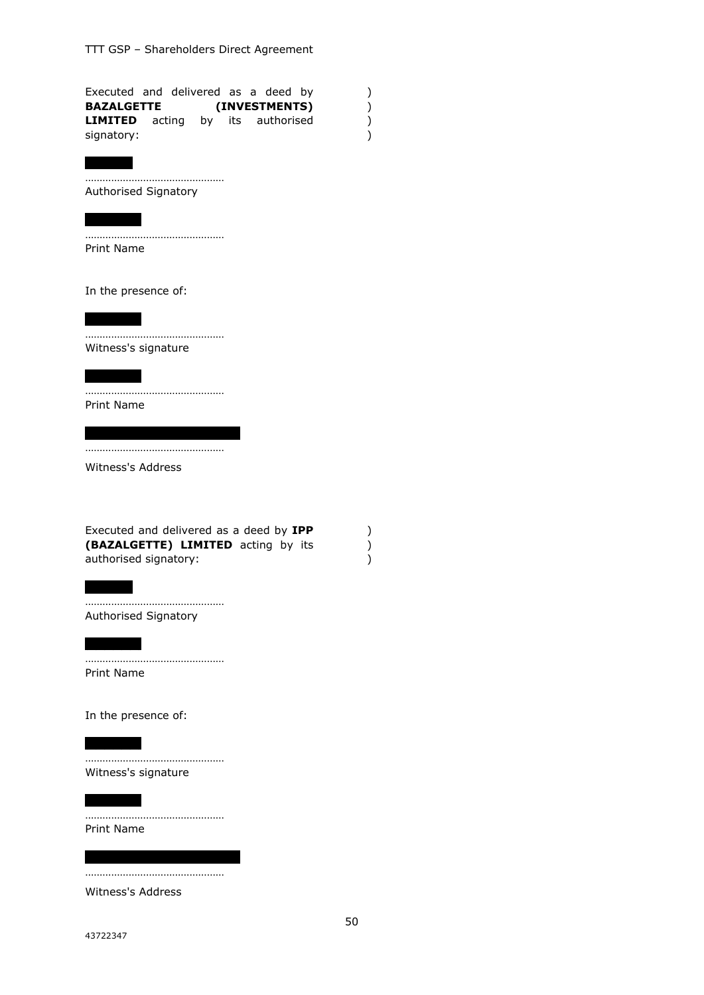| Executed and delivered as a deed by |  |  |                   |  |
|-------------------------------------|--|--|-------------------|--|
| <b>BAZALGETTE</b>                   |  |  | (INVESTMENTS)     |  |
| <b>LIMITED</b> acting               |  |  | by its authorised |  |
| signatory:                          |  |  |                   |  |

Authorised Signatory

…………………………………………

………………………………………… Print Name

In the presence of:

………………………………………… Witness's signature

………………………………………… Print Name

…………………………………………

Witness's Address

Executed and delivered as a deed by **IPP (BAZALGETTE) LIMITED** acting by its authorised signatory:

………………………………………… Authorised Signatory

…………………………………………

| | | | | |

Print Name

In the presence of:

………………………………………… Witness's signature

Print Name

…………………………………………

…………………………………………

Witness's Address

) ) )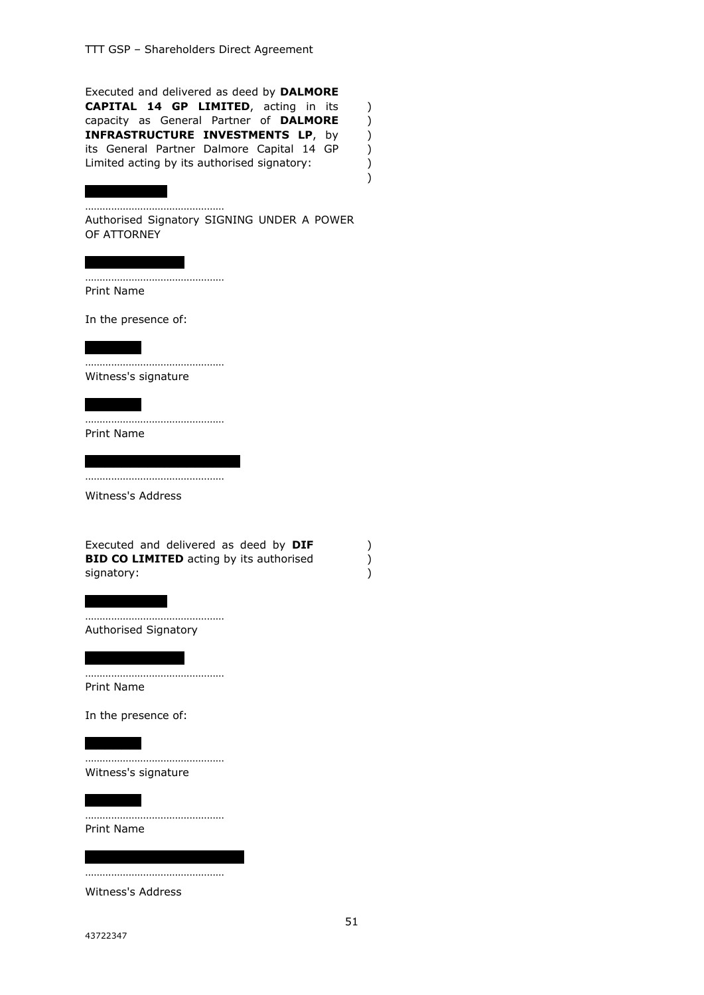Executed and delivered as deed by **DALMORE CAPITAL 14 GP LIMITED**, acting in its capacity as General Partner of **DALMORE INFRASTRUCTURE INVESTMENTS LP**, by its General Partner Dalmore Capital 14 GP Limited acting by its authorised signatory:

) ) ) ) ) )

………………………………………… Authorised Signatory SIGNING UNDER A POWER OF ATTORNEY

………………………………………… Print Name

In the presence of:

………………………………………… Witness's signature

………………………………………… Print Name

…………………………………………

Witness's Address

|            | Executed and delivered as deed by DIF          |  |
|------------|------------------------------------------------|--|
|            | <b>BID CO LIMITED</b> acting by its authorised |  |
| signatory: |                                                |  |

………………………………………… Authorised Signatory

| | | | | | | | | | | |

| | | | | | | | | |

………………………………………… Print Name

In the presence of:

………………………………………… Witness's signature

Print Name

…………………………………………

…………………………………………

Witness's Address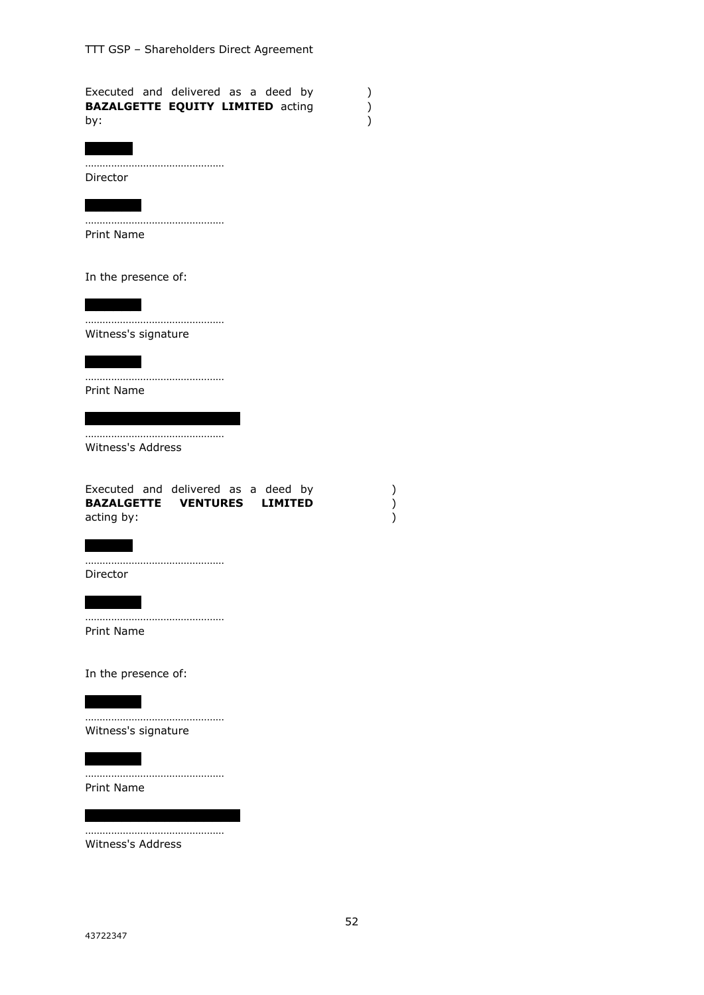| Executed and delivered as a deed by<br><b>BAZALGETTE EQUITY LIMITED acting</b><br>by: | $\mathcal{C}^{\prime}$ |
|---------------------------------------------------------------------------------------|------------------------|
|                                                                                       |                        |
| Director                                                                              |                        |
|                                                                                       |                        |
| Print Name                                                                            |                        |
| In the presence of:                                                                   |                        |
|                                                                                       |                        |
| Witness's signature                                                                   |                        |
|                                                                                       |                        |
| Print Name                                                                            |                        |
|                                                                                       |                        |
| Witness's Address                                                                     |                        |
| Executed and delivered as a deed by<br>BAZALGETTE VENTURES LIMITED<br>acting by:      | )                      |
|                                                                                       |                        |
| Director                                                                              |                        |
|                                                                                       |                        |
| <br>Print Name                                                                        |                        |
| In the presence of:                                                                   |                        |
|                                                                                       |                        |
| .<br>Witness's signature                                                              |                        |
|                                                                                       |                        |
| Print Name                                                                            |                        |
|                                                                                       |                        |
| Witness's Address                                                                     |                        |